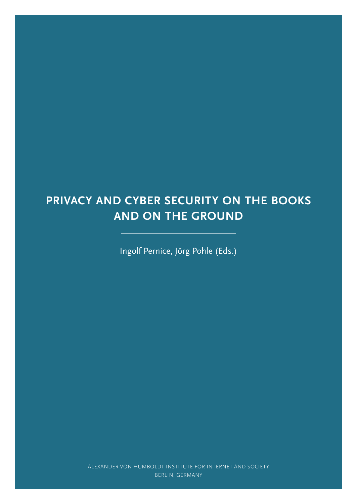# **PRIVACY AND CYBER SECURITY ON THE BOOKS AND ON THE GROUND**

Ingolf Pernice, Jörg Pohle (Eds.)

ALEXANDER VON HUMBOLDT INSTITUTE FOR INTERNET AND SOCIETY BERLIN, GERMANY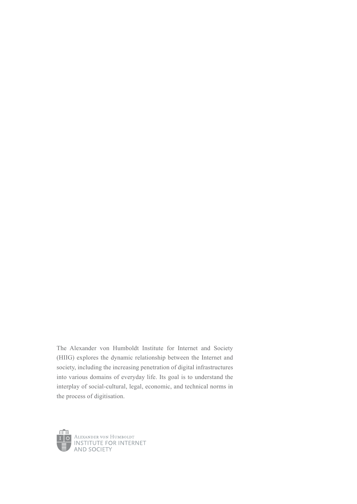The Alexander von Humboldt Institute for Internet and Society (HIIG) explores the dynamic relationship between the Internet and society, including the increasing penetration of digital infrastructures into various domains of everyday life. Its goal is to understand the interplay of social-cultural, legal, economic, and technical norms in the process of digitisation.

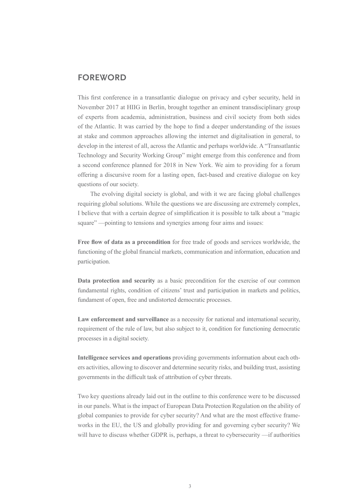### **FOREWORD**

This first conference in a transatlantic dialogue on privacy and cyber security, held in November 2017 at HIIG in Berlin, brought together an eminent transdisciplinary group of experts from academia, administration, business and civil society from both sides of the Atlantic. It was carried by the hope to find a deeper understanding of the issues at stake and common approaches allowing the internet and digitalisation in general, to develop in the interest of all, across the Atlantic and perhaps worldwide. A "Transatlantic Technology and Security Working Group" might emerge from this conference and from a second conference planned for 2018 in New York. We aim to providing for a forum offering a discursive room for a lasting open, fact-based and creative dialogue on key questions of our society.

The evolving digital society is global, and with it we are facing global challenges requiring global solutions. While the questions we are discussing are extremely complex, I believe that with a certain degree of simplification it is possible to talk about a "magic square" —pointing to tensions and synergies among four aims and issues:

**Free flow of data as a precondition** for free trade of goods and services worldwide, the functioning of the global financial markets, communication and information, education and participation.

**Data protection and security** as a basic precondition for the exercise of our common fundamental rights, condition of citizens' trust and participation in markets and politics, fundament of open, free and undistorted democratic processes.

**Law enforcement and surveillance** as a necessity for national and international security, requirement of the rule of law, but also subject to it, condition for functioning democratic processes in a digital society.

**Intelligence services and operations** providing governments information about each others activities, allowing to discover and determine security risks, and building trust, assisting governments in the difficult task of attribution of cyber threats.

Two key questions already laid out in the outline to this conference were to be discussed in our panels. What is the impact of European Data Protection Regulation on the ability of global companies to provide for cyber security? And what are the most effective frameworks in the EU, the US and globally providing for and governing cyber security? We will have to discuss whether GDPR is, perhaps, a threat to cybersecurity —if authorities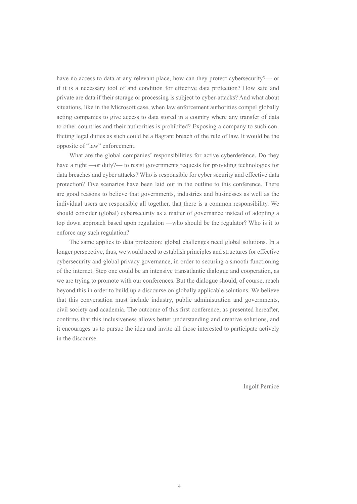have no access to data at any relevant place, how can they protect cybersecurity?— or if it is a necessary tool of and condition for effective data protection? How safe and private are data if their storage or processing is subject to cyber-attacks? And what about situations, like in the Microsoft case, when law enforcement authorities compel globally acting companies to give access to data stored in a country where any transfer of data to other countries and their authorities is prohibited? Exposing a company to such conflicting legal duties as such could be a flagrant breach of the rule of law. It would be the opposite of "law" enforcement.

What are the global companies' responsibilities for active cyberdefence. Do they have a right —or duty?— to resist governments requests for providing technologies for data breaches and cyber attacks? Who is responsible for cyber security and effective data protection? Five scenarios have been laid out in the outline to this conference. There are good reasons to believe that governments, industries and businesses as well as the individual users are responsible all together, that there is a common responsibility. We should consider (global) cybersecurity as a matter of governance instead of adopting a top down approach based upon regulation —who should be the regulator? Who is it to enforce any such regulation?

The same applies to data protection: global challenges need global solutions. In a longer perspective, thus, we would need to establish principles and structures for effective cybersecurity and global privacy governance, in order to securing a smooth functioning of the internet. Step one could be an intensive transatlantic dialogue and cooperation, as we are trying to promote with our conferences. But the dialogue should, of course, reach beyond this in order to build up a discourse on globally applicable solutions. We believe that this conversation must include industry, public administration and governments, civil society and academia. The outcome of this first conference, as presented hereafter, confirms that this inclusiveness allows better understanding and creative solutions, and it encourages us to pursue the idea and invite all those interested to participate actively in the discourse.

Ingolf Pernice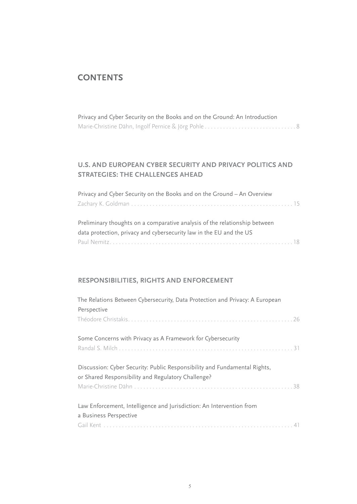# **CONTENTS**

| Privacy and Cyber Security on the Books and on the Ground: An Introduction |
|----------------------------------------------------------------------------|
|                                                                            |

## **U.S. AND EUROPEAN CYBER SECURITY AND PRIVACY POLITICS AND STRATEGIES: THE CHALLENGES AHEAD**

| Privacy and Cyber Security on the Books and on the Ground - An Overview |  |
|-------------------------------------------------------------------------|--|
|                                                                         |  |

| Preliminary thoughts on a comparative analysis of the relationship between |
|----------------------------------------------------------------------------|
| data protection, privacy and cybersecurity law in the EU and the US        |
|                                                                            |

### **RESPONSIBILITIES, RIGHTS AND ENFORCEMENT**

| The Relations Between Cybersecurity, Data Protection and Privacy: A European                                                    |
|---------------------------------------------------------------------------------------------------------------------------------|
| Perspective                                                                                                                     |
|                                                                                                                                 |
| Some Concerns with Privacy as A Framework for Cybersecurity                                                                     |
|                                                                                                                                 |
| Discussion: Cyber Security: Public Responsibility and Fundamental Rights,<br>or Shared Responsibility and Regulatory Challenge? |
|                                                                                                                                 |
| Law Enforcement, Intelligence and Jurisdiction: An Intervention from                                                            |
| a Business Perspective                                                                                                          |
|                                                                                                                                 |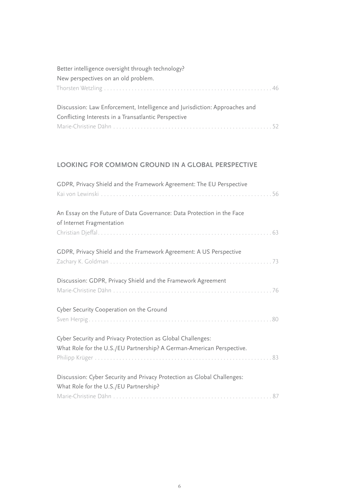| Better intelligence oversight through technology?                          |
|----------------------------------------------------------------------------|
| New perspectives on an old problem.                                        |
|                                                                            |
|                                                                            |
| Discussion: Law Enforcement, Intelligence and Jurisdiction: Approaches and |
| Conflicting Interests in a Transatlantic Perspective                       |
|                                                                            |

### **LOOKING FOR COMMON GROUND IN A GLOBAL PERSPECTIVE**

| GDPR, Privacy Shield and the Framework Agreement: The EU Perspective                                                                 |
|--------------------------------------------------------------------------------------------------------------------------------------|
| An Essay on the Future of Data Governance: Data Protection in the Face<br>of Internet Fragmentation                                  |
| GDPR, Privacy Shield and the Framework Agreement: A US Perspective                                                                   |
| Discussion: GDPR, Privacy Shield and the Framework Agreement                                                                         |
| Cyber Security Cooperation on the Ground                                                                                             |
| Cyber Security and Privacy Protection as Global Challenges:<br>What Role for the U.S./EU Partnership? A German-American Perspective. |
| Discussion: Cyber Security and Privacy Protection as Global Challenges:<br>What Role for the U.S./EU Partnership?                    |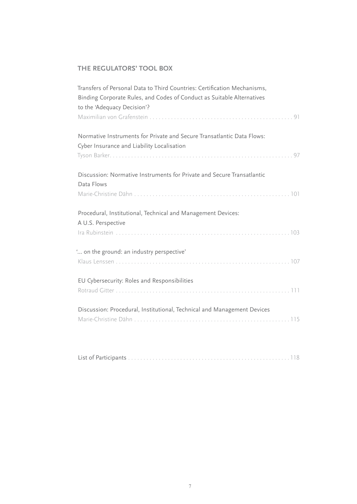## **THE REGULATORS' TOOL BOX**

| Transfers of Personal Data to Third Countries: Certification Mechanisms,<br>Binding Corporate Rules, and Codes of Conduct as Suitable Alternatives |
|----------------------------------------------------------------------------------------------------------------------------------------------------|
| to the 'Adequacy Decision'?                                                                                                                        |
| Normative Instruments for Private and Secure Transatlantic Data Flows:<br>Cyber Insurance and Liability Localisation                               |
| Discussion: Normative Instruments for Private and Secure Transatlantic<br>Data Flows                                                               |
| Procedural, Institutional, Technical and Management Devices:<br>A U.S. Perspective                                                                 |
| " on the ground: an industry perspective"                                                                                                          |
| EU Cybersecurity: Roles and Responsibilities                                                                                                       |
| Discussion: Procedural, Institutional, Technical and Management Devices                                                                            |

|--|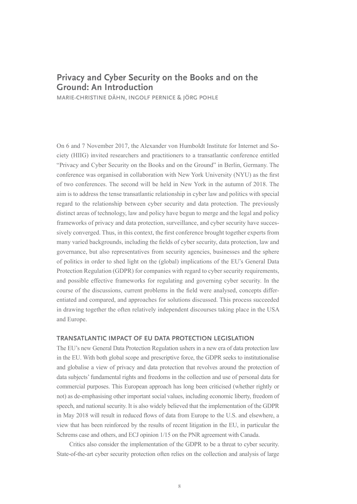# **Privacy and Cyber Security on the Books and on the Ground: An Introduction**

**MARIE-CHRISTINE DÄHN, INGOLF PERNICE & JÖRG POHLE**

On 6 and 7 November 2017, the Alexander von Humboldt Institute for Internet and Society (HIIG) invited researchers and practitioners to a transatlantic conference entitled "Privacy and Cyber Security on the Books and on the Ground" in Berlin, Germany. The conference was organised in collaboration with New York University (NYU) as the first of two conferences. The second will be held in New York in the autumn of 2018. The aim is to address the tense transatlantic relationship in cyber law and politics with special regard to the relationship between cyber security and data protection. The previously distinct areas of technology, law and policy have begun to merge and the legal and policy frameworks of privacy and data protection, surveillance, and cyber security have successively converged. Thus, in this context, the first conference brought together experts from many varied backgrounds, including the fields of cyber security, data protection, law and governance, but also representatives from security agencies, businesses and the sphere of politics in order to shed light on the (global) implications of the EU's General Data Protection Regulation (GDPR) for companies with regard to cyber security requirements, and possible effective frameworks for regulating and governing cyber security. In the course of the discussions, current problems in the field were analysed, concepts differentiated and compared, and approaches for solutions discussed. This process succeeded in drawing together the often relatively independent discourses taking place in the USA and Europe.

#### **TRANSATLANTIC IMPACT OF EU DATA PROTECTION LEGISLATION**

The EU's new General Data Protection Regulation ushers in a new era of data protection law in the EU. With both global scope and prescriptive force, the GDPR seeks to institutionalise and globalise a view of privacy and data protection that revolves around the protection of data subjects' fundamental rights and freedoms in the collection and use of personal data for commercial purposes. This European approach has long been criticised (whether rightly or not) as de-emphasising other important social values, including economic liberty, freedom of speech, and national security. It is also widely believed that the implementation of the GDPR in May 2018 will result in reduced flows of data from Europe to the U.S. and elsewhere, a view that has been reinforced by the results of recent litigation in the EU, in particular the Schrems case and others, and ECJ opinion 1/15 on the PNR agreement with Canada.

Critics also consider the implementation of the GDPR to be a threat to cyber security. State-of-the-art cyber security protection often relies on the collection and analysis of large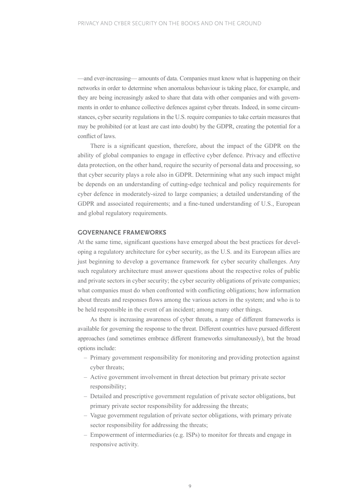—and ever-increasing— amounts of data. Companies must know what is happening on their networks in order to determine when anomalous behaviour is taking place, for example, and they are being increasingly asked to share that data with other companies and with governments in order to enhance collective defences against cyber threats. Indeed, in some circumstances, cyber security regulations in the U.S. require companies to take certain measures that may be prohibited (or at least are cast into doubt) by the GDPR, creating the potential for a conflict of laws.

There is a significant question, therefore, about the impact of the GDPR on the ability of global companies to engage in effective cyber defence. Privacy and effective data protection, on the other hand, require the security of personal data and processing, so that cyber security plays a role also in GDPR. Determining what any such impact might be depends on an understanding of cutting-edge technical and policy requirements for cyber defence in moderately-sized to large companies; a detailed understanding of the GDPR and associated requirements; and a fine-tuned understanding of U.S., European and global regulatory requirements.

#### **GOVERNANCE FRAMEWORKS**

At the same time, significant questions have emerged about the best practices for developing a regulatory architecture for cyber security, as the U.S. and its European allies are just beginning to develop a governance framework for cyber security challenges. Any such regulatory architecture must answer questions about the respective roles of public and private sectors in cyber security; the cyber security obligations of private companies; what companies must do when confronted with conflicting obligations; how information about threats and responses flows among the various actors in the system; and who is to be held responsible in the event of an incident; among many other things.

As there is increasing awareness of cyber threats, a range of different frameworks is available for governing the response to the threat. Different countries have pursued different approaches (and sometimes embrace different frameworks simultaneously), but the broad options include:

- Primary government responsibility for monitoring and providing protection against cyber threats;
- Active government involvement in threat detection but primary private sector responsibility;
- Detailed and prescriptive government regulation of private sector obligations, but primary private sector responsibility for addressing the threats;
- Vague government regulation of private sector obligations, with primary private sector responsibility for addressing the threats;
- Empowerment of intermediaries (e.g. ISPs) to monitor for threats and engage in responsive activity.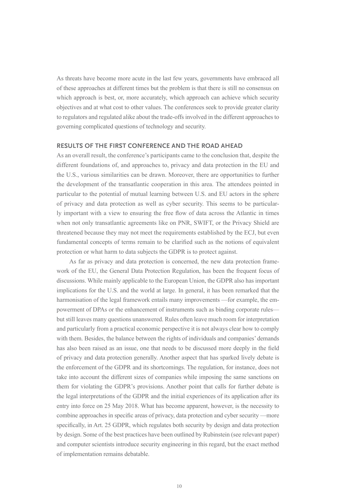As threats have become more acute in the last few years, governments have embraced all of these approaches at different times but the problem is that there is still no consensus on which approach is best, or, more accurately, which approach can achieve which security objectives and at what cost to other values. The conferences seek to provide greater clarity to regulators and regulated alike about the trade-offs involved in the different approaches to governing complicated questions of technology and security.

#### **RESULTS OF THE FIRST CONFERENCE AND THE ROAD AHEAD**

As an overall result, the conference's participants came to the conclusion that, despite the different foundations of, and approaches to, privacy and data protection in the EU and the U.S., various similarities can be drawn. Moreover, there are opportunities to further the development of the transatlantic cooperation in this area. The attendees pointed in particular to the potential of mutual learning between U.S. and EU actors in the sphere of privacy and data protection as well as cyber security. This seems to be particularly important with a view to ensuring the free flow of data across the Atlantic in times when not only transatlantic agreements like on PNR, SWIFT, or the Privacy Shield are threatened because they may not meet the requirements established by the ECJ, but even fundamental concepts of terms remain to be clarified such as the notions of equivalent protection or what harm to data subjects the GDPR is to protect against.

As far as privacy and data protection is concerned, the new data protection framework of the EU, the General Data Protection Regulation, has been the frequent focus of discussions. While mainly applicable to the European Union, the GDPR also has important implications for the U.S. and the world at large. In general, it has been remarked that the harmonisation of the legal framework entails many improvements —for example, the empowerment of DPAs or the enhancement of instruments such as binding corporate rules but still leaves many questions unanswered. Rules often leave much room for interpretation and particularly from a practical economic perspective it is not always clear how to comply with them. Besides, the balance between the rights of individuals and companies' demands has also been raised as an issue, one that needs to be discussed more deeply in the field of privacy and data protection generally. Another aspect that has sparked lively debate is the enforcement of the GDPR and its shortcomings. The regulation, for instance, does not take into account the different sizes of companies while imposing the same sanctions on them for violating the GDPR's provisions. Another point that calls for further debate is the legal interpretations of the GDPR and the initial experiences of its application after its entry into force on 25 May 2018. What has become apparent, however, is the necessity to combine approaches in specific areas of privacy, data protection and cyber security —more specifically, in Art. 25 GDPR, which regulates both security by design and data protection by design. Some of the best practices have been outlined by Rubinstein (see relevant paper) and computer scientists introduce security engineering in this regard, but the exact method of implementation remains debatable.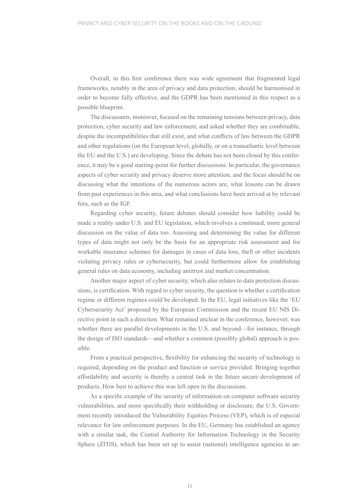Overall, in this first conference there was wide agreement that fragmented legal frameworks, notably in the area of privacy and data protection, should be harmonised in order to become fully effective, and the GDPR has been mentioned in this respect as a possible blueprint.

The discussants, moreover, focused on the remaining tensions between privacy, data protection, cyber security and law enforcement, and asked whether they are combinable, despite the incompatibilities that still exist, and what conflicts of law between the GDPR and other regulations (on the European level, globally, or on a transatlantic level between the EU and the U.S.) are developing. Since the debate has not been closed by this conference, it may be a good starting-point for further discussions. In particular, the governance aspects of cyber security and privacy deserve more attention, and the focus should be on discussing what the intentions of the numerous actors are, what lessons can be drawn from past experiences in this area, and what conclusions have been arrived at by relevant fora, such as the IGF.

Regarding cyber security, future debates should consider how liability could be made a reality under U.S. and EU legislation, which involves a continued, more general discussion on the value of data too. Assessing and determining the value for different types of data might not only be the basis for an appropriate risk assessment and for workable insurance schemes for damages in cases of data loss, theft or other incidents violating privacy rules or cybersecurity, but could furthermore allow for establishing general rules on data economy, including antitrust and market concentration.

Another major aspect of cyber security, which also relates to data protection discussions, is certification. With regard to cyber security, the question is whether a certification regime or different regimes could be developed. In the EU, legal initiatives like the 'EU Cybersecurity Act' proposed by the European Commission and the recent EU NIS Directive point in such a direction. What remained unclear in the conference, however, was whether there are parallel developments in the U.S. and beyond—for instance, through the design of ISO standards—and whether a common (possibly global) approach is possible.

From a practical perspective, flexibility for enhancing the security of technology is required, depending on the product and function or service provided. Bringing together affordability and security is thereby a central task in the future secure development of products. How best to achieve this was left open in the discussions.

As a specific example of the security of information on computer software security vulnerabilities, and more specifically their withholding or disclosure, the U.S. Government recently introduced the Vulnerability Equities Process (VEP), which is of especial relevance for law enforcement purposes. In the EU, Germany has established an agency with a similar task, the Central Authority for Information Technology in the Security Sphere (ZITiS), which has been set up to assist (national) intelligence agencies in an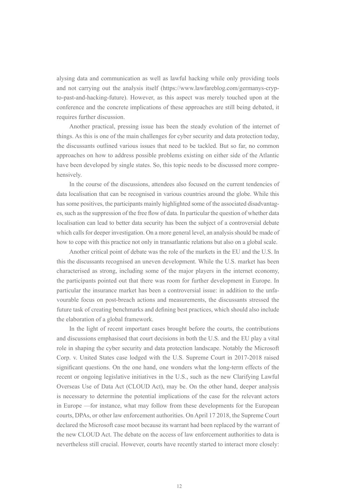alysing data and communication as well as lawful hacking while only providing tools and not carrying out the analysis itself ([https://www.lawfareblog.com/germanys-cryp](http://www.lawfareblog.com/germanys-crypto-past-and-hacking-future)[to-past-and-hacking-future\)](http://www.lawfareblog.com/germanys-crypto-past-and-hacking-future). However, as this aspect was merely touched upon at the conference and the concrete implications of these approaches are still being debated, it requires further discussion.

Another practical, pressing issue has been the steady evolution of the internet of things. As this is one of the main challenges for cyber security and data protection today, the discussants outlined various issues that need to be tackled. But so far, no common approaches on how to address possible problems existing on either side of the Atlantic have been developed by single states. So, this topic needs to be discussed more comprehensively.

In the course of the discussions, attendees also focused on the current tendencies of data localisation that can be recognised in various countries around the globe. While this has some positives, the participants mainly highlighted some of the associated disadvantages, such as the suppression of the free flow of data. In particular the question of whether data localisation can lead to better data security has been the subject of a controversial debate which calls for deeper investigation. On a more general level, an analysis should be made of how to cope with this practice not only in transatlantic relations but also on a global scale.

Another critical point of debate was the role of the markets in the EU and the U.S. In this the discussants recognised an uneven development. While the U.S. market has been characterised as strong, including some of the major players in the internet economy, the participants pointed out that there was room for further development in Europe. In particular the insurance market has been a controversial issue: in addition to the unfavourable focus on post-breach actions and measurements, the discussants stressed the future task of creating benchmarks and defining best practices, which should also include the elaboration of a global framework.

In the light of recent important cases brought before the courts, the contributions and discussions emphasised that court decisions in both the U.S. and the EU play a vital role in shaping the cyber security and data protection landscape. Notably the Microsoft Corp. v. United States case lodged with the U.S. Supreme Court in 2017-2018 raised significant questions. On the one hand, one wonders what the long-term effects of the recent or ongoing legislative initiatives in the U.S., such as the new Clarifying Lawful Overseas Use of Data Act (CLOUD Act), may be. On the other hand, deeper analysis is necessary to determine the potential implications of the case for the relevant actors in Europe —for instance, what may follow from these developments for the European courts, DPAs, or other law enforcement authorities. On April 17 2018, the Supreme Court declared the Microsoft case moot because its warrant had been replaced by the warrant of the new CLOUD Act. The debate on the access of law enforcement authorities to data is nevertheless still crucial. However, courts have recently started to interact more closely: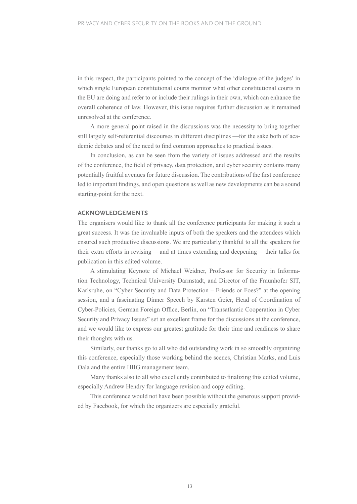in this respect, the participants pointed to the concept of the 'dialogue of the judges' in which single European constitutional courts monitor what other constitutional courts in the EU are doing and refer to or include their rulings in their own, which can enhance the overall coherence of law. However, this issue requires further discussion as it remained unresolved at the conference.

A more general point raised in the discussions was the necessity to bring together still largely self-referential discourses in different disciplines —for the sake both of academic debates and of the need to find common approaches to practical issues.

In conclusion, as can be seen from the variety of issues addressed and the results of the conference, the field of privacy, data protection, and cyber security contains many potentially fruitful avenues for future discussion. The contributions of the first conference led to important findings, and open questions as well as new developments can be a sound starting-point for the next.

#### **ACKNOWLEDGEMENTS**

The organisers would like to thank all the conference participants for making it such a great success. It was the invaluable inputs of both the speakers and the attendees which ensured such productive discussions. We are particularly thankful to all the speakers for their extra efforts in revising —and at times extending and deepening— their talks for publication in this edited volume.

A stimulating Keynote of Michael Weidner, Professor for Security in Information Technology, Technical University Darmstadt, and Director of the Fraunhofer SIT, Karlsruhe, on "Cyber Security and Data Protection – Friends or Foes?" at the opening session, and a fascinating Dinner Speech by Karsten Geier, Head of Coordination of Cyber-Policies, German Foreign Office, Berlin, on "Transatlantic Cooperation in Cyber Security and Privacy Issues" set an excellent frame for the discussions at the conference, and we would like to express our greatest gratitude for their time and readiness to share their thoughts with us.

Similarly, our thanks go to all who did outstanding work in so smoothly organizing this conference, especially those working behind the scenes, Christian Marks, and Luis Oala and the entire HIIG management team.

Many thanks also to all who excellently contributed to finalizing this edited volume, especially Andrew Hendry for language revision and copy editing.

This conference would not have been possible without the generous support provided by Facebook, for which the organizers are especially grateful.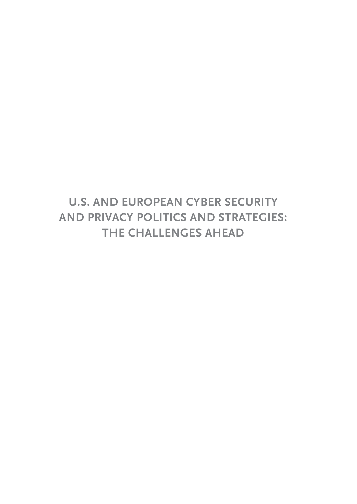# **U.S. AND EUROPEAN CYBER SECURITY AND PRIVACY POLITICS AND STRATEGIES: THE CHALLENGES AHEAD**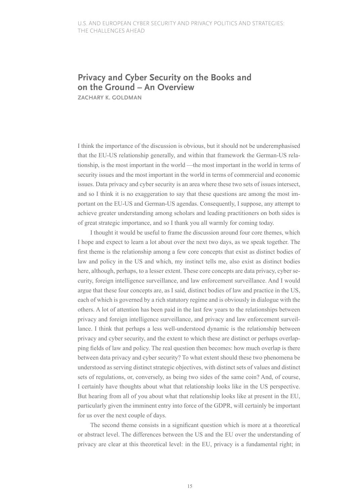## **Privacy and Cyber Security on the Books and on the Ground – An Overview**

**ZACHARY K. GOLDMAN**

I think the importance of the discussion is obvious, but it should not be underemphasised that the EU-US relationship generally, and within that framework the German-US relationship, is the most important in the world —the most important in the world in terms of security issues and the most important in the world in terms of commercial and economic issues. Data privacy and cyber security is an area where these two sets of issues intersect, and so I think it is no exaggeration to say that these questions are among the most important on the EU-US and German-US agendas. Consequently, I suppose, any attempt to achieve greater understanding among scholars and leading practitioners on both sides is of great strategic importance, and so I thank you all warmly for coming today.

I thought it would be useful to frame the discussion around four core themes, which I hope and expect to learn a lot about over the next two days, as we speak together. The first theme is the relationship among a few core concepts that exist as distinct bodies of law and policy in the US and which, my instinct tells me, also exist as distinct bodies here, although, perhaps, to a lesser extent. These core concepts are data privacy, cyber security, foreign intelligence surveillance, and law enforcement surveillance. And I would argue that these four concepts are, as I said, distinct bodies of law and practice in the US, each of which is governed by a rich statutory regime and is obviously in dialogue with the others. A lot of attention has been paid in the last few years to the relationships between privacy and foreign intelligence surveillance, and privacy and law enforcement surveillance. I think that perhaps a less well-understood dynamic is the relationship between privacy and cyber security, and the extent to which these are distinct or perhaps overlapping fields of law and policy. The real question then becomes: how much overlap is there between data privacy and cyber security? To what extent should these two phenomena be understood as serving distinct strategic objectives, with distinct sets of values and distinct sets of regulations, or, conversely, as being two sides of the same coin? And, of course, I certainly have thoughts about what that relationship looks like in the US perspective. But hearing from all of you about what that relationship looks like at present in the EU, particularly given the imminent entry into force of the GDPR, will certainly be important for us over the next couple of days.

The second theme consists in a significant question which is more at a theoretical or abstract level. The differences between the US and the EU over the understanding of privacy are clear at this theoretical level: in the EU, privacy is a fundamental right; in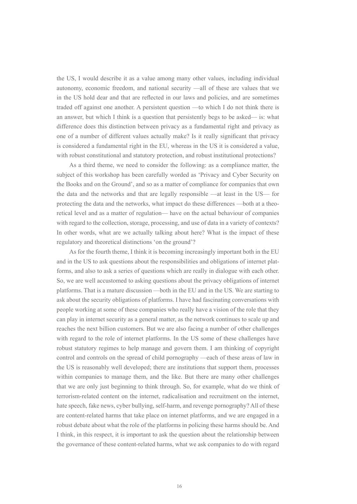the US, I would describe it as a value among many other values, including individual autonomy, economic freedom, and national security —all of these are values that we in the US hold dear and that are reflected in our laws and policies, and are sometimes traded off against one another. A persistent question —to which I do not think there is an answer, but which I think is a question that persistently begs to be asked— is: what difference does this distinction between privacy as a fundamental right and privacy as one of a number of different values actually make? Is it really significant that privacy is considered a fundamental right in the EU, whereas in the US it is considered a value, with robust constitutional and statutory protection, and robust institutional protections?

As a third theme, we need to consider the following: as a compliance matter, the subject of this workshop has been carefully worded as 'Privacy and Cyber Security on the Books and on the Ground', and so as a matter of compliance for companies that own the data and the networks and that are legally responsible —at least in the US— for protecting the data and the networks, what impact do these differences —both at a theoretical level and as a matter of regulation— have on the actual behaviour of companies with regard to the collection, storage, processing, and use of data in a variety of contexts? In other words, what are we actually talking about here? What is the impact of these regulatory and theoretical distinctions 'on the ground'?

As for the fourth theme, I think it is becoming increasingly important both in the EU and in the US to ask questions about the responsibilities and obligations of internet platforms, and also to ask a series of questions which are really in dialogue with each other. So, we are well accustomed to asking questions about the privacy obligations of internet platforms. That is a mature discussion —both in the EU and in the US. We are starting to ask about the security obligations of platforms. I have had fascinating conversations with people working at some of these companies who really have a vision of the role that they can play in internet security as a general matter, as the network continues to scale up and reaches the next billion customers. But we are also facing a number of other challenges with regard to the role of internet platforms. In the US some of these challenges have robust statutory regimes to help manage and govern them. I am thinking of copyright control and controls on the spread of child pornography —each of these areas of law in the US is reasonably well developed; there are institutions that support them, processes within companies to manage them, and the like. But there are many other challenges that we are only just beginning to think through. So, for example, what do we think of terrorism-related content on the internet, radicalisation and recruitment on the internet, hate speech, fake news, cyber bullying, self-harm, and revenge pornography? All of these are content-related harms that take place on internet platforms, and we are engaged in a robust debate about what the role of the platforms in policing these harms should be. And I think, in this respect, it is important to ask the question about the relationship between the governance of these content-related harms, what we ask companies to do with regard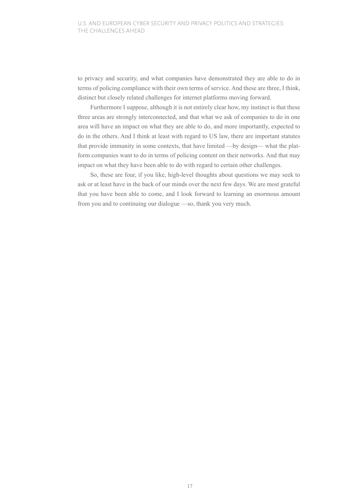to privacy and security, and what companies have demonstrated they are able to do in terms of policing compliance with their own terms of service. And these are three, I think, distinct but closely related challenges for internet platforms moving forward.

Furthermore I suppose, although it is not entirely clear how, my instinct is that these three areas are strongly interconnected, and that what we ask of companies to do in one area will have an impact on what they are able to do, and more importantly, expected to do in the others. And I think at least with regard to US law, there are important statutes that provide immunity in some contexts, that have limited —by design— what the platform companies want to do in terms of policing content on their networks. And that may impact on what they have been able to do with regard to certain other challenges.

So, these are four, if you like, high-level thoughts about questions we may seek to ask or at least have in the back of our minds over the next few days. We are most grateful that you have been able to come, and I look forward to learning an enormous amount from you and to continuing our dialogue —so, thank you very much.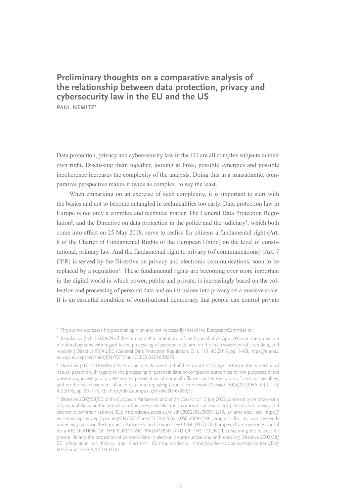## **Preliminary thoughts on a comparative analysis of the relationship between data protection, privacy and cybersecurity law in the EU and the US PAUL NEMITZ1**

Data protection, privacy and cybersecurity law in the EU are all complex subjects in their own right. Discussing them together, looking at links, possible synergies and possible incoherence increases the complexity of the analysis. Doing this in a transatlantic, comparative perspective makes it twice as complex, to say the least.

When embarking on an exercise of such complexity, it is important to start with the basics and not to become entangled in technicalities too early. Data protection law in Europe is not only a complex and technical matter. The General Data Protection Regulation<sup>2</sup>, and the Directive on data protection in the police and the judiciary<sup>3</sup>, which both come into effect on 25 May 2018, serve to realise for citizens a fundamental right (Art. 8 of the Charter of Fundamental Rights of the European Union) on the level of constitutional, primary law. And the fundamental right to privacy (of communications) (Art. 7 CFR) is served by the Directive on privacy and electronic communications, soon to be replaced by a regulation<sup>4</sup>. These fundamental rights are becoming ever more important in the digital world in which power, public and private, is increasingly based on the collection and processing of personal data and on intrusions into privacy on a massive scale. It is an essential condition of constitutional democracy that people can control private

<sup>1</sup> The author expresses his personal opinion and not necessarily that of the European Commission.

<sup>2</sup> Regulation (EU) 2016/679 of the European Parliament and of the Council of 27 April 2016 on the protection of natural persons with regard to the processing of personal data and on the free movement of such data, and repealing Directive 95/46/EC (General Data Protection Regulation, OJ L 119, 4.5.2016, pp. 1–88, [https://eur-lex.](http://eur-lex.europa.eu/legal-content/EN/TXT/?uri=CELEX:32016R0679) [europa.eu/legal-content/EN/TXT/?uri=CELEX:32016R0679.](http://eur-lex.europa.eu/legal-content/EN/TXT/?uri=CELEX:32016R0679)

<sup>&</sup>lt;sup>3</sup> Directive (EU) 2016/680 of the European Parliament and of the Council of 27 April 2016 on the protection of natural persons with regard to the processing of personal data by competent authorities for the purposes of the prevention, investigation, detection or prosecution of criminal offences or the execution of criminal penalties, and on the free movement of such data, and repealing Council Framework Decision 2008/977/JHA, OJ L 119, 4.5.2016, pp. 89–113, ELI: http://data.europa.eu/eli/dir/2016/680/oj.

<sup>4</sup> Directive 2002/58/EC of the European Parliament and of the Council of 12 July 2002 concerning the processing of personal data and the protection of privacy in the electronic communications sector (Directive on privacy and electronic communications) ELI: http://data.europa.eu/eli/dir/2002/58/2009-12-19, as amended, see [https://](http://eur-lex.europa.eu/legal-content/EN/TXT/?uri=CELEX:02002L0058-20091219) [eur-lex.europa.eu/legal-content/EN/TXT/?uri=CELEX:02002L0058-20091219;](http://eur-lex.europa.eu/legal-content/EN/TXT/?uri=CELEX:02002L0058-20091219) proposal for revision presently under negotiation in the European Parliament and Council, see COM (2017) 10: European Commission Proposal for a REGULATION OF THE EUROPEAN PARLIAMENT AND OF THE COUNCIL concerning the respect for private life and the protection of personal data in electronic communications and repealing Directive 2002/58/ EC (Regulation on Privacy and Electronic Communications), [https://eur-lex.europa.eu/legal-content/EN/](http://eur-lex.europa.eu/legal-content/EN/HIS/?uri=CELEX:52017PC0010) [HIS/?uri=CELEX:52017PC0010.](http://eur-lex.europa.eu/legal-content/EN/HIS/?uri=CELEX:52017PC0010)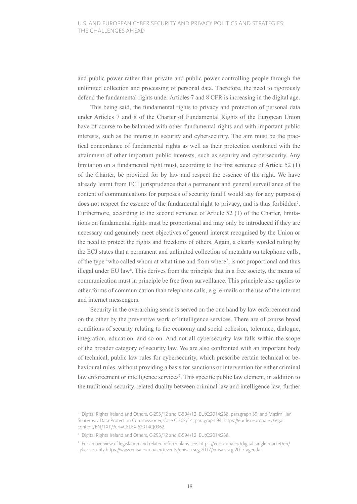and public power rather than private and public power controlling people through the unlimited collection and processing of personal data. Therefore, the need to rigorously defend the fundamental rights under Articles 7 and 8 CFR is increasing in the digital age.

This being said, the fundamental rights to privacy and protection of personal data under Articles 7 and 8 of the Charter of Fundamental Rights of the European Union have of course to be balanced with other fundamental rights and with important public interests, such as the interest in security and cybersecurity. The aim must be the practical concordance of fundamental rights as well as their protection combined with the attainment of other important public interests, such as security and cybersecurity. Any limitation on a fundamental right must, according to the first sentence of Article 52 (1) of the Charter, be provided for by law and respect the essence of the right. We have already learnt from ECJ jurisprudence that a permanent and general surveillance of the content of communications for purposes of security (and I would say for any purposes) does not respect the essence of the fundamental right to privacy, and is thus forbidden<sup>5</sup>. Furthermore, according to the second sentence of Article 52 (1) of the Charter, limitations on fundamental rights must be proportional and may only be introduced if they are necessary and genuinely meet objectives of general interest recognised by the Union or the need to protect the rights and freedoms of others. Again, a clearly worded ruling by the ECJ states that a permanent and unlimited collection of metadata on telephone calls, of the type 'who called whom at what time and from where', is not proportional and thus illegal under EU law $6$ . This derives from the principle that in a free society, the means of communication must in principle be free from surveillance. This principle also applies to other forms of communication than telephone calls, e.g. e-mails or the use of the internet and internet messengers.

Security in the overarching sense is served on the one hand by law enforcement and on the other by the preventive work of intelligence services. There are of course broad conditions of security relating to the economy and social cohesion, tolerance, dialogue, integration, education, and so on. And not all cybersecurity law falls within the scope of the broader category of security law. We are also confronted with an important body of technical, public law rules for cybersecurity, which prescribe certain technical or behavioural rules, without providing a basis for sanctions or intervention for either criminal law enforcement or intelligence services<sup>7</sup>. This specific public law element, in addition to the traditional security-related duality between criminal law and intelligence law, further

<sup>5</sup> Digital Rights Ireland and Others, C-293/12 and C-594/12, EU:C:2014:238, paragraph 39; and Maximillian Schrems v Data Protection Commissioner, Case C-362/14, paragraph 94, [https://eur-lex.europa.eu/legal](http://eur-lex.europa.eu/legal-content/EN/TXT/?uri=CELEX:62014CJ0362)[content/EN/TXT/?uri=CELEX:62014CJ0362.](http://eur-lex.europa.eu/legal-content/EN/TXT/?uri=CELEX:62014CJ0362)

<sup>6</sup> Digital Rights Ireland and Others, C-293/12 and C-594/12, EU:C:2014:238.

<sup>7</sup> For an overview of legislation and related reform plans see: https://ec.europa.eu/digital-single-market/en/ cyber-security [https://www.enisa.europa.eu/events/enisa-cscg-2017/enisa-cscg-2017-agenda.](http://www.enisa.europa.eu/events/enisa-cscg-2017/enisa-cscg-2017-agenda)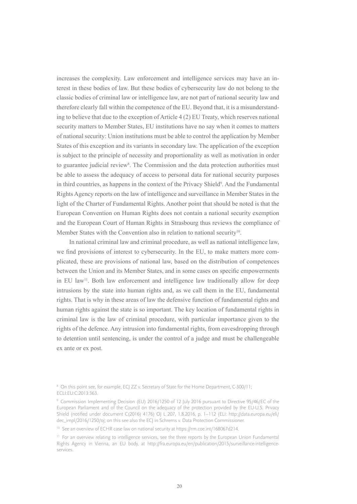increases the complexity. Law enforcement and intelligence services may have an interest in these bodies of law. But these bodies of cybersecurity law do not belong to the classic bodies of criminal law or intelligence law, are not part of national security law and therefore clearly fall within the competence of the EU. Beyond that, it is a misunderstanding to believe that due to the exception of Article 4 (2) EU Treaty, which reserves national security matters to Member States, EU institutions have no say when it comes to matters of national security: Union institutions must be able to control the application by Member States of this exception and its variants in secondary law. The application of the exception is subject to the principle of necessity and proportionality as well as motivation in order to guarantee judicial review<sup>8</sup>. The Commission and the data protection authorities must be able to assess the adequacy of access to personal data for national security purposes in third countries, as happens in the context of the Privacy Shield<sup>9</sup>. And the Fundamental Rights Agency reports on the law of intelligence and surveillance in Member States in the light of the Charter of Fundamental Rights. Another point that should be noted is that the European Convention on Human Rights does not contain a national security exemption and the European Court of Human Rights in Strasbourg thus reviews the compliance of Member States with the Convention also in relation to national security<sup>10</sup>.

In national criminal law and criminal procedure, as well as national intelligence law, we find provisions of interest to cybersecurity. In the EU, to make matters more complicated, these are provisions of national law, based on the distribution of competences between the Union and its Member States, and in some cases on specific empowerments in EU law<sup>11</sup>. Both law enforcement and intelligence law traditionally allow for deep intrusions by the state into human rights and, as we call them in the EU, fundamental rights. That is why in these areas of law the defensive function of fundamental rights and human rights against the state is so important. The key location of fundamental rights in criminal law is the law of criminal procedure, with particular importance given to the rights of the defence. Any intrusion into fundamental rights, from eavesdropping through to detention until sentencing, is under the control of a judge and must be challengeable ex ante or ex post.

<sup>8</sup> On this point see, for example, ECJ ZZ v. Secretary of State for the Home Department, C-300/11; ECLI:EU:C:2013:363.

<sup>9</sup> Commission Implementing Decision (EU) 2016/1250 of 12 July 2016 pursuant to Directive 95/46/EC of the European Parliament and of the Council on the adequacy of the protection provided by the EU-U.S. Privacy Shield (notified under document C(2016) 4176) OJ L 207, 1.8.2016, p. 1–112 (ELI: http://data.europa.eu/eli/ dec\_impl/2016/1250/oj; on this see also the ECJ in Schrems v. Data Protection Commissioner.

<sup>&</sup>lt;sup>10</sup> See an overview of ECHR case law on national security at [https://rm.coe.int/168067d214](http://rm.coe.int/168067d214).

<sup>&</sup>lt;sup>11</sup> For an overview relating to intelligence services, see the three reports by the European Union Fundamental Rights Agency in Vienna, an EU body, at [http://fra.europa.eu/en/publication/2015/surveillance-intelligence](http://fra.europa.eu/en/publication/2015/surveillance-intelligence-services)[services.](http://fra.europa.eu/en/publication/2015/surveillance-intelligence-services)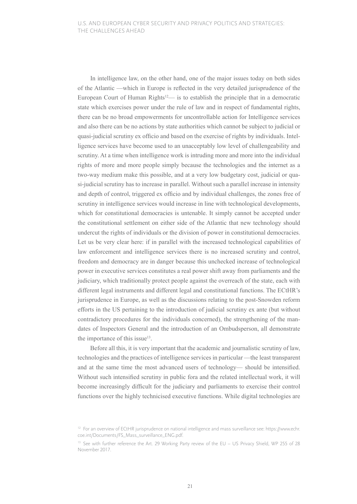In intelligence law, on the other hand, one of the major issues today on both sides of the Atlantic —which in Europe is reflected in the very detailed jurisprudence of the European Court of Human Rights $12$ — is to establish the principle that in a democratic state which exercises power under the rule of law and in respect of fundamental rights, there can be no broad empowerments for uncontrollable action for Intelligence services and also there can be no actions by state authorities which cannot be subject to judicial or quasi-judicial scrutiny ex officio and based on the exercise of rights by individuals. Intelligence services have become used to an unacceptably low level of challengeability and scrutiny. At a time when intelligence work is intruding more and more into the individual rights of more and more people simply because the technologies and the internet as a two-way medium make this possible, and at a very low budgetary cost, judicial or quasi-judicial scrutiny has to increase in parallel. Without such a parallel increase in intensity and depth of control, triggered ex officio and by individual challenges, the zones free of scrutiny in intelligence services would increase in line with technological developments, which for constitutional democracies is untenable. It simply cannot be accepted under the constitutional settlement on either side of the Atlantic that new technology should undercut the rights of individuals or the division of power in constitutional democracies. Let us be very clear here: if in parallel with the increased technological capabilities of law enforcement and intelligence services there is no increased scrutiny and control, freedom and democracy are in danger because this unchecked increase of technological power in executive services constitutes a real power shift away from parliaments and the judiciary, which traditionally protect people against the overreach of the state, each with different legal instruments and different legal and constitutional functions. The ECtHR's jurisprudence in Europe, as well as the discussions relating to the post-Snowden reform efforts in the US pertaining to the introduction of judicial scrutiny ex ante (but without contradictory procedures for the individuals concerned), the strengthening of the mandates of Inspectors General and the introduction of an Ombudsperson, all demonstrate the importance of this issue<sup>13</sup>.

Before all this, it is very important that the academic and journalistic scrutiny of law, technologies and the practices of intelligence services in particular —the least transparent and at the same time the most advanced users of technology— should be intensified. Without such intensified scrutiny in public fora and the related intellectual work, it will become increasingly difficult for the judiciary and parliaments to exercise their control functions over the highly technicised executive functions. While digital technologies are

<sup>&</sup>lt;sup>12</sup> For an overview of ECtHR jurisprudence on national intelligence and mass surveillance see: https://www.[echr.](http://echr.coe.int/Documents/FS_Mass_surveillance_ENG.pdf) [coe.int/Documents/FS\\_Mass\\_surveillance\\_ENG.pdf](http://echr.coe.int/Documents/FS_Mass_surveillance_ENG.pdf).

<sup>&</sup>lt;sup>13</sup> See with further reference the Art. 29 Working Party review of the EU – US Privacy Shield, WP 255 of 28 November 2017.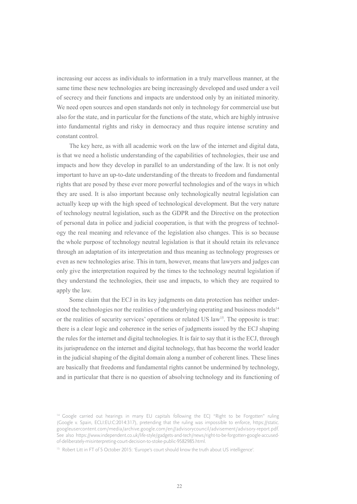increasing our access as individuals to information in a truly marvellous manner, at the same time these new technologies are being increasingly developed and used under a veil of secrecy and their functions and impacts are understood only by an initiated minority. We need open sources and open standards not only in technology for commercial use but also for the state, and in particular for the functions of the state, which are highly intrusive into fundamental rights and risky in democracy and thus require intense scrutiny and constant control.

The key here, as with all academic work on the law of the internet and digital data, is that we need a holistic understanding of the capabilities of technologies, their use and impacts and how they develop in parallel to an understanding of the law. It is not only important to have an up-to-date understanding of the threats to freedom and fundamental rights that are posed by these ever more powerful technologies and of the ways in which they are used. It is also important because only technologically neutral legislation can actually keep up with the high speed of technological development. But the very nature of technology neutral legislation, such as the GDPR and the Directive on the protection of personal data in police and judicial cooperation, is that with the progress of technology the real meaning and relevance of the legislation also changes. This is so because the whole purpose of technology neutral legislation is that it should retain its relevance through an adaptation of its interpretation and thus meaning as technology progresses or even as new technologies arise. This in turn, however, means that lawyers and judges can only give the interpretation required by the times to the technology neutral legislation if they understand the technologies, their use and impacts, to which they are required to apply the law.

Some claim that the ECJ in its key judgments on data protection has neither understood the technologies nor the realities of the underlying operating and business models $14$ or the realities of security services' operations or related US law<sup>15</sup>. The opposite is true: there is a clear logic and coherence in the series of judgments issued by the ECJ shaping the rules for the internet and digital technologies. It is fair to say that it is the ECJ, through its jurisprudence on the internet and digital technology, that has become the world leader in the judicial shaping of the digital domain along a number of coherent lines. These lines are basically that freedoms and fundamental rights cannot be undermined by technology, and in particular that there is no question of absolving technology and its functioning of

<sup>&</sup>lt;sup>14</sup> Google carried out hearings in many EU capitals following the ECJ "Right to be Forgotten" ruling (Google v. Spain, ECLI:EU:C:2014:317), pretending that the ruling was impossible to enforce, [https://static.](http://static.googleusercontent.com/media/archive.google.com/en//advisorycouncil/advisement/advisory-report.pdf) [googleusercontent.com/media/archive.google.com/en//advisorycouncil/advisement/advisory-report.pdf.](http://static.googleusercontent.com/media/archive.google.com/en//advisorycouncil/advisement/advisory-report.pdf) See also [https://www.independent.co.uk/life-style/gadgets-and-tech/news/right-to-be-forgotten-google-accused](http://www.independent.co.uk/life-style/gadgets-and-tech/news/right-to-be-forgotten-google-accused-of-deliberately-misinterpreting-court-decision-to-stoke-public-9582985.html)[of-deliberately-misinterpreting-court-decision-to-stoke-public-9582985.html.](http://www.independent.co.uk/life-style/gadgets-and-tech/news/right-to-be-forgotten-google-accused-of-deliberately-misinterpreting-court-decision-to-stoke-public-9582985.html)

<sup>&</sup>lt;sup>15</sup> Robert Litt in FT of 5 October 2015: 'Europe's court should know the truth about US intelligence'.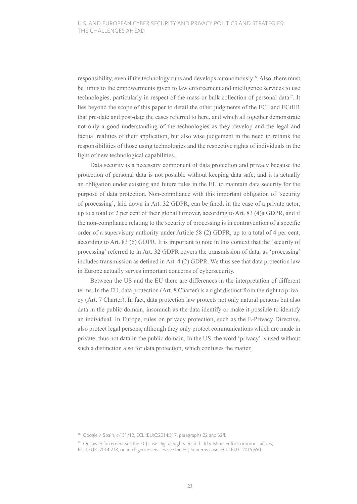responsibility, even if the technology runs and develops autonomously<sup>16</sup>. Also, there must be limits to the empowerments given to law enforcement and intelligence services to use technologies, particularly in respect of the mass or bulk collection of personal data17. It lies beyond the scope of this paper to detail the other judgments of the ECJ and ECtHR that pre-date and post-date the cases referred to here, and which all together demonstrate not only a good understanding of the technologies as they develop and the legal and factual realities of their application, but also wise judgement in the need to rethink the responsibilities of those using technologies and the respective rights of individuals in the light of new technological capabilities.

Data security is a necessary component of data protection and privacy because the protection of personal data is not possible without keeping data safe, and it is actually an obligation under existing and future rules in the EU to maintain data security for the purpose of data protection. Non-compliance with this important obligation of 'security of processing', laid down in Art. 32 GDPR, can be fined, in the case of a private actor, up to a total of 2 per cent of their global turnover, according to Art. 83 (4)a GDPR, and if the non-compliance relating to the security of processing is in contravention of a specific order of a supervisory authority under Article 58 (2) GDPR, up to a total of 4 per cent, according to Art. 83 (6) GDPR. It is important to note in this context that the 'security of processing' referred to in Art. 32 GDPR covers the transmission of data, as 'processing' includes transmission as defined in Art. 4 (2) GDPR. We thus see that data protection law in Europe actually serves important concerns of cybersecurity.

Between the US and the EU there are differences in the interpretation of different terms. In the EU, data protection (Art. 8 Charter) is a right distinct from the right to privacy (Art. 7 Charter). In fact, data protection law protects not only natural persons but also data in the public domain, insomuch as the data identify or make it possible to identify an individual. In Europe, rules on privacy protection, such as the E-Privacy Directive, also protect legal persons, although they only protect communications which are made in private, thus not data in the public domain. In the US, the word 'privacy' is used without such a distinction also for data protection, which confuses the matter.

<sup>16</sup> Google v. Spain, c-131/12, ECLI:EU:C:2014:317, paragraphs 22 and 32ff.

<sup>&</sup>lt;sup>17</sup> On law enforcement see the ECJ case Digital Rights Ireland Ltd v. Minister for Communications, ECLI:EU:C:2014:238; on intelligence services see the ECJ Schrems case, ECLI:EU:C:2015:650.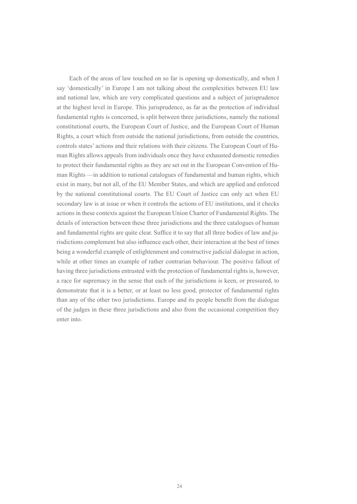Each of the areas of law touched on so far is opening up domestically, and when I say 'domestically' in Europe I am not talking about the complexities between EU law and national law, which are very complicated questions and a subject of jurisprudence at the highest level in Europe. This jurisprudence, as far as the protection of individual fundamental rights is concerned, is split between three jurisdictions, namely the national constitutional courts, the European Court of Justice, and the European Court of Human Rights, a court which from outside the national jurisdictions, from outside the countries, controls states' actions and their relations with their citizens. The European Court of Human Rights allows appeals from individuals once they have exhausted domestic remedies to protect their fundamental rights as they are set out in the European Convention of Human Rights —in addition to national catalogues of fundamental and human rights, which exist in many, but not all, of the EU Member States, and which are applied and enforced by the national constitutional courts. The EU Court of Justice can only act when EU secondary law is at issue or when it controls the actions of EU institutions, and it checks actions in these contexts against the European Union Charter of Fundamental Rights. The details of interaction between these three jurisdictions and the three catalogues of human and fundamental rights are quite clear. Suffice it to say that all three bodies of law and jurisdictions complement but also influence each other, their interaction at the best of times being a wonderful example of enlightenment and constructive judicial dialogue in action, while at other times an example of rather contrarian behaviour. The positive fallout of having three jurisdictions entrusted with the protection of fundamental rights is, however, a race for supremacy in the sense that each of the jurisdictions is keen, or pressured, to demonstrate that it is a better, or at least no less good, protector of fundamental rights than any of the other two jurisdictions. Europe and its people benefit from the dialogue of the judges in these three jurisdictions and also from the occasional competition they enter into.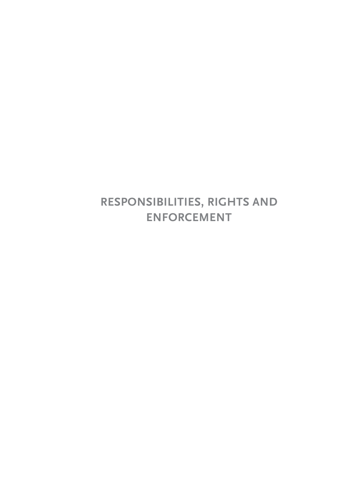# **RESPONSIBILITIES, RIGHTS AND ENFORCEMENT**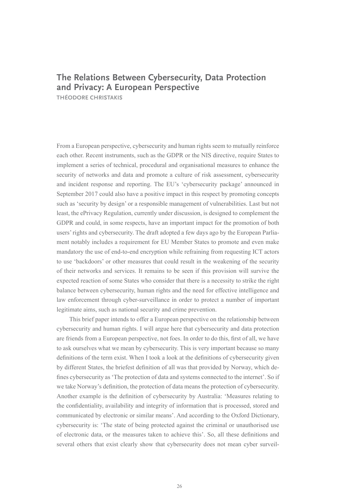## **The Relations Between Cybersecurity, Data Protection and Privacy: A European Perspective**

**THÉODORE CHRISTAKIS**

From a European perspective, cybersecurity and human rights seem to mutually reinforce each other. Recent instruments, such as the GDPR or the NIS directive, require States to implement a series of technical, procedural and organisational measures to enhance the security of networks and data and promote a culture of risk assessment, cybersecurity and incident response and reporting. The EU's 'cybersecurity package' announced in September 2017 could also have a positive impact in this respect by promoting concepts such as 'security by design' or a responsible management of vulnerabilities. Last but not least, the ePrivacy Regulation, currently under discussion, is designed to complement the GDPR and could, in some respects, have an important impact for the promotion of both users' rights and cybersecurity. The draft adopted a few days ago by the European Parliament notably includes a requirement for EU Member States to promote and even make mandatory the use of end-to-end encryption while refraining from requesting ICT actors to use 'backdoors' or other measures that could result in the weakening of the security of their networks and services. It remains to be seen if this provision will survive the expected reaction of some States who consider that there is a necessity to strike the right balance between cybersecurity, human rights and the need for effective intelligence and law enforcement through cyber-surveillance in order to protect a number of important legitimate aims, such as national security and crime prevention.

This brief paper intends to offer a European perspective on the relationship between cybersecurity and human rights. I will argue here that cybersecurity and data protection are friends from a European perspective, not foes. In order to do this, first of all, we have to ask ourselves what we mean by cybersecurity. This is very important because so many definitions of the term exist. When I took a look at the definitions of cybersecurity given by different States, the briefest definition of all was that provided by Norway, which defines cybersecurity as 'The protection of data and systems connected to the internet'. So if we take Norway's definition, the protection of data means the protection of cybersecurity. Another example is the definition of cybersecurity by Australia: 'Measures relating to the confidentiality, availability and integrity of information that is processed, stored and communicated by electronic or similar means'. And according to the Oxford Dictionary, cybersecurity is: 'The state of being protected against the criminal or unauthorised use of electronic data, or the measures taken to achieve this'. So, all these definitions and several others that exist clearly show that cybersecurity does not mean cyber surveil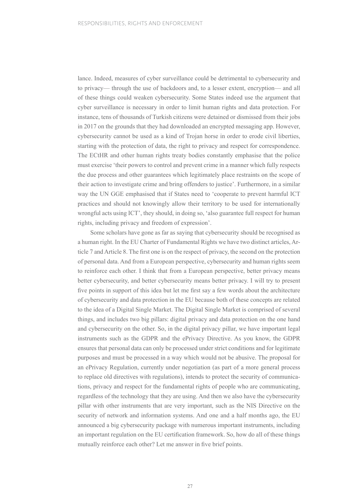lance. Indeed, measures of cyber surveillance could be detrimental to cybersecurity and to privacy— through the use of backdoors and, to a lesser extent, encryption— and all of these things could weaken cybersecurity. Some States indeed use the argument that cyber surveillance is necessary in order to limit human rights and data protection. For instance, tens of thousands of Turkish citizens were detained or dismissed from their jobs in 2017 on the grounds that they had downloaded an encrypted messaging app. However, cybersecurity cannot be used as a kind of Trojan horse in order to erode civil liberties, starting with the protection of data, the right to privacy and respect for correspondence. The ECtHR and other human rights treaty bodies constantly emphasise that the police must exercise 'their powers to control and prevent crime in a manner which fully respects the due process and other guarantees which legitimately place restraints on the scope of their action to investigate crime and bring offenders to justice'. Furthermore, in a similar way the UN GGE emphasised that if States need to 'cooperate to prevent harmful ICT practices and should not knowingly allow their territory to be used for internationally wrongful acts using ICT', they should, in doing so, 'also guarantee full respect for human rights, including privacy and freedom of expression'.

Some scholars have gone as far as saying that cybersecurity should be recognised as a human right. In the EU Charter of Fundamental Rights we have two distinct articles, Article 7 and Article 8. The first one is on the respect of privacy, the second on the protection of personal data. And from a European perspective, cybersecurity and human rights seem to reinforce each other. I think that from a European perspective, better privacy means better cybersecurity, and better cybersecurity means better privacy. I will try to present five points in support of this idea but let me first say a few words about the architecture of cybersecurity and data protection in the EU because both of these concepts are related to the idea of a Digital Single Market. The Digital Single Market is comprised of several things, and includes two big pillars: digital privacy and data protection on the one hand and cybersecurity on the other. So, in the digital privacy pillar, we have important legal instruments such as the GDPR and the ePrivacy Directive. As you know, the GDPR ensures that personal data can only be processed under strict conditions and for legitimate purposes and must be processed in a way which would not be abusive. The proposal for an ePrivacy Regulation, currently under negotiation (as part of a more general process to replace old directives with regulations), intends to protect the security of communications, privacy and respect for the fundamental rights of people who are communicating, regardless of the technology that they are using. And then we also have the cybersecurity pillar with other instruments that are very important, such as the NIS Directive on the security of network and information systems. And one and a half months ago, the EU announced a big cybersecurity package with numerous important instruments, including an important regulation on the EU certification framework. So, how do all of these things mutually reinforce each other? Let me answer in five brief points.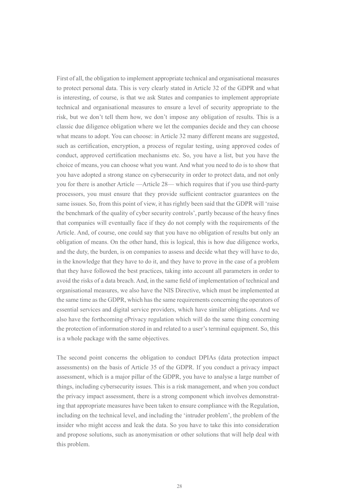First of all, the obligation to implement appropriate technical and organisational measures to protect personal data. This is very clearly stated in Article 32 of the GDPR and what is interesting, of course, is that we ask States and companies to implement appropriate technical and organisational measures to ensure a level of security appropriate to the risk, but we don't tell them how, we don't impose any obligation of results. This is a classic due diligence obligation where we let the companies decide and they can choose what means to adopt. You can choose: in Article 32 many different means are suggested, such as certification, encryption, a process of regular testing, using approved codes of conduct, approved certification mechanisms etc. So, you have a list, but you have the choice of means, you can choose what you want. And what you need to do is to show that you have adopted a strong stance on cybersecurity in order to protect data, and not only you for there is another Article —Article 28— which requires that if you use third-party processors, you must ensure that they provide sufficient contractor guarantees on the same issues. So, from this point of view, it has rightly been said that the GDPR will 'raise the benchmark of the quality of cyber security controls', partly because of the heavy fines that companies will eventually face if they do not comply with the requirements of the Article. And, of course, one could say that you have no obligation of results but only an obligation of means. On the other hand, this is logical, this is how due diligence works, and the duty, the burden, is on companies to assess and decide what they will have to do, in the knowledge that they have to do it, and they have to prove in the case of a problem that they have followed the best practices, taking into account all parameters in order to avoid the risks of a data breach. And, in the same field of implementation of technical and organisational measures, we also have the NIS Directive, which must be implemented at the same time as the GDPR, which has the same requirements concerning the operators of essential services and digital service providers, which have similar obligations. And we also have the forthcoming ePrivacy regulation which will do the same thing concerning the protection of information stored in and related to a user's terminal equipment. So, this is a whole package with the same objectives.

The second point concerns the obligation to conduct DPIAs (data protection impact assessments) on the basis of Article 35 of the GDPR. If you conduct a privacy impact assessment, which is a major pillar of the GDPR, you have to analyse a large number of things, including cybersecurity issues. This is a risk management, and when you conduct the privacy impact assessment, there is a strong component which involves demonstrating that appropriate measures have been taken to ensure compliance with the Regulation, including on the technical level, and including the 'intruder problem', the problem of the insider who might access and leak the data. So you have to take this into consideration and propose solutions, such as anonymisation or other solutions that will help deal with this problem.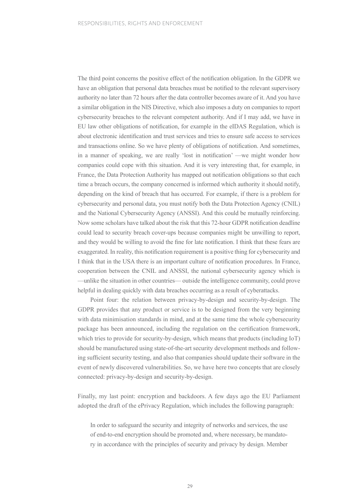The third point concerns the positive effect of the notification obligation. In the GDPR we have an obligation that personal data breaches must be notified to the relevant supervisory authority no later than 72 hours after the data controller becomes aware of it. And you have a similar obligation in the NIS Directive, which also imposes a duty on companies to report cybersecurity breaches to the relevant competent authority. And if I may add, we have in EU law other obligations of notification, for example in the eIDAS Regulation, which is about electronic identification and trust services and tries to ensure safe access to services and transactions online. So we have plenty of obligations of notification. And sometimes, in a manner of speaking, we are really 'lost in notification' —we might wonder how companies could cope with this situation. And it is very interesting that, for example, in France, the Data Protection Authority has mapped out notification obligations so that each time a breach occurs, the company concerned is informed which authority it should notify, depending on the kind of breach that has occurred. For example, if there is a problem for cybersecurity and personal data, you must notify both the Data Protection Agency (CNIL) and the National Cybersecurity Agency (ANSSI). And this could be mutually reinforcing. Now some scholars have talked about the risk that this 72-hour GDPR notification deadline could lead to security breach cover-ups because companies might be unwilling to report, and they would be willing to avoid the fine for late notification. I think that these fears are exaggerated. In reality, this notification requirement is a positive thing for cybersecurity and I think that in the USA there is an important culture of notification procedures. In France, cooperation between the CNIL and ANSSI, the national cybersecurity agency which is —unlike the situation in other countries— outside the intelligence community, could prove helpful in dealing quickly with data breaches occurring as a result of cyberattacks.

Point four: the relation between privacy-by-design and security-by-design. The GDPR provides that any product or service is to be designed from the very beginning with data minimisation standards in mind, and at the same time the whole cybersecurity package has been announced, including the regulation on the certification framework, which tries to provide for security-by-design, which means that products (including IoT) should be manufactured using state-of-the-art security development methods and following sufficient security testing, and also that companies should update their software in the event of newly discovered vulnerabilities. So, we have here two concepts that are closely connected: privacy-by-design and security-by-design.

Finally, my last point: encryption and backdoors. A few days ago the EU Parliament adopted the draft of the ePrivacy Regulation, which includes the following paragraph:

In order to safeguard the security and integrity of networks and services, the use of end-to-end encryption should be promoted and, where necessary, be mandatory in accordance with the principles of security and privacy by design. Member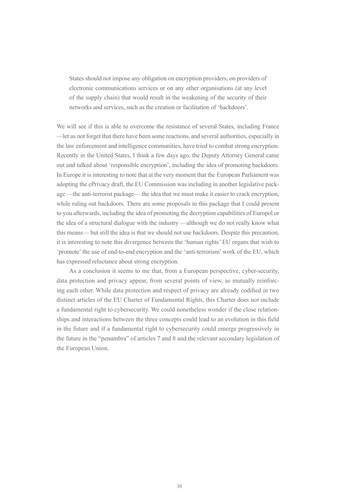States should not impose any obligation on encryption providers, on providers of electronic communications services or on any other organisations (at any level of the supply chain) that would result in the weakening of the security of their networks and services, such as the creation or facilitation of 'backdoors'.

We will see if this is able to overcome the resistance of several States, including France —let us not forget that there have been some reactions, and several authorities, especially in the law enforcement and intelligence communities, have tried to combat strong encryption. Recently in the United States, I think a few days ago, the Deputy Attorney General came out and talked about 'responsible encryption', including the idea of promoting backdoors. In Europe it is interesting to note that at the very moment that the European Parliament was adopting the ePrivacy draft, the EU Commission was including in another legislative package —the anti-terrorist package— the idea that we must make it easier to crack encryption, while ruling out backdoors. There are some proposals in this package that I could present to you afterwards, including the idea of promoting the decryption capabilities of Europol or the idea of a structural dialogue with the industry —although we do not really know what this means— but still the idea is that we should not use backdoors. Despite this precaution, it is interesting to note this divergence between the 'human rights' EU organs that wish to 'promote' the use of end-to-end encryption and the 'anti-terrorism' work of the EU, which has expressed reluctance about strong encryption.

As a conclusion it seems to me that, from a European perspective, cyber-security, data protection and privacy appear, from several points of view, as mutually reinforcing each other. While data protection and respect of privacy are already codified in two distinct articles of the EU Charter of Fundamental Rights, this Charter does not include a fundamental right to cybersecurity. We could nonetheless wonder if the close relationships and interactions between the three concepts could lead to an evolution in this field in the future and if a fundamental right to cybersecurity could emerge progressively in the future in the "penumbra" of articles 7 and 8 and the relevant secondary legislation of the European Union.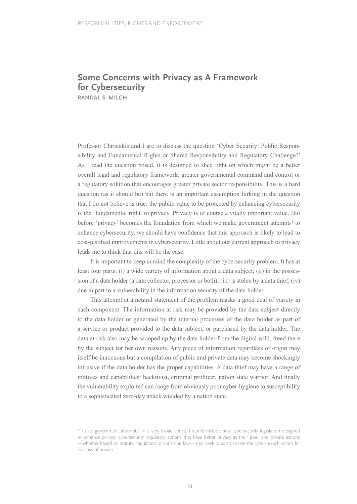# **Some Concerns with Privacy as A Framework for Cybersecurity**

**RANDAL S. MILCH**

Professor Christakis and I are to discuss the question 'Cyber Security: Public Responsibility and Fundamental Rights or Shared Responsibility and Regulatory Challenge?' As I read the question posed, it is designed to shed light on which might be a better overall legal and regulatory framework: greater governmental command and control or a regulatory solution that encourages greater private sector responsibility. This is a hard question (as it should be) but there is an important assumption lurking in the question that I do not believe is true: the public value to be protected by enhancing cybersecurity is the 'fundamental right' to privacy. Privacy is of course a vitally important value. But before 'privacy' becomes the foundation from which we make government attempts<sup>1</sup> to enhance cybersecurity, we should have confidence that this approach is likely to lead to cost-justified improvements in cybersecurity. Little about our current approach to privacy leads me to think that this will be the case.

It is important to keep in mind the complexity of the cybersecurity problem. It has at least four parts: (i) a wide variety of information about a data subject; (ii) in the possession of a data holder (a data collector, processor or both); (iii) is stolen by a data thief; (iv) due in part to a vulnerability in the information security of the data holder.

This attempt at a neutral statement of the problem masks a good deal of variety in each component. The information at risk may be provided by the data subject directly to the data holder or generated by the internal processes of the data holder as part of a service or product provided to the data subject, or purchased by the data holder. The data at risk also may be scooped up by the data holder from the digital wild, freed there by the subject for her own reasons. Any piece of information regardless of origin may itself be innocuous but a compilation of public and private data may become shockingly intrusive if the data holder has the proper capabilities. A data thief may have a range of motives and capabilities: hacktivist, criminal profiteer, nation state warrior. And finally the vulnerability exploited can range from obviously poor cyber-hygiene to susceptibility to a sophisticated zero-day attack wielded by a nation state.

<sup>&</sup>lt;sup>1</sup> I use 'government attempts' in a very broad sense. I would include new cybersecurity legislation designed to enhance privacy, cybersecurity regulatory actions that have better privacy as their goal, and private actions —whether based on statute, regulation or common law— that seek to compensate the cyber-breach victim for her loss of privacy.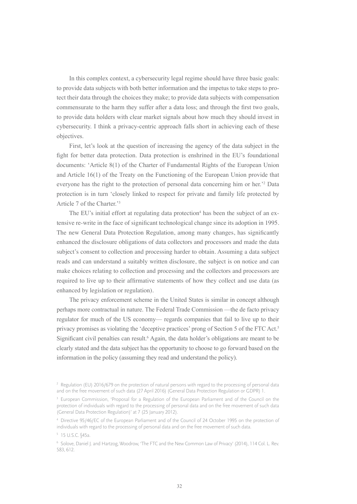In this complex context, a cybersecurity legal regime should have three basic goals: to provide data subjects with both better information and the impetus to take steps to protect their data through the choices they make; to provide data subjects with compensation commensurate to the harm they suffer after a data loss; and through the first two goals, to provide data holders with clear market signals about how much they should invest in cybersecurity. I think a privacy-centric approach falls short in achieving each of these objectives.

First, let's look at the question of increasing the agency of the data subject in the fight for better data protection. Data protection is enshrined in the EU's foundational documents: 'Article 8(1) of the Charter of Fundamental Rights of the European Union and Article 16(1) of the Treaty on the Functioning of the European Union provide that everyone has the right to the protection of personal data concerning him or her.'2 Data protection is in turn 'closely linked to respect for private and family life protected by Article 7 of the Charter.'3

The EU's initial effort at regulating data protection<sup>4</sup> has been the subject of an extensive re-write in the face of significant technological change since its adoption in 1995. The new General Data Protection Regulation, among many changes, has significantly enhanced the disclosure obligations of data collectors and processors and made the data subject's consent to collection and processing harder to obtain. Assuming a data subject reads and can understand a suitably written disclosure, the subject is on notice and can make choices relating to collection and processing and the collectors and processors are required to live up to their affirmative statements of how they collect and use data (as enhanced by legislation or regulation).

The privacy enforcement scheme in the United States is similar in concept although perhaps more contractual in nature. The Federal Trade Commission —the de facto privacy regulator for much of the US economy— regards companies that fail to live up to their privacy promises as violating the 'deceptive practices' prong of Section 5 of the FTC Act.5 Significant civil penalties can result.<sup>6</sup> Again, the data holder's obligations are meant to be clearly stated and the data subject has the opportunity to choose to go forward based on the information in the policy (assuming they read and understand the policy).

<sup>&</sup>lt;sup>2</sup> Regulation (EU) 2016/679 on the protection of natural persons with regard to the processing of personal data and on the free movement of such data (27 April 2016) (General Data Protection Regulation or GDPR) 1.

<sup>&</sup>lt;sup>3</sup> European Commission, 'Proposal for a Regulation of the European Parliament and of the Council on the protection of individuals with regard to the processing of personal data and on the free movement of such data (General Data Protection Regulation)' at 7 (25 January 2012).

<sup>4</sup> Directive 95/46/EC of the European Parliament and of the Council of 24 October 1995 on the protection of individuals with regard to the processing of personal data and on the free movement of such data.

<sup>&</sup>lt;sup>5</sup> 15 U.S.C. §45a.

<sup>6</sup> Solove, Daniel J. and Hartzog, Woodrow, 'The FTC and the New Common Law of Privacy' (2014), 114 Col. L. Rev. 583, 612.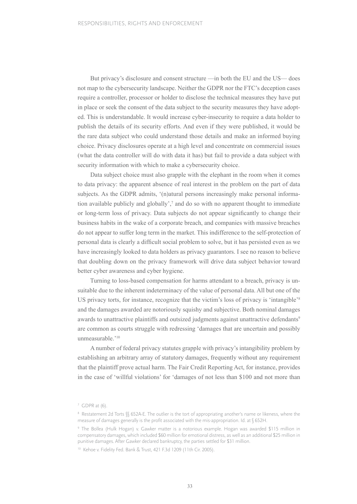But privacy's disclosure and consent structure —in both the EU and the US— does not map to the cybersecurity landscape. Neither the GDPR nor the FTC's deception cases require a controller, processor or holder to disclose the technical measures they have put in place or seek the consent of the data subject to the security measures they have adopted. This is understandable. It would increase cyber-insecurity to require a data holder to publish the details of its security efforts. And even if they were published, it would be the rare data subject who could understand those details and make an informed buying choice. Privacy disclosures operate at a high level and concentrate on commercial issues (what the data controller will do with data it has) but fail to provide a data subject with security information with which to make a cybersecurity choice.

Data subject choice must also grapple with the elephant in the room when it comes to data privacy: the apparent absence of real interest in the problem on the part of data subjects. As the GDPR admits, '(n)atural persons increasingly make personal information available publicly and globally',<sup>7</sup> and do so with no apparent thought to immediate or long-term loss of privacy. Data subjects do not appear significantly to change their business habits in the wake of a corporate breach, and companies with massive breaches do not appear to suffer long term in the market. This indifference to the self-protection of personal data is clearly a difficult social problem to solve, but it has persisted even as we have increasingly looked to data holders as privacy guarantors. I see no reason to believe that doubling down on the privacy framework will drive data subject behavior toward better cyber awareness and cyber hygiene.

Turning to loss-based compensation for harms attendant to a breach, privacy is unsuitable due to the inherent indeterminacy of the value of personal data. All but one of the US privacy torts, for instance, recognize that the victim's loss of privacy is 'intangible'<sup>8</sup> and the damages awarded are notoriously squishy and subjective. Both nominal damages awards to unattractive plaintiffs and outsized judgments against unattractive defendants<sup>9</sup> are common as courts struggle with redressing 'damages that are uncertain and possibly unmeasurable.'10

A number of federal privacy statutes grapple with privacy's intangibility problem by establishing an arbitrary array of statutory damages, frequently without any requirement that the plaintiff prove actual harm. The Fair Credit Reporting Act, for instance, provides in the case of 'willful violations' for 'damages of not less than \$100 and not more than

 $7$  GDPR at (6).

<sup>8</sup> Restatement 2d Torts §§ 652A-E. The outlier is the tort of appropriating another's name or likeness, where the measure of damages generally is the profit associated with the mis-appropriation. Id. at § 652H.

<sup>9</sup> The Bollea (Hulk Hogan) v. Gawker matter is a notorious example. Hogan was awarded \$115 million in compensatory damages, which included \$60 million for emotional distress, as well as an additional \$25 million in punitive damages. After Gawker declared bankruptcy, the parties settled for \$31 million.

<sup>10</sup> Kehoe v. Fidelity Fed. Bank & Trust, 421 F.3d 1209 (11th Cir. 2005).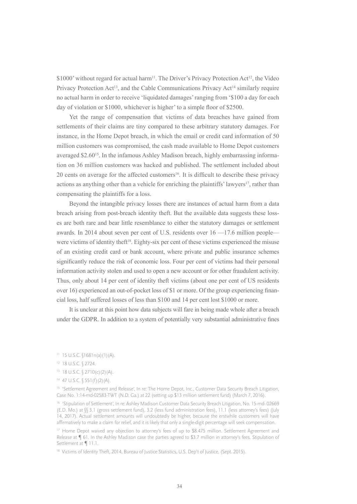\$1000' without regard for actual harm<sup>11</sup>. The Driver's Privacy Protection Act<sup>12</sup>, the Video Privacy Protection Act<sup>13</sup>, and the Cable Communications Privacy Act<sup>14</sup> similarly require no actual harm in order to receive 'liquidated damages' ranging from '\$100 a day for each day of violation or \$1000, whichever is higher' to a simple floor of \$2500.

Yet the range of compensation that victims of data breaches have gained from settlements of their claims are tiny compared to these arbitrary statutory damages. For instance, in the Home Depot breach, in which the email or credit card information of 50 million customers was compromised, the cash made available to Home Depot customers averaged \$2.60<sup>15</sup>. In the infamous Ashley Madison breach, highly embarrassing information on 36 million customers was hacked and published. The settlement included about 20 cents on average for the affected customers<sup>16</sup>. It is difficult to describe these privacy actions as anything other than a vehicle for enriching the plaintiffs' lawyers<sup>17</sup>, rather than compensating the plaintiffs for a loss.

Beyond the intangible privacy losses there are instances of actual harm from a data breach arising from post-breach identity theft. But the available data suggests these losses are both rare and bear little resemblance to either the statutory damages or settlement awards. In 2014 about seven per cent of U.S. residents over 16 —17.6 million people were victims of identity the  $ft^{18}$ . Eighty-six per cent of these victims experienced the misuse of an existing credit card or bank account, where private and public insurance schemes significantly reduce the risk of economic loss. Four per cent of victims had their personal information activity stolen and used to open a new account or for other fraudulent activity. Thus, only about 14 per cent of identity theft victims (about one per cent of US residents over 16) experienced an out-of-pocket loss of \$1 or more. Of the group experiencing financial loss, half suffered losses of less than \$100 and 14 per cent lost \$1000 or more.

It is unclear at this point how data subjects will fare in being made whole after a breach under the GDPR. In addition to a system of potentially very substantial administrative fines

- <sup>13</sup> 18 U.S.C. § 2710(c)(2)(A).
- 14 47 U.S.C. § 551 (f)(2)(A).

<sup>15</sup> 'Settlement Agreement and Release', In re: The Home Depot, Inc., Customer Data Security Breach Litigation, Case No. 1:14-md-02583-TWT (N.D. Ga.) at 22 (setting up \$13 million settlement fund) (March 7, 2016).

<sup>16</sup> 'Stipulation of Settlement', In re: Ashley Madison Customer Data Security Breach Litigation, No. 15-md- 02669 (E.D. Mo.) at §§ 3.1 (gross settlement fund), 3.2 (less fund administration fees), 11.1 (less attorney's fees) (July 14, 2017). Actual settlement amounts will undoubtedly be higher, because the erstwhile customers will have affirmatively to make a claim for relief, and it is likely that only a single-digit percentage will seek compensation.

<sup>17</sup> Home Depot waived any objection to attorney's fees of up to \$8.475 million. Settlement Agreement and Release at ¶ 61. In the Ashley Madison case the parties agreed to \$3.7 million in attorney's fees. Stipulation of Settlement at ¶ 11.1.

<sup>18</sup> Victims of Identity Theft, 2014, Bureau of Justice Statistics, U.S. Dep't of Justice, (Sept. 2015).

 $11$  15 U.S.C.  $(1681n(a)(1)(A)).$ 

<sup>12 18</sup> U.S.C. § 2724.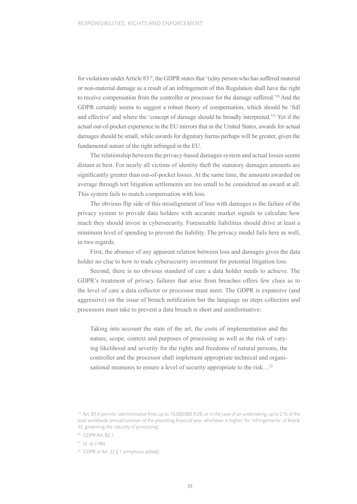for violations under Article 83<sup>19</sup>, the GDPR states that '(a)ny person who has suffered material or non-material damage as a result of an infringement of this Regulation shall have the right to receive compensation from the controller or processor for the damage suffered.'20 And the GDPR certainly seems to suggest a robust theory of compensation, which should be 'full and effective' and where the 'concept of damage should be broadly interpreted.'21 Yet if the actual out-of-pocket experience in the EU mirrors that in the United States, awards for actual damages should be small, while awards for dignitary harms perhaps will be greater, given the fundamental nature of the right infringed in the EU.

The relationship between the privacy-based damages system and actual losses seems distant at best. For nearly all victims of identity theft the statutory damages amounts are significantly greater than out-of-pocket losses. At the same time, the amounts awarded on average through tort litigation settlements are too small to be considered an award at all. This system fails to match compensation with loss.

The obvious flip side of this misalignment of loss with damages is the failure of the privacy system to provide data holders with accurate market signals to calculate how much they should invest in cybersecurity. Foreseeable liabilities should drive at least a minimum level of spending to prevent the liability. The privacy model fails here as well, in two regards.

First, the absence of any apparent relation between loss and damages gives the data holder no clue to how to trade cybersecurity investment for potential litigation loss.

Second, there is no obvious standard of care a data holder needs to achieve. The GDPR's treatment of privacy failures that arise from breaches offers few clues as to the level of care a data collector or processor must meet. The GDPR is expansive (and aggressive) on the issue of breach notification but the language on steps collectors and processors must take to prevent a data breach is short and uninformative:

Taking into account the state of the art, the costs of implementation and the nature, scope, context and purposes of processing as well as the risk of varying likelihood and severity for the rights and freedoms of natural persons, the controller and the processor shall implement appropriate technical and organisational measures to ensure a level of security appropriate to the risk...<sup>22</sup>

 $21$  Id. at (146).

<sup>22</sup> GDPR at Art. 32 § 1 (emphasis added).

<sup>&</sup>lt;sup>19</sup> Art. 83.4 permits 'administrative fines up to 10,000,000 EUR, or in the case of an undertaking, up to 2 % of the total worldwide annual turnover of the preceding financial year, whichever is higher' for 'infringements' of Article 32, governing the 'security of processing'.

<sup>20</sup> GDPR Art. 82.1.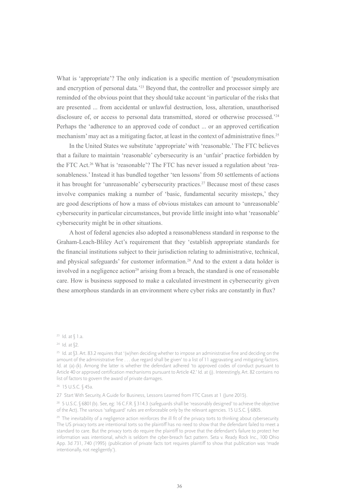What is 'appropriate'? The only indication is a specific mention of 'pseudonymisation and encryption of personal data.'<sup>23</sup> Beyond that, the controller and processor simply are reminded of the obvious point that they should take account 'in particular of the risks that are presented ... from accidental or unlawful destruction, loss, alteration, unauthorised disclosure of, or access to personal data transmitted, stored or otherwise processed.<sup>224</sup> Perhaps the 'adherence to an approved code of conduct ... or an approved certification mechanism' may act as a mitigating factor, at least in the context of administrative fines.<sup>25</sup>

In the United States we substitute 'appropriate' with 'reasonable.' The FTC believes that a failure to maintain 'reasonable' cybersecurity is an 'unfair' practice forbidden by the FTC Act.26 What is 'reasonable'? The FTC has never issued a regulation about 'reasonableness.' Instead it has bundled together 'ten lessons' from 50 settlements of actions it has brought for 'unreasonable' cybersecurity practices.27 Because most of these cases involve companies making a number of 'basic, fundamental security missteps,' they are good descriptions of how a mass of obvious mistakes can amount to 'unreasonable' cybersecurity in particular circumstances, but provide little insight into what 'reasonable' cybersecurity might be in other situations.

A host of federal agencies also adopted a reasonableness standard in response to the Graham-Leach-Bliley Act's requirement that they 'establish appropriate standards for the financial institutions subject to their jurisdiction relating to administrative, technical, and physical safeguards' for customer information.28 And to the extent a data holder is involved in a negligence action<sup>29</sup> arising from a breach, the standard is one of reasonable care. How is business supposed to make a calculated investment in cybersecurity given these amorphous standards in an environment where cyber risks are constantly in flux?

27 Start With Security, A Guide for Business, Lessons Learned from FTC Cases at 1 (June 2015).

<sup>28</sup> 5 U.S.C. § 6801(b). See, eg: 16 C.F.R. § 314.3 (safeguards shall be 'reasonably designed' to achieve the objective of the Act). The various 'safeguard' rules are enforceable only by the relevant agencies. 15 U.S.C. § 6805.

 $23$  Id. at  $$1.a.$ 

 $24$  Id. at  $$2$ .

<sup>&</sup>lt;sup>25</sup> Id. at  $$3.$  Art. 83.2 requires that '(w)hen deciding whether to impose an administrative fine and deciding on the amount of the administrative fine . . . due regard shall be given' to a list of 11 aggravating and mitigating factors. Id. at (a)-(k). Among the latter is whether the defendant adhered 'to approved codes of conduct pursuant to Article 40 or approved certification mechanisms pursuant to Article 42.' Id. at (j). Interestingly, Art. 82 contains no list of factors to govern the award of private damages.

<sup>26 15</sup> U.S.C. § 45a.

<sup>&</sup>lt;sup>29</sup> The inevitability of a negligence action reinforces the ill fit of the privacy torts to thinking about cybersecurity. The US privacy torts are intentional torts so the plaintiff has no need to show that the defendant failed to meet a standard to care. But the privacy torts do require the plaintiff to prove that the defendant's failure to protect her information was intentional, which is seldom the cyber-breach fact pattern. Seta v. Ready Rock Inc., 100 Ohio App. 3d 731, 740 (1995) (publication of private facts tort requires plaintiff to show that publication was 'made intentionally, not negligently.').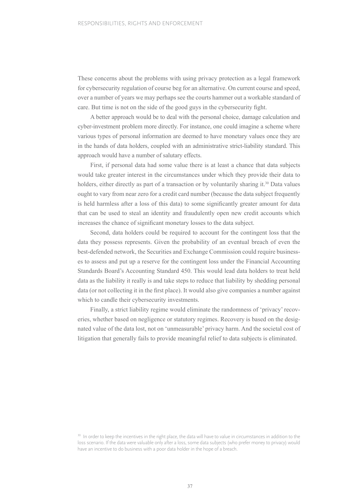These concerns about the problems with using privacy protection as a legal framework for cybersecurity regulation of course beg for an alternative. On current course and speed, over a number of years we may perhaps see the courts hammer out a workable standard of care. But time is not on the side of the good guys in the cybersecurity fight.

A better approach would be to deal with the personal choice, damage calculation and cyber-investment problem more directly. For instance, one could imagine a scheme where various types of personal information are deemed to have monetary values once they are in the hands of data holders, coupled with an administrative strict-liability standard. This approach would have a number of salutary effects.

First, if personal data had some value there is at least a chance that data subjects would take greater interest in the circumstances under which they provide their data to holders, either directly as part of a transaction or by voluntarily sharing it.<sup>30</sup> Data values ought to vary from near zero for a credit card number (because the data subject frequently is held harmless after a loss of this data) to some significantly greater amount for data that can be used to steal an identity and fraudulently open new credit accounts which increases the chance of significant monetary losses to the data subject.

Second, data holders could be required to account for the contingent loss that the data they possess represents. Given the probability of an eventual breach of even the best-defended network, the Securities and Exchange Commission could require businesses to assess and put up a reserve for the contingent loss under the Financial Accounting Standards Board's Accounting Standard 450. This would lead data holders to treat held data as the liability it really is and take steps to reduce that liability by shedding personal data (or not collecting it in the first place). It would also give companies a number against which to candle their cybersecurity investments.

Finally, a strict liability regime would eliminate the randomness of 'privacy' recoveries, whether based on negligence or statutory regimes. Recovery is based on the designated value of the data lost, not on 'unmeasurable' privacy harm. And the societal cost of litigation that generally fails to provide meaningful relief to data subjects is eliminated.

<sup>&</sup>lt;sup>30</sup> In order to keep the incentives in the right place, the data will have to value in circumstances in addition to the loss scenario. If the data were valuable only after a loss, some data subjects (who prefer money to privacy) would have an incentive to do business with a poor data holder in the hope of a breach.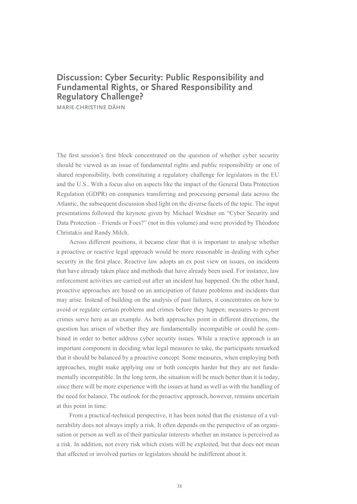## **Discussion: Cyber Security: Public Responsibility and Fundamental Rights, or Shared Responsibility and Regulatory Challenge?**

**MARIE-CHRISTINE DÄHN**

The first session's first block concentrated on the question of whether cyber security should be viewed as an issue of fundamental rights and public responsibility or one of shared responsibility, both constituting a regulatory challenge for legislators in the EU and the U.S.. With a focus also on aspects like the impact of the General Data Protection Regulation (GDPR) on companies transferring and processing personal data across the Atlantic, the subsequent discussion shed light on the diverse facets of the topic. The input presentations followed the keynote given by Michael Weidner on "Cyber Security and Data Protection – Friends or Foes?" (not in this volume) and were provided by Théodore Christakis and Randy Milch.

Across different positions, it became clear that it is important to analyse whether a proactive or reactive legal approach would be more reasonable in dealing with cyber security in the first place. Reactive law adopts an ex post view on issues, on incidents that have already taken place and methods that have already been used. For instance, law enforcement activities are carried out after an incident has happened. On the other hand, proactive approaches are based on an anticipation of future problems and incidents that may arise. Instead of building on the analysis of past failures, it concentrates on how to avoid or regulate certain problems and crimes before they happen; measures to prevent crimes serve here as an example. As both approaches point in different directions, the question has arisen of whether they are fundamentally incompatible or could be combined in order to better address cyber security issues. While a reactive approach is an important component in deciding what legal measures to take, the participants remarked that it should be balanced by a proactive concept. Some measures, when employing both approaches, might make applying one or both concepts harder but they are not fundamentally incompatible. In the long term, the situation will be much better than it is today, since there will be more experience with the issues at hand as well as with the handling of the need for balance. The outlook for the proactive approach, however, remains uncertain at this point in time.

From a practical-technical perspective, it has been noted that the existence of a vulnerability does not always imply a risk. It often depends on the perspective of an organisation or person as well as of their particular interests whether an instance is perceived as a risk. In addition, not every risk which exists will be exploited, but that does not mean that affected or involved parties or legislators should be indifferent about it.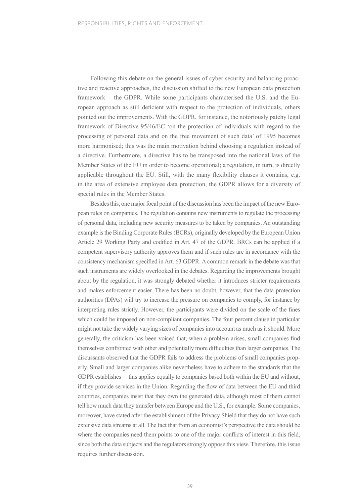Following this debate on the general issues of cyber security and balancing proactive and reactive approaches, the discussion shifted to the new European data protection framework —the GDPR. While some participants characterised the U.S. and the European approach as still deficient with respect to the protection of individuals, others pointed out the improvements. With the GDPR, for instance, the notoriously patchy legal framework of Directive 95/46/EC 'on the protection of individuals with regard to the processing of personal data and on the free movement of such data' of 1995 becomes more harmonised; this was the main motivation behind choosing a regulation instead of a directive. Furthermore, a directive has to be transposed into the national laws of the Member States of the EU in order to become operational; a regulation, in turn, is directly applicable throughout the EU. Still, with the many flexibility clauses it contains, e.g. in the area of extensive employee data protection, the GDPR allows for a diversity of special rules in the Member States.

Besides this, one major focal point of the discussion has been the impact of the new European rules on companies. The regulation contains new instruments to regulate the processing of personal data, including new security measures to be taken by companies. An outstanding example is the Binding Corporate Rules (BCRs), originally developed by the European Union Article 29 Working Party and codified in Art. 47 of the GDPR. BRCs can be applied if a competent supervisory authority approves them and if such rules are in accordance with the consistency mechanism specified in Art. 63 GDPR. A common remark in the debate was that such instruments are widely overlooked in the debates. Regarding the improvements brought about by the regulation, it was strongly debated whether it introduces stricter requirements and makes enforcement easier. There has been no doubt, however, that the data protection authorities (DPAs) will try to increase the pressure on companies to comply, for instance by interpreting rules strictly. However, the participants were divided on the scale of the fines which could be imposed on non-compliant companies. The four percent clause in particular might not take the widely varying sizes of companies into account as much as it should. More generally, the criticism has been voiced that, when a problem arises, small companies find themselves confronted with other and potentially more difficulties than larger companies. The discussants observed that the GDPR fails to address the problems of small companies properly. Small and larger companies alike nevertheless have to adhere to the standards that the GDPR establishes —this applies equally to companies based both within the EU and without, if they provide services in the Union. Regarding the flow of data between the EU and third countries, companies insist that they own the generated data, although most of them cannot tell how much data they transfer between Europe and the U.S., for example. Some companies, moreover, have stated after the establishment of the Privacy Shield that they do not have such extensive data streams at all. The fact that from an economist's perspective the data should be where the companies need them points to one of the major conflicts of interest in this field, since both the data subjects and the regulators strongly oppose this view. Therefore, this issue requires further discussion.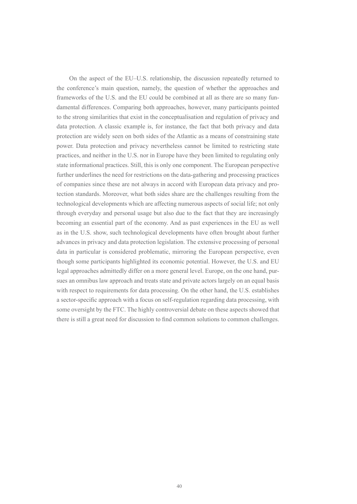On the aspect of the EU–U.S. relationship, the discussion repeatedly returned to the conference's main question, namely, the question of whether the approaches and frameworks of the U.S. and the EU could be combined at all as there are so many fundamental differences. Comparing both approaches, however, many participants pointed to the strong similarities that exist in the conceptualisation and regulation of privacy and data protection. A classic example is, for instance, the fact that both privacy and data protection are widely seen on both sides of the Atlantic as a means of constraining state power. Data protection and privacy nevertheless cannot be limited to restricting state practices, and neither in the U.S. nor in Europe have they been limited to regulating only state informational practices. Still, this is only one component. The European perspective further underlines the need for restrictions on the data-gathering and processing practices of companies since these are not always in accord with European data privacy and protection standards. Moreover, what both sides share are the challenges resulting from the technological developments which are affecting numerous aspects of social life; not only through everyday and personal usage but also due to the fact that they are increasingly becoming an essential part of the economy. And as past experiences in the EU as well as in the U.S. show, such technological developments have often brought about further advances in privacy and data protection legislation. The extensive processing of personal data in particular is considered problematic, mirroring the European perspective, even though some participants highlighted its economic potential. However, the U.S. and EU legal approaches admittedly differ on a more general level. Europe, on the one hand, pursues an omnibus law approach and treats state and private actors largely on an equal basis with respect to requirements for data processing. On the other hand, the U.S. establishes a sector-specific approach with a focus on self-regulation regarding data processing, with some oversight by the FTC. The highly controversial debate on these aspects showed that there is still a great need for discussion to find common solutions to common challenges.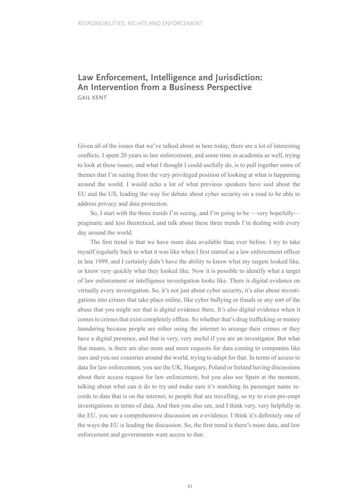## **Law Enforcement, Intelligence and Jurisdiction: An Intervention from a Business Perspective**

**GAIL KENT**

Given all of the issues that we've talked about in here today, there are a lot of interesting conflicts. I spent 20 years in law enforcement, and some time in academia as well, trying to look at these issues; and what I thought I could usefully do, is to pull together some of themes that I'm seeing from the very privileged position of looking at what is happening around the world. I would echo a lot of what previous speakers have said about the EU and the US, leading the way for debate about cyber security on a road to be able to address privacy and data protection.

So, I start with the three trends I'm seeing, and I'm going to be —very hopefully pragmatic and less theoretical, and talk about these three trends I'm dealing with every day around the world.

The first trend is that we have more data available than ever before. I try to take myself regularly back to what it was like when I first started as a law enforcement officer in late 1999, and I certainly didn't have the ability to know what my targets looked like, or know very quickly what they looked like. Now it is possible to identify what a target of law enforcement or intelligence investigation looks like. There is digital evidence on virtually every investigation. So, it's not just about cyber security, it's also about investigations into crimes that take place online, like cyber bullying or frauds or any sort of the abuse that you might see that is digital evidence there. It's also digital evidence when it comes to crimes that exist completely offline. So whether that's drug trafficking or money laundering because people are either using the internet to arrange their crimes or they have a digital presence, and that is very, very useful if you are an investigator. But what that means, is there are also more and more requests for data coming to companies like ours and you see countries around the world, trying to adapt for that. In terms of access to data for law enforcement, you see the UK, Hungary, Poland or Ireland having discussions about their access request for law enforcement, but you also see Spain at the moment, talking about what can it do to try and make sure it's matching its passenger name records to data that is on the internet, to people that are travelling, so try to even pre-empt investigations in terms of data. And then you also see, and I think very, very helpfully in the EU, you see a comprehensive discussion on e-evidence. I think it's definitely one of the ways the EU is leading the discussion. So, the first trend is there's more data, and law enforcement and governments want access to that.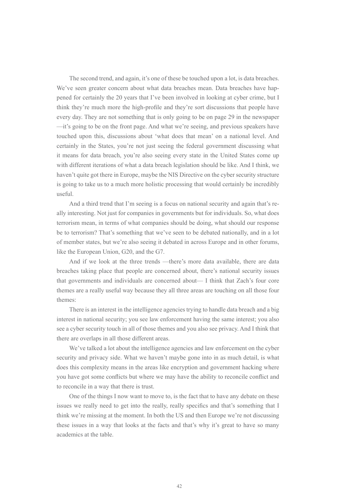The second trend, and again, it's one of these be touched upon a lot, is data breaches. We've seen greater concern about what data breaches mean. Data breaches have happened for certainly the 20 years that I've been involved in looking at cyber crime, but I think they're much more the high-profile and they're sort discussions that people have every day. They are not something that is only going to be on page 29 in the newspaper —it's going to be on the front page. And what we're seeing, and previous speakers have touched upon this, discussions about 'what does that mean' on a national level. And certainly in the States, you're not just seeing the federal government discussing what it means for data breach, you're also seeing every state in the United States come up with different iterations of what a data breach legislation should be like. And I think, we haven't quite got there in Europe, maybe the NIS Directive on the cyber security structure is going to take us to a much more holistic processing that would certainly be incredibly useful.

And a third trend that I'm seeing is a focus on national security and again that's really interesting. Not just for companies in governments but for individuals. So, what does terrorism mean, in terms of what companies should be doing, what should our response be to terrorism? That's something that we've seen to be debated nationally, and in a lot of member states, but we're also seeing it debated in across Europe and in other forums, like the European Union, G20, and the G7.

And if we look at the three trends —there's more data available, there are data breaches taking place that people are concerned about, there's national security issues that governments and individuals are concerned about— I think that Zach's four core themes are a really useful way because they all three areas are touching on all those four themes:

There is an interest in the intelligence agencies trying to handle data breach and a big interest in national security; you see law enforcement having the same interest; you also see a cyber security touch in all of those themes and you also see privacy. And I think that there are overlaps in all those different areas.

We've talked a lot about the intelligence agencies and law enforcement on the cyber security and privacy side. What we haven't maybe gone into in as much detail, is what does this complexity means in the areas like encryption and government hacking where you have got some conflicts but where we may have the ability to reconcile conflict and to reconcile in a way that there is trust.

One of the things I now want to move to, is the fact that to have any debate on these issues we really need to get into the really, really specifics and that's something that I think we're missing at the moment. In both the US and then Europe we're not discussing these issues in a way that looks at the facts and that's why it's great to have so many academics at the table.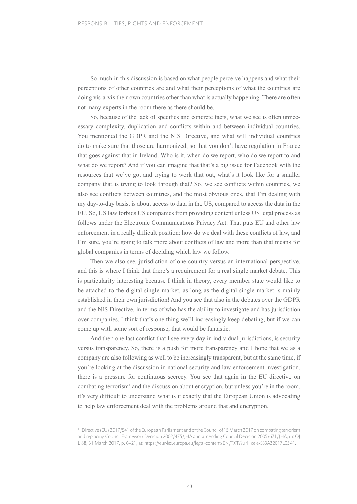So much in this discussion is based on what people perceive happens and what their perceptions of other countries are and what their perceptions of what the countries are doing vis-a-vis their own countries other than what is actually happening. There are often not many experts in the room there as there should be.

So, because of the lack of specifics and concrete facts, what we see is often unnecessary complexity, duplication and conflicts within and between individual countries. You mentioned the GDPR and the NIS Directive, and what will individual countries do to make sure that those are harmonized, so that you don't have regulation in France that goes against that in Ireland. Who is it, when do we report, who do we report to and what do we report? And if you can imagine that that's a big issue for Facebook with the resources that we've got and trying to work that out, what's it look like for a smaller company that is trying to look through that? So, we see conflicts within countries, we also see conflicts between countries, and the most obvious ones, that I'm dealing with my day-to-day basis, is about access to data in the US, compared to access the data in the EU. So, US law forbids US companies from providing content unless US legal process as follows under the Electronic Communications Privacy Act. That puts EU and other law enforcement in a really difficult position: how do we deal with these conflicts of law, and I'm sure, you're going to talk more about conflicts of law and more than that means for global companies in terms of deciding which law we follow.

Then we also see, jurisdiction of one country versus an international perspective, and this is where I think that there's a requirement for a real single market debate. This is particularity interesting because I think in theory, every member state would like to be attached to the digital single market, as long as the digital single market is mainly established in their own jurisdiction! And you see that also in the debates over the GDPR and the NIS Directive, in terms of who has the ability to investigate and has jurisdiction over companies. I think that's one thing we'll increasingly keep debating, but if we can come up with some sort of response, that would be fantastic.

And then one last conflict that I see every day in individual jurisdictions, is security versus transparency. So, there is a push for more transparency and I hope that we as a company are also following as well to be increasingly transparent, but at the same time, if you're looking at the discussion in national security and law enforcement investigation, there is a pressure for continuous secrecy. You see that again in the EU directive on combating terrorism<sup>1</sup> and the discussion about encryption, but unless you're in the room, it's very difficult to understand what is it exactly that the European Union is advocating to help law enforcement deal with the problems around that and encryption.

<sup>&</sup>lt;sup>1</sup> Directive (EU) 2017/541 of the European Parliament and of the Council of 15 March 2017 on combating terrorism and replacing Council Framework Decision 2002/475/JHA and amending Council Decision 2005/671/JHA, in: OJ L 88, 31 March 2017, p. 6–21, at: https://eur-lex.europa.eu/legal-content/EN/TXT/?uri=celex%3A32017L0541.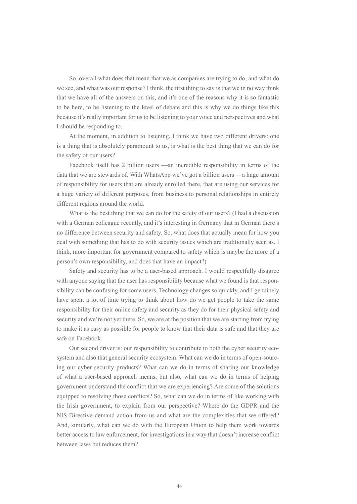So, overall what does that mean that we as companies are trying to do, and what do we see, and what was our response? I think, the first thing to say is that we in no way think that we have all of the answers on this, and it's one of the reasons why it is so fantastic to be here, to be listening to the level of debate and this is why we do things like this because it's really important for us to be listening to your voice and perspectives and what I should be responding to.

At the moment, in addition to listening, I think we have two different drivers: one is a thing that is absolutely paramount to us, is what is the best thing that we can do for the safety of our users?

Facebook itself has 2 billion users —an incredible responsibility in terms of the data that we are stewards of. With WhatsApp we've got a billion users —a huge amount of responsibility for users that are already enrolled there, that are using our services for a huge variety of different purposes, from business to personal relationships in entirely different regions around the world.

What is the best thing that we can do for the safety of our users? (I had a discussion with a German colleague recently, and it's interesting in Germany that in German there's no difference between security and safety. So, what does that actually mean for how you deal with something that has to do with security issues which are traditionally seen as, I think, more important for government compared to safety which is maybe the more of a person's own responsibility, and does that have an impact?)

Safety and security has to be a user-based approach. I would respectfully disagree with anyone saying that the user has responsibility because what we found is that responsibility can be confusing for some users. Technology changes so quickly, and I genuinely have spent a lot of time trying to think about how do we get people to take the same responsibility for their online safety and security as they do for their physical safety and security and we're not yet there. So, we are at the position that we are starting from trying to make it as easy as possible for people to know that their data is safe and that they are safe on Facebook.

Our second driver is: our responsibility to contribute to both the cyber security ecosystem and also that general security ecosystem. What can we do in terms of open-sourcing our cyber security products? What can we do in terms of sharing our knowledge of what a user-based approach means, but also, what can we do in terms of helping government understand the conflict that we are experiencing? Are some of the solutions equipped to resolving those conflicts? So, what can we do in terms of like working with the Irish government, to explain from our perspective? Where do the GDPR and the NIS Directive demand action from us and what are the complexities that we offered? And, similarly, what can we do with the European Union to help them work towards better access to law enforcement, for investigations in a way that doesn't increase conflict between laws but reduces them?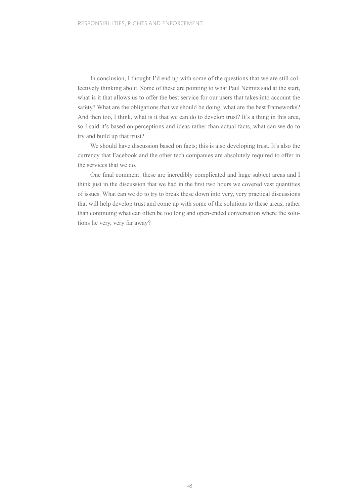In conclusion, I thought I'd end up with some of the questions that we are still collectively thinking about. Some of these are pointing to what Paul Nemitz said at the start, what is it that allows us to offer the best service for our users that takes into account the safety? What are the obligations that we should be doing, what are the best frameworks? And then too, I think, what is it that we can do to develop trust? It's a thing in this area. so I said it's based on perceptions and ideas rather than actual facts, what can we do to try and build up that trust?

We should have discussion based on facts; this is also developing trust. It's also the currency that Facebook and the other tech companies are absolutely required to offer in the services that we do.

One final comment: these are incredibly complicated and huge subject areas and I think just in the discussion that we had in the first two hours we covered vast quantities of issues. What can we do to try to break these down into very, very practical discussions that will help develop trust and come up with some of the solutions to these areas, rather than continuing what can often be too long and open-ended conversation where the solutions lie very, very far away?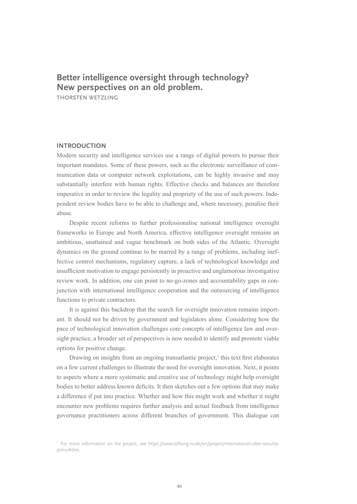### **Better intelligence oversight through technology? New perspectives on an old problem.**

**THORSTEN WETZLING**

#### **INTRODUCTION**

Modern security and intelligence services use a range of digital powers to pursue their important mandates. Some of these powers, such as the electronic surveillance of communication data or computer network exploitations, can be highly invasive and may substantially interfere with human rights. Effective checks and balances are therefore imperative in order to review the legality and propriety of the use of such powers. Independent review bodies have to be able to challenge and, where necessary, penalise their abuse.

Despite recent reforms to further professionalise national intelligence oversight frameworks in Europe and North America, effective intelligence oversight remains an ambitious, unattained and vague benchmark on both sides of the Atlantic. Oversight dynamics on the ground continue to be marred by a range of problems, including ineffective control mechanisms, regulatory capture, a lack of technological knowledge and insufficient motivation to engage persistently in proactive and unglamorous investigative review work. In addition, one can point to no-go-zones and accountability gaps in conjunction with international intelligence cooperation and the outsourcing of intelligence functions to private contractors.

It is against this backdrop that the search for oversight innovation remains important. It should not be driven by government and legislators alone. Considering how the pace of technological innovation challenges core concepts of intelligence law and oversight practice, a broader set of perspectives is now needed to identify and promote viable options for positive change.

Drawing on insights from an ongoing transatlantic project,<sup>1</sup> this text first elaborates on a few current challenges to illustrate the need for oversight innovation. Next, it points to aspects where a more systematic and creative use of technology might help oversight bodies to better address known deficits. It then sketches out a few options that may make a difference if put into practice. Whether and how this might work and whether it might encounter new problems requires further analysis and actual feedback from intelligence governance practitioners across different branches of government. This dialogue can

<sup>1</sup> For more information on the project, see [https://www.stiftung-nv.de/en/project/international-cyber-security](http://www.stiftung-nv.de/en/project/international-cyber-security-policy#drei)[policy#drei.](http://www.stiftung-nv.de/en/project/international-cyber-security-policy#drei)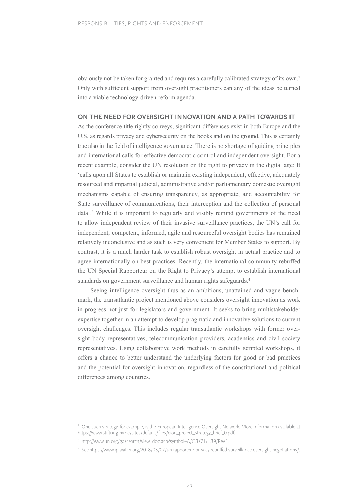obviously not be taken for granted and requires a carefully calibrated strategy of its own.2 Only with sufficient support from oversight practitioners can any of the ideas be turned into a viable technology-driven reform agenda.

#### **ON THE NEED FOR OVERSIGHT INNOVATION AND A PATH TOWARDS IT**

As the conference title rightly conveys, significant differences exist in both Europe and the U.S. as regards privacy and cybersecurity on the books and on the ground. This is certainly true also in the field of intelligence governance. There is no shortage of guiding principles and international calls for effective democratic control and independent oversight. For a recent example, consider the UN resolution on the right to privacy in the digital age: It 'calls upon all States to establish or maintain existing independent, effective, adequately resourced and impartial judicial, administrative and/or parliamentary domestic oversight mechanisms capable of ensuring transparency, as appropriate, and accountability for State surveillance of communications, their interception and the collection of personal data'.3 While it is important to regularly and visibly remind governments of the need to allow independent review of their invasive surveillance practices, the UN's call for independent, competent, informed, agile and resourceful oversight bodies has remained relatively inconclusive and as such is very convenient for Member States to support. By contrast, it is a much harder task to establish robust oversight in actual practice and to agree internationally on best practices. Recently, the international community rebuffed the UN Special Rapporteur on the Right to Privacy's attempt to establish international standards on government surveillance and human rights safeguards.4

Seeing intelligence oversight thus as an ambitious, unattained and vague benchmark, the transatlantic project mentioned above considers oversight innovation as work in progress not just for legislators and government. It seeks to bring multistakeholder expertise together in an attempt to develop pragmatic and innovative solutions to current oversight challenges. This includes regular transatlantic workshops with former oversight body representatives, telecommunication providers, academics and civil society representatives. Using collaborative work methods in carefully scripted workshops, it offers a chance to better understand the underlying factors for good or bad practices and the potential for oversight innovation, regardless of the constitutional and political differences among countries.

<sup>&</sup>lt;sup>2</sup> One such strategy, for example, is the European Intelligence Oversight Network. More information available at https://www.stiftung-nv.de/sites/default/files/eion\_project\_strategy\_brief\_0.pdf.

<sup>&</sup>lt;sup>3</sup> http://www.un.org/ga/search/view\_doc.asp?symbol=A/C.3/71/L.39/Rev.1.

<sup>4</sup> See https://www.ip-watch.org/2018/03/07/un-rapporteur-privacy-rebuffed-surveillance-oversight-negotiations/.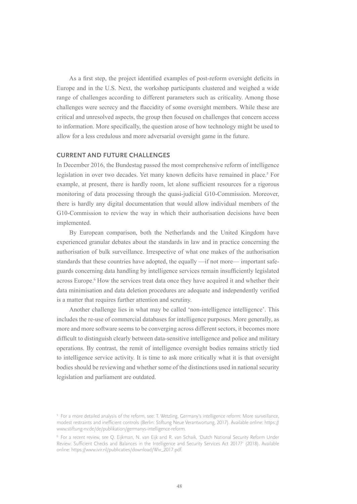As a first step, the project identified examples of post-reform oversight deficits in Europe and in the U.S. Next, the workshop participants clustered and weighed a wide range of challenges according to different parameters such as criticality. Among those challenges were secrecy and the flaccidity of some oversight members. While these are critical and unresolved aspects, the group then focused on challenges that concern access to information. More specifically, the question arose of how technology might be used to allow for a less credulous and more adversarial oversight game in the future.

#### **CURRENT AND FUTURE CHALLENGES**

In December 2016, the Bundestag passed the most comprehensive reform of intelligence legislation in over two decades. Yet many known deficits have remained in place.<sup>5</sup> For example, at present, there is hardly room, let alone sufficient resources for a rigorous monitoring of data processing through the quasi-judicial G10-Commission. Moreover, there is hardly any digital documentation that would allow individual members of the G10-Commission to review the way in which their authorisation decisions have been implemented.

By European comparison, both the Netherlands and the United Kingdom have experienced granular debates about the standards in law and in practice concerning the authorisation of bulk surveillance. Irrespective of what one makes of the authorisation standards that these countries have adopted, the equally —if not more— important safeguards concerning data handling by intelligence services remain insufficiently legislated across Europe.<sup>6</sup> How the services treat data once they have acquired it and whether their data minimisation and data deletion procedures are adequate and independently verified is a matter that requires further attention and scrutiny.

Another challenge lies in what may be called 'non-intelligence intelligence'. This includes the re-use of commercial databases for intelligence purposes. More generally, as more and more software seems to be converging across different sectors, it becomes more difficult to distinguish clearly between data-sensitive intelligence and police and military operations. By contrast, the remit of intelligence oversight bodies remains strictly tied to intelligence service activity. It is time to ask more critically what it is that oversight bodies should be reviewing and whether some of the distinctions used in national security legislation and parliament are outdated.

<sup>5</sup> For a more detailed analysis of the reform, see: T. Wetzling, Germany's intelligence reform: More surveillance, modest restraints and inefficient controls (Berlin: Stiftung Neue Verantwortung, 2017). Available online: [https://](http://www.stiftung-nv.de/de/publikation/germanys-intelligence-reform) [www.stiftung-nv.de/de/publikation/germanys-intelligence-reform.](http://www.stiftung-nv.de/de/publikation/germanys-intelligence-reform)

<sup>6</sup> For a recent review, see Q. Eijkman, N. van Eijk and R. van Schaik, 'Dutch National Security Reform Under Review: Sufficient Checks and Balances in the Intelligence and Security Services Act 2017?' (2018). Available online: https://www.ivir.nl/publicaties/download/Wiv\_2017.pdf.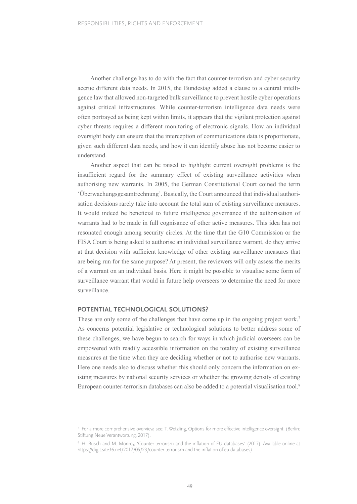Another challenge has to do with the fact that counter-terrorism and cyber security accrue different data needs. In 2015, the Bundestag added a clause to a central intelligence law that allowed non-targeted bulk surveillance to prevent hostile cyber operations against critical infrastructures. While counter-terrorism intelligence data needs were often portrayed as being kept within limits, it appears that the vigilant protection against cyber threats requires a different monitoring of electronic signals. How an individual oversight body can ensure that the interception of communications data is proportionate, given such different data needs, and how it can identify abuse has not become easier to understand.

Another aspect that can be raised to highlight current oversight problems is the insufficient regard for the summary effect of existing surveillance activities when authorising new warrants. In 2005, the German Constitutional Court coined the term 'Überwachungsgesamtrechnung'. Basically, the Court announced that individual authorisation decisions rarely take into account the total sum of existing surveillance measures. It would indeed be beneficial to future intelligence governance if the authorisation of warrants had to be made in full cognisance of other active measures. This idea has not resonated enough among security circles. At the time that the G10 Commission or the FISA Court is being asked to authorise an individual surveillance warrant, do they arrive at that decision with sufficient knowledge of other existing surveillance measures that are being run for the same purpose? At present, the reviewers will only assess the merits of a warrant on an individual basis. Here it might be possible to visualise some form of surveillance warrant that would in future help overseers to determine the need for more surveillance.

#### **POTENTIAL TECHNOLOGICAL SOLUTIONS?**

These are only some of the challenges that have come up in the ongoing project work.<sup>7</sup> As concerns potential legislative or technological solutions to better address some of these challenges, we have begun to search for ways in which judicial overseers can be empowered with readily accessible information on the totality of existing surveillance measures at the time when they are deciding whether or not to authorise new warrants. Here one needs also to discuss whether this should only concern the information on existing measures by national security services or whether the growing density of existing European counter-terrorism databases can also be added to a potential visualisation tool.<sup>8</sup>

<sup>7</sup> For a more comprehensive overview, see: T. Wetzling, Options for more effective intelligence oversight. (Berlin: Stiftung Neue Verantwortung, 2017).

<sup>8</sup> H. Busch and M. Monroy, 'Counter-terrorism and the inflation of EU databases' (2017). Available online at https://digit.site36.net/2017/05/23/counter-terrorism-and-the-inflation-of-eu-databases/.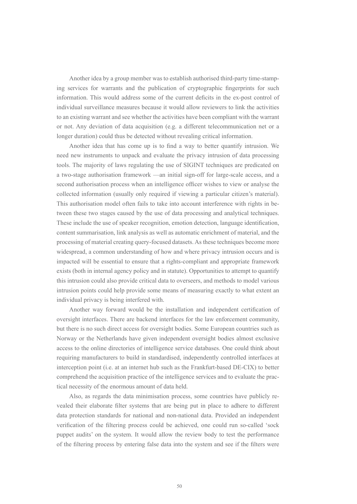Another idea by a group member was to establish authorised third-party time-stamping services for warrants and the publication of cryptographic fingerprints for such information. This would address some of the current deficits in the ex-post control of individual surveillance measures because it would allow reviewers to link the activities to an existing warrant and see whether the activities have been compliant with the warrant or not. Any deviation of data acquisition (e.g. a different telecommunication net or a longer duration) could thus be detected without revealing critical information.

Another idea that has come up is to find a way to better quantify intrusion. We need new instruments to unpack and evaluate the privacy intrusion of data processing tools. The majority of laws regulating the use of SIGINT techniques are predicated on a two-stage authorisation framework —an initial sign-off for large-scale access, and a second authorisation process when an intelligence officer wishes to view or analyse the collected information (usually only required if viewing a particular citizen's material). This authorisation model often fails to take into account interference with rights in between these two stages caused by the use of data processing and analytical techniques. These include the use of speaker recognition, emotion detection, language identification, content summarisation, link analysis as well as automatic enrichment of material, and the processing of material creating query-focused datasets. As these techniques become more widespread, a common understanding of how and where privacy intrusion occurs and is impacted will be essential to ensure that a rights-compliant and appropriate framework exists (both in internal agency policy and in statute). Opportunities to attempt to quantify this intrusion could also provide critical data to overseers, and methods to model various intrusion points could help provide some means of measuring exactly to what extent an individual privacy is being interfered with.

Another way forward would be the installation and independent certification of oversight interfaces. There are backend interfaces for the law enforcement community, but there is no such direct access for oversight bodies. Some European countries such as Norway or the Netherlands have given independent oversight bodies almost exclusive access to the online directories of intelligence service databases. One could think about requiring manufacturers to build in standardised, independently controlled interfaces at interception point (i.e. at an internet hub such as the Frankfurt-based DE-CIX) to better comprehend the acquisition practice of the intelligence services and to evaluate the practical necessity of the enormous amount of data held.

Also, as regards the data minimisation process, some countries have publicly revealed their elaborate filter systems that are being put in place to adhere to different data protection standards for national and non-national data. Provided an independent verification of the filtering process could be achieved, one could run so-called 'sock puppet audits' on the system. It would allow the review body to test the performance of the filtering process by entering false data into the system and see if the filters were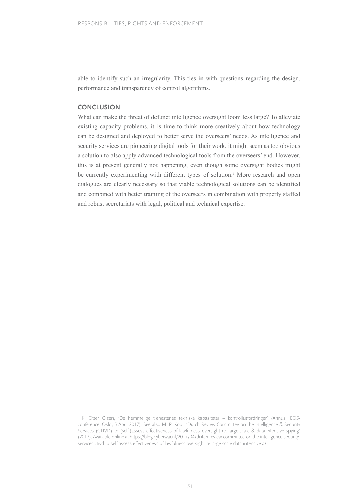able to identify such an irregularity. This ties in with questions regarding the design, performance and transparency of control algorithms.

#### **CONCLUSION**

What can make the threat of defunct intelligence oversight loom less large? To alleviate existing capacity problems, it is time to think more creatively about how technology can be designed and deployed to better serve the overseers' needs. As intelligence and security services are pioneering digital tools for their work, it might seem as too obvious a solution to also apply advanced technological tools from the overseers' end. However, this is at present generally not happening, even though some oversight bodies might be currently experimenting with different types of solution.<sup>9</sup> More research and open dialogues are clearly necessary so that viable technological solutions can be identified and combined with better training of the overseers in combination with properly staffed and robust secretariats with legal, political and technical expertise.

<sup>9</sup> K. Otter Olsen, 'De hemmelige tjenestenes tekniske kapasiteter – kontrollutfordringer' (Annual EOSconference, Oslo, 5 April 2017). See also M. R. Koot, 'Dutch Review Committee on the Intelligence & Security Services (CTIVD) to (self-)assess effectiveness of lawfulness oversight re: large-scale & data-intensive spying' (2017). Available online at [https://blog.cyberwar.nl/2017/04/dutch-review-committee-on-the-intelligence-security](http://blog.cyberwar.nl/2017/04/dutch-review-committee-on-the-intelligence-security-services-ctivd-to-self-assess-effectiveness-of-lawfulness-oversight-re-large-scale-data-intensive-a)[services-ctivd-to-self-assess-effectiveness-of-lawfulness-oversight-re-large-scale-data-intensive-a/.](http://blog.cyberwar.nl/2017/04/dutch-review-committee-on-the-intelligence-security-services-ctivd-to-self-assess-effectiveness-of-lawfulness-oversight-re-large-scale-data-intensive-a)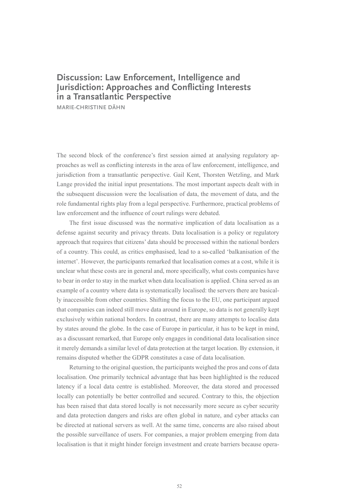## **Discussion: Law Enforcement, Intelligence and Jurisdiction: Approaches and Conflicting Interests in a Transatlantic Perspective**

**MARIE-CHRISTINE DÄHN**

The second block of the conference's first session aimed at analysing regulatory approaches as well as conflicting interests in the area of law enforcement, intelligence, and jurisdiction from a transatlantic perspective. Gail Kent, Thorsten Wetzling, and Mark Lange provided the initial input presentations. The most important aspects dealt with in the subsequent discussion were the localisation of data, the movement of data, and the role fundamental rights play from a legal perspective. Furthermore, practical problems of law enforcement and the influence of court rulings were debated.

The first issue discussed was the normative implication of data localisation as a defense against security and privacy threats. Data localisation is a policy or regulatory approach that requires that citizens' data should be processed within the national borders of a country. This could, as critics emphasised, lead to a so-called 'balkanisation of the internet'. However, the participants remarked that localisation comes at a cost, while it is unclear what these costs are in general and, more specifically, what costs companies have to bear in order to stay in the market when data localisation is applied. China served as an example of a country where data is systematically localised: the servers there are basically inaccessible from other countries. Shifting the focus to the EU, one participant argued that companies can indeed still move data around in Europe, so data is not generally kept exclusively within national borders. In contrast, there are many attempts to localise data by states around the globe. In the case of Europe in particular, it has to be kept in mind, as a discussant remarked, that Europe only engages in conditional data localisation since it merely demands a similar level of data protection at the target location. By extension, it remains disputed whether the GDPR constitutes a case of data localisation.

Returning to the original question, the participants weighed the pros and cons of data localisation. One primarily technical advantage that has been highlighted is the reduced latency if a local data centre is established. Moreover, the data stored and processed locally can potentially be better controlled and secured. Contrary to this, the objection has been raised that data stored locally is not necessarily more secure as cyber security and data protection dangers and risks are often global in nature, and cyber attacks can be directed at national servers as well. At the same time, concerns are also raised about the possible surveillance of users. For companies, a major problem emerging from data localisation is that it might hinder foreign investment and create barriers because opera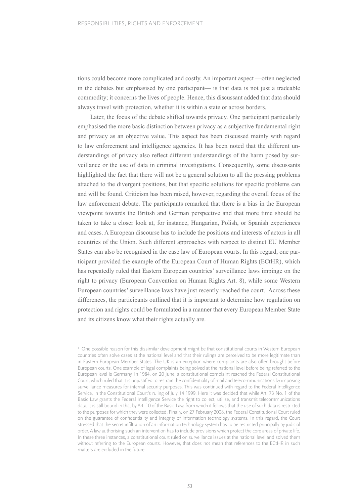tions could become more complicated and costly. An important aspect —often neglected in the debates but emphasised by one participant— is that data is not just a tradeable commodity; it concerns the lives of people. Hence, this discussant added that data should always travel with protection, whether it is within a state or across borders.

Later, the focus of the debate shifted towards privacy. One participant particularly emphasised the more basic distinction between privacy as a subjective fundamental right and privacy as an objective value. This aspect has been discussed mainly with regard to law enforcement and intelligence agencies. It has been noted that the different understandings of privacy also reflect different understandings of the harm posed by surveillance or the use of data in criminal investigations. Consequently, some discussants highlighted the fact that there will not be a general solution to all the pressing problems attached to the divergent positions, but that specific solutions for specific problems can and will be found. Criticism has been raised, however, regarding the overall focus of the law enforcement debate. The participants remarked that there is a bias in the European viewpoint towards the British and German perspective and that more time should be taken to take a closer look at, for instance, Hungarian, Polish, or Spanish experiences and cases. A European discourse has to include the positions and interests of actors in all countries of the Union. Such different approaches with respect to distinct EU Member States can also be recognised in the case law of European courts. In this regard, one participant provided the example of the European Court of Human Rights (ECtHR), which has repeatedly ruled that Eastern European countries' surveillance laws impinge on the right to privacy (European Convention on Human Rights Art. 8), while some Western European countries' surveillance laws have just recently reached the court.<sup>1</sup> Across these differences, the participants outlined that it is important to determine how regulation on protection and rights could be formulated in a manner that every European Member State and its citizens know what their rights actually are.

<sup>1</sup> One possible reason for this dissimilar development might be that constitutional courts in Western European countries often solve cases at the national level and that their rulings are perceived to be more legitimate than in Eastern European Member States. The UK is an exception where complaints are also often brought before European courts. One example of legal complaints being solved at the national level before being referred to the European level is Germany. In 1984, on 20 June, a constitutional complaint reached the Federal Constitutional Court, which ruled that it is unjustified to restrain the confidentiality of mail and telecommunications by imposing surveillance measures for internal security purposes. This was continued with regard to the Federal Intelligence Service, in the Constitutional Court's ruling of July 14 1999. Here it was decided that while Art. 73 No. 1 of the Basic Law grants the Federal Intelligence Service the right to collect, utilise, and transmit telecommunications data, it is still bound in that by Art. 10 of the Basic Law, from which it follows that the use of such data is restricted to the purposes for which they were collected. Finally, on 27 February 2008, the Federal Constitutional Court ruled on the guarantee of confidentiality and integrity of information technology systems. In this regard, the Court stressed that the secret infiltration of an information technology system has to be restricted principally by judicial order. A law authorising such an intervention has to include provisions which protect the core areas of private life. In these three instances, a constitutional court ruled on surveillance issues at the national level and solved them without referring to the European courts. However, that does not mean that references to the ECtHR in such matters are excluded in the future.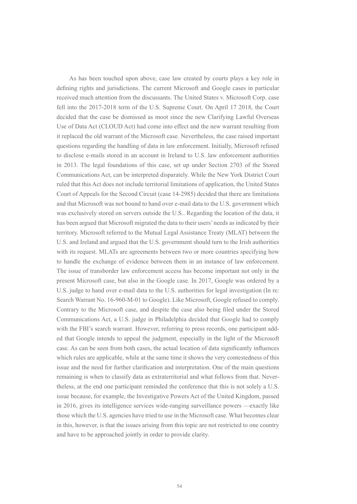As has been touched upon above, case law created by courts plays a key role in defining rights and jurisdictions. The current Microsoft and Google cases in particular received much attention from the discussants. The United States v. Microsoft Corp. case fell into the 2017-2018 term of the U.S. Supreme Court. On April 17 2018, the Court decided that the case be dismissed as moot since the new Clarifying Lawful Overseas Use of Data Act (CLOUD Act) had come into effect and the new warrant resulting from it replaced the old warrant of the Microsoft case. Nevertheless, the case raised important questions regarding the handling of data in law enforcement. Initially, Microsoft refused to disclose e-mails stored in an account in Ireland to U.S. law enforcement authorities in 2013. The legal foundations of this case, set up under Section 2703 of the Stored Communications Act, can be interpreted disparately. While the New York District Court ruled that this Act does not include territorial limitations of application, the United States Court of Appeals for the Second Circuit (case 14-2985) decided that there are limitations and that Microsoft was not bound to hand over e-mail data to the U.S. government which was exclusively stored on servers outside the U.S.. Regarding the location of the data, it has been argued that Microsoft migrated the data to their users' needs as indicated by their territory. Microsoft referred to the Mutual Legal Assistance Treaty (MLAT) between the U.S. and Ireland and argued that the U.S. government should turn to the Irish authorities with its request. MLATs are agreements between two or more countries specifying how to handle the exchange of evidence between them in an instance of law enforcement. The issue of transborder law enforcement access has become important not only in the present Microsoft case, but also in the Google case. In 2017, Google was ordered by a U.S. judge to hand over e-mail data to the U.S. authorities for legal investigation (In re: Search Warrant No. 16-960-M-01 to Google). Like Microsoft, Google refused to comply. Contrary to the Microsoft case, and despite the case also being filed under the Stored Communications Act, a U.S. judge in Philadelphia decided that Google had to comply with the FBI's search warrant. However, referring to press records, one participant added that Google intends to appeal the judgment, especially in the light of the Microsoft case. As can be seen from both cases, the actual location of data significantly influences which rules are applicable, while at the same time it shows the very contestedness of this issue and the need for further clarification and interpretation. One of the main questions remaining is when to classify data as extraterritorial and what follows from that. Nevertheless, at the end one participant reminded the conference that this is not solely a U.S. issue because, for example, the Investigative Powers Act of the United Kingdom, passed in 2016, gives its intelligence services wide-ranging surveillance powers —exactly like those which the U.S. agencies have tried to use in the Microsoft case. What becomes clear in this, however, is that the issues arising from this topic are not restricted to one country and have to be approached jointly in order to provide clarity.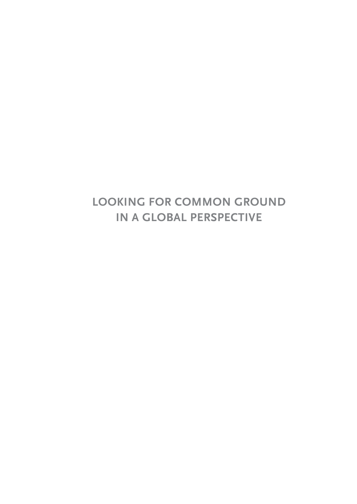# **LOOKING FOR COMMON GROUND IN A GLOBAL PERSPECTIVE**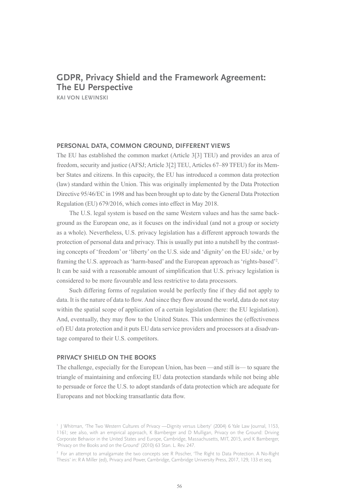## **GDPR, Privacy Shield and the Framework Agreement: The EU Perspective**

**KAI VON LEWINSKI**

#### **PERSONAL DATA, COMMON GROUND, DIFFERENT VIEWS**

The EU has established the common market (Article 3[3] TEU) and provides an area of freedom, security and justice (AFSJ; Article 3[2] TEU, Articles 67–89 TFEU) for its Member States and citizens. In this capacity, the EU has introduced a common data protection (law) standard within the Union. This was originally implemented by the Data Protection Directive 95/46/EC in 1998 and has been brought up to date by the General Data Protection Regulation (EU) 679/2016, which comes into effect in May 2018.

The U.S. legal system is based on the same Western values and has the same background as the European one, as it focuses on the individual (and not a group or society as a whole). Nevertheless, U.S. privacy legislation has a different approach towards the protection of personal data and privacy. This is usually put into a nutshell by the contrasting concepts of 'freedom' or 'liberty' on the U.S. side and 'dignity' on the EU side,<sup>1</sup> or by framing the U.S. approach as 'harm-based' and the European approach as 'rights-based'2 . It can be said with a reasonable amount of simplification that U.S. privacy legislation is considered to be more favourable and less restrictive to data processors.

Such differing forms of regulation would be perfectly fine if they did not apply to data. It is the nature of data to flow. And since they flow around the world, data do not stay within the spatial scope of application of a certain legislation (here: the EU legislation). And, eventually, they may flow to the United States. This undermines the (effectiveness of) EU data protection and it puts EU data service providers and processors at a disadvantage compared to their U.S. competitors.

#### **PRIVACY SHIELD ON THE BOOKS**

The challenge, especially for the European Union, has been —and still is— to square the triangle of maintaining and enforcing EU data protection standards while not being able to persuade or force the U.S. to adopt standards of data protection which are adequate for Europeans and not blocking transatlantic data flow.

<sup>&</sup>lt;sup>1</sup> J Whitman, 'The Two Western Cultures of Privacy - Dignity versus Liberty' (2004) 6 Yale Law Journal, 1153, 1161; see also, with an empirical approach, K Bamberger and D Mulligan, Privacy on the Ground: Driving Corporate Behavior in the United States and Europe, Cambridge, Massachusetts, MIT, 2015, and K Bamberger, 'Privacy on the Books and on the Ground' (2010) 63 Stan. L. Rev. 247.

<sup>2</sup> For an attempt to amalgamate the two concepts see R Poscher, 'The Right to Data Protection. A No-Right Thesis' in: R A Miller (ed), Privacy and Power, Cambridge, Cambridge University Press, 2017, 129, 133 et seq.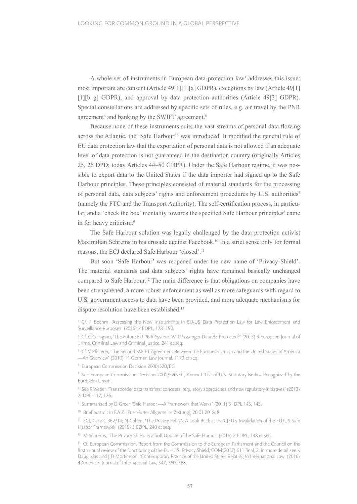A whole set of instruments in European data protection law<sup>3</sup> addresses this issue: most important are consent (Article 49[1][1][a] GDPR), exceptions by law (Article 49[1] [1][b–g] GDPR), and approval by data protection authorities (Article 49[3] GDPR). Special constellations are addressed by specific sets of rules, e.g. air travel by the PNR agreement<sup>4</sup> and banking by the SWIFT agreement.<sup>5</sup>

Because none of these instruments suits the vast streams of personal data flowing across the Atlantic, the 'Safe Harbour'6 was introduced. It modified the general rule of EU data protection law that the exportation of personal data is not allowed if an adequate level of data protection is not guaranteed in the destination country (originally Articles 25, 26 DPD; today Articles 44–50 GDPR). Under the Safe Harbour regime, it was possible to export data to the United States if the data importer had signed up to the Safe Harbour principles. These principles consisted of material standards for the processing of personal data, data subjects' rights and enforcement procedures by U.S. authorities7 (namely the FTC and the Transport Authority). The self-certification process, in particular, and a 'check the box' mentality towards the specified Safe Harbour principles<sup>8</sup> came in for heavy criticism.9

The Safe Harbour solution was legally challenged by the data protection activist Maximilian Schrems in his crusade against Facebook.10 In a strict sense only for formal reasons, the ECJ declared Safe Harbour 'closed'.11

But soon 'Safe Harbour' was reopened under the new name of 'Privacy Shield'. The material standards and data subjects' rights have remained basically unchanged compared to Safe Harbour.12 The main difference is that obligations on companies have been strengthened, a more robust enforcement as well as more safeguards with regard to U.S. government access to data have been provided, and more adequate mechanisms for dispute resolution have been established.<sup>13</sup>

<sup>6</sup> European Commission Decision 2000/520/EC.

<sup>8</sup> See R Weber, 'Transborder data transfers: concepts, regulatory approaches and new regulatory initiatives' (2013) 2 IDPL, 117, 126.

<sup>9</sup> Summarised by D Greer, 'Safe Harbor —A Framework that Works' (2011) 3 IDPL 143, 145.

<sup>10</sup> Brief portrait in F.A.Z. [Frankfurter Allgemeine Zeitung], 26.01.2018, 8.

<sup>11</sup> ECJ, Case C-362/14; N Cohen, 'The Privacy Follies: A Look Back at the CJEU's Invalidation of the EU/US Safe Harbor Framework' (2015) 3 EDPL, 240 et seq.

<sup>12</sup> M Schrems, 'The Privacy Shield is a Soft Update of the Safe Harbor' (2016) 2 EDPL, 148 et seq.

<sup>13</sup> Cf. European Commission, Report from the Commission to the European Parliament and the Council on the first annual review of the functioning of the EU–U.S. Privacy Shield, COM(2017) 611 final, 2; in more detail see K Daugirdas and J D Mortenson, 'Contemporary Practice of the United States Relating to International Law' (2016) 4 American Journal of International Law, 347, 360–368.

<sup>&</sup>lt;sup>3</sup> Cf. F Boehm, 'Assessing the New Instruments in EU-US Data Protection Law for Law Enforcement and Surveillance Purposes' (2016) 2 EDPL, 178–190.

<sup>4</sup> Cf. C Casagran, 'The Future EU PNR System: Will Passenger Data Be Protected?' (2015) 3 European Journal of Crime, Criminal Law and Criminal Justice, 241 et seq.

<sup>5</sup> Cf. V Pfisterer, 'The Second SWIFT Agreement Between the European Union and the United States of America —An Overview' (2010) 11 German Law Journal, 1173 et seq.

<sup>7</sup> See European Commission Decision 2000/520/EC, Annex I 'List of U.S. Statutory Bodies Recognized by the European Union'.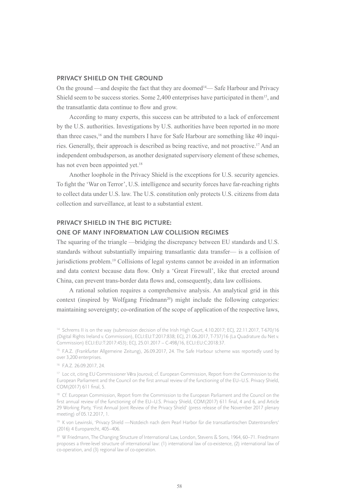#### **PRIVACY SHIELD ON THE GROUND**

On the ground —and despite the fact that they are doomed<sup>14</sup>— Safe Harbour and Privacy Shield seem to be success stories. Some  $2,400$  enterprises have participated in them<sup>15</sup>, and the transatlantic data continue to flow and grow.

According to many experts, this success can be attributed to a lack of enforcement by the U.S. authorities. Investigations by U.S. authorities have been reported in no more than three cases,<sup>16</sup> and the numbers I have for Safe Harbour are something like 40 inquiries. Generally, their approach is described as being reactive, and not proactive.17 And an independent ombudsperson, as another designated supervisory element of these schemes, has not even been appointed yet.<sup>18</sup>

Another loophole in the Privacy Shield is the exceptions for U.S. security agencies. To fight the 'War on Terror', U.S. intelligence and security forces have far-reaching rights to collect data under U.S. law. The U.S. constitution only protects U.S. citizens from data collection and surveillance, at least to a substantial extent.

#### **PRIVACY SHIELD IN THE BIG PICTURE:**

#### **ONE OF MANY INFORMATION LAW COLLISION REGIMES**

The squaring of the triangle —bridging the discrepancy between EU standards and U.S. standards without substantially impairing transatlantic data transfer— is a collision of jurisdictions problem.19 Collisions of legal systems cannot be avoided in an information and data context because data flow. Only a 'Great Firewall', like that erected around China, can prevent trans-border data flows and, consequently, data law collisions.

A rational solution requires a comprehensive analysis. An analytical grid in this context (inspired by Wolfgang Friedmann<sup>20</sup>) might include the following categories: maintaining sovereignty; co-ordination of the scope of application of the respective laws,

<sup>&</sup>lt;sup>14</sup> Schrems II is on the way (submission decision of the Irish High Court, 4.10.2017; ECJ, 22.11.2017, T-670/16 (Digital Rights Ireland v. Commission), ECLI:EU:T:2017:838; ECJ, 21.06.2017, T-737/16 (La Quadrature du Net v. Commission) ECLI:EU:T:2017:453); ECJ, 25.01.2017 – C-498/16, ECLI:EU:C:2018:37.

<sup>&</sup>lt;sup>15</sup> F.A.Z. (Frankfurter Allgemeine Zeitung), 26.09.2017, 24. The Safe Harbour scheme was reportedly used by over 3,200 enterprises.

<sup>16</sup> F.A.Z. 26.09.2017, 24.

<sup>&</sup>lt;sup>17</sup> Loc cit, citing EU Commissioner Věra Jourová; cf. European Commission, Report from the Commission to the European Parliament and the Council on the first annual review of the functioning of the EU–U.S. Privacy Shield, COM(2017) 611 final, 5.

<sup>&</sup>lt;sup>18</sup> Cf. European Commission, Report from the Commission to the European Parliament and the Council on the first annual review of the functioning of the EU–U.S. Privacy Shield, COM(2017) 611 final, 4 and 6, and Article 29 Working Party, 'First Annual Joint Review of the Privacy Shield' (press release of the November 2017 plenary meeting) of 05.12.2017, 1.

<sup>19</sup> K von Lewinski, 'Privacy Shield —Notdeich nach dem Pearl Harbor für die transatlantischen Datentransfers' (2016) 4 Europarecht, 405–406.

<sup>&</sup>lt;sup>20</sup> W Friedmann, The Changing Structure of International Law, London, Stevens & Sons, 1964, 60-71. Friedmann proposes a three-level structure of international law: (1) international law of co-existence, (2) international law of co-operation, and (3) regional law of co-operation.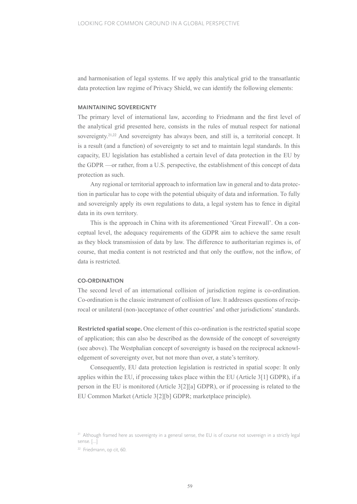and harmonisation of legal systems. If we apply this analytical grid to the transatlantic data protection law regime of Privacy Shield, we can identify the following elements:

#### **MAINTAINING SOVEREIGNTY**

The primary level of international law, according to Friedmann and the first level of the analytical grid presented here, consists in the rules of mutual respect for national sovereignty.<sup>21,22</sup> And sovereignty has always been, and still is, a territorial concept. It is a result (and a function) of sovereignty to set and to maintain legal standards. In this capacity, EU legislation has established a certain level of data protection in the EU by the GDPR —or rather, from a U.S. perspective, the establishment of this concept of data protection as such.

Any regional or territorial approach to information law in general and to data protection in particular has to cope with the potential ubiquity of data and information. To fully and sovereignly apply its own regulations to data, a legal system has to fence in digital data in its own territory.

This is the approach in China with its aforementioned 'Great Firewall'. On a conceptual level, the adequacy requirements of the GDPR aim to achieve the same result as they block transmission of data by law. The difference to authoritarian regimes is, of course, that media content is not restricted and that only the outflow, not the inflow, of data is restricted.

#### **CO-ORDINATION**

The second level of an international collision of jurisdiction regime is co-ordination. Co-ordination is the classic instrument of collision of law. It addresses questions of reciprocal or unilateral (non-)acceptance of other countries' and other jurisdictions' standards.

**Restricted spatial scope.** One element of this co-ordination is the restricted spatial scope of application; this can also be described as the downside of the concept of sovereignty (see above). The Westphalian concept of sovereignty is based on the reciprocal acknowledgement of sovereignty over, but not more than over, a state's territory.

Consequently, EU data protection legislation is restricted in spatial scope: It only applies within the EU, if processing takes place within the EU (Article 3[1] GDPR), if a person in the EU is monitored (Article 3[2][a] GDPR), or if processing is related to the EU Common Market (Article 3[2][b] GDPR; marketplace principle).

<sup>&</sup>lt;sup>21</sup> Although framed here as sovereignty in a general sense, the EU is of course not sovereign in a strictly legal sense. […]

<sup>22</sup> Friedmann, op cit, 60.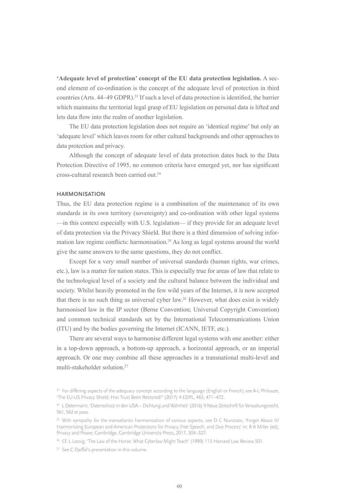**'Adequate level of protection' concept of the EU data protection legislation.** A second element of co-ordination is the concept of the adequate level of protection in third countries (Arts. 44–49 GDPR).<sup>23</sup> If such a level of data protection is identified, the barrier which maintains the territorial legal grasp of EU legislation on personal data is lifted and lets data flow into the realm of another legislation.

The EU data protection legislation does not require an 'identical regime' but only an 'adequate level' which leaves room for other cultural backgrounds and other approaches to data protection and privacy.

Although the concept of adequate level of data protection dates back to the Data Protection Directive of 1995, no common criteria have emerged yet, nor has significant cross-cultural research been carried out.24

#### **HARMONISATION**

Thus, the EU data protection regime is a combination of the maintenance of its own standards in its own territory (sovereignty) and co-ordination with other legal systems —in this context especially with U.S. legislation— if they provide for an adequate level of data protection via the Privacy Shield. But there is a third dimension of solving information law regime conflicts: harmonisation.25 As long as legal systems around the world give the same answers to the same questions, they do not conflict.

Except for a very small number of universal standards (human rights, war crimes, etc.), law is a matter for nation states. This is especially true for areas of law that relate to the technological level of a society and the cultural balance between the individual and society. Whilst heavily promoted in the few wild years of the Internet, it is now accepted that there is no such thing as universal cyber law.26 However, what does exist is widely harmonised law in the IP sector (Berne Convention; Universal Copyright Convention) and common technical standards set by the International Telecommunications Union (ITU) and by the bodies governing the Internet (ICANN, IETF, etc.).

There are several ways to harmonise different legal systems with one another: either in a top-down approach, a bottom-up approach, a horizontal approach, or an imperial approach. Or one may combine all these approaches in a transnational multi-level and multi-stakeholder solution.27

<sup>27</sup> See C Djeffal's presentation in this volume.

<sup>&</sup>lt;sup>23</sup> For differing aspects of the adequacy concept according to the language (English or French) see A-L Philouze, 'The EU-US Privacy Shield: Has Trust Been Restored?' (2017) 4 EDPL, 463, 471–472.

<sup>24</sup> L Determann, 'Datenschutz in den USA – Dichtung und Wahrheit' (2016) 9 Neue Zeitschrift für Verwaltungsrecht, 561, 562 et pass.

<sup>&</sup>lt;sup>25</sup> With sympathy for the transatlantic harmonisation of various aspects, see D C Nunziato, 'Forget About It? Harmonizing European and American Protections for Privacy, Free Speech, and Due Process' in: R A Miller (ed), Privacy and Power, Cambridge, Cambridge University Press, 2017, 304–327.

<sup>&</sup>lt;sup>26</sup> Cf. L Lessig, 'The Law of the Horse: What Cyberlaw Might Teach' (1999) 113 Harvard Law Review 501.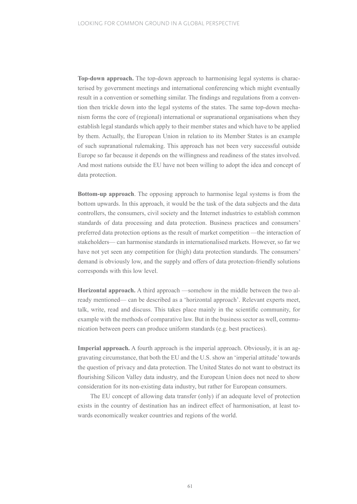**Top-down approach.** The top-down approach to harmonising legal systems is characterised by government meetings and international conferencing which might eventually result in a convention or something similar. The findings and regulations from a convention then trickle down into the legal systems of the states. The same top-down mechanism forms the core of (regional) international or supranational organisations when they establish legal standards which apply to their member states and which have to be applied by them. Actually, the European Union in relation to its Member States is an example of such supranational rulemaking. This approach has not been very successful outside Europe so far because it depends on the willingness and readiness of the states involved. And most nations outside the EU have not been willing to adopt the idea and concept of data protection.

**Bottom-up approach**. The opposing approach to harmonise legal systems is from the bottom upwards. In this approach, it would be the task of the data subjects and the data controllers, the consumers, civil society and the Internet industries to establish common standards of data processing and data protection. Business practices and consumers' preferred data protection options as the result of market competition —the interaction of stakeholders— can harmonise standards in internationalised markets. However, so far we have not yet seen any competition for (high) data protection standards. The consumers' demand is obviously low, and the supply and offers of data protection-friendly solutions corresponds with this low level.

**Horizontal approach.** A third approach —somehow in the middle between the two already mentioned— can be described as a 'horizontal approach'. Relevant experts meet, talk, write, read and discuss. This takes place mainly in the scientific community, for example with the methods of comparative law. But in the business sector as well, communication between peers can produce uniform standards (e.g. best practices).

**Imperial approach.** A fourth approach is the imperial approach. Obviously, it is an aggravating circumstance, that both the EU and the U.S. show an 'imperial attitude' towards the question of privacy and data protection. The United States do not want to obstruct its flourishing Silicon Valley data industry, and the European Union does not need to show consideration for its non-existing data industry, but rather for European consumers.

The EU concept of allowing data transfer (only) if an adequate level of protection exists in the country of destination has an indirect effect of harmonisation, at least towards economically weaker countries and regions of the world.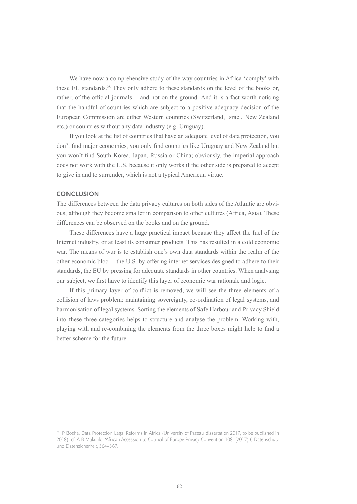We have now a comprehensive study of the way countries in Africa 'comply' with these EU standards.<sup>28</sup> They only adhere to these standards on the level of the books or, rather, of the official journals —and not on the ground. And it is a fact worth noticing that the handful of countries which are subject to a positive adequacy decision of the European Commission are either Western countries (Switzerland, Israel, New Zealand etc.) or countries without any data industry (e.g. Uruguay).

If you look at the list of countries that have an adequate level of data protection, you don't find major economies, you only find countries like Uruguay and New Zealand but you won't find South Korea, Japan, Russia or China; obviously, the imperial approach does not work with the U.S. because it only works if the other side is prepared to accept to give in and to surrender, which is not a typical American virtue.

#### **CONCLUSION**

The differences between the data privacy cultures on both sides of the Atlantic are obvious, although they become smaller in comparison to other cultures (Africa, Asia). These differences can be observed on the books and on the ground.

These differences have a huge practical impact because they affect the fuel of the Internet industry, or at least its consumer products. This has resulted in a cold economic war. The means of war is to establish one's own data standards within the realm of the other economic bloc —the U.S. by offering internet services designed to adhere to their standards, the EU by pressing for adequate standards in other countries. When analysing our subject, we first have to identify this layer of economic war rationale and logic.

If this primary layer of conflict is removed, we will see the three elements of a collision of laws problem: maintaining sovereignty, co-ordination of legal systems, and harmonisation of legal systems. Sorting the elements of Safe Harbour and Privacy Shield into these three categories helps to structure and analyse the problem. Working with, playing with and re-combining the elements from the three boxes might help to find a better scheme for the future.

<sup>&</sup>lt;sup>28</sup> P Boshe, Data Protection Legal Reforms in Africa (University of Passau dissertation 2017, to be published in 2018); cf. A B Makulilo, 'African Accession to Council of Europe Privacy Convention 108' (2017) 6 Datenschutz und Datensicherheit, 364–367.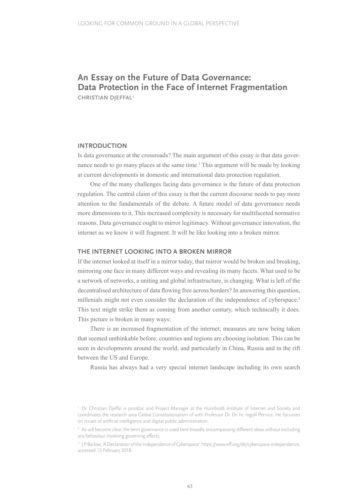# **An Essay on the Future of Data Governance: Data Protection in the Face of Internet Fragmentation**

**CHRISTIAN DJEFFAL1**

#### **INTRODUCTION**

Is data governance at the crossroads? The main argument of this essay is that data governance needs to go many places at the same time.2 This argument will be made by looking at current developments in domestic and international data protection regulation.

One of the many challenges facing data governance is the future of data protection regulation. The central claim of this essay is that the current discourse needs to pay more attention to the fundamentals of the debate. A future model of data governance needs more dimensions to it. This increased complexity is necessary for multifaceted normative reasons. Data governance ought to mirror legitimacy. Without governance innovation, the internet as we know it will fragment. It will be like looking into a broken mirror.

#### **THE INTERNET LOOKING INTO A BROKEN MIRROR**

If the internet looked at itself in a mirror today, that mirror would be broken and breaking, mirroring one face in many different ways and revealing its many facets. What used to be a network of networks, a uniting and global infrastructure, is changing. What is left of the decentralised architecture of data flowing free across borders? In answering this question, millenials might not even consider the declaration of the independence of cyberspace.<sup>3</sup> This text might strike them as coming from another century, which technically it does. This picture is broken in many ways:

There is an increased fragmentation of the internet; measures are now being taken that seemed unthinkable before; countries and regions are choosing isolation. This can be seen in developments around the world, and particularly in China, Russia and in the rift between the US and Europe.

Russia has always had a very special internet landscape including its own search

<sup>1</sup> Dr. Christian Djeffal is postdoc and Project Manager at the Humboldt Institute of Internet and Society and coordinates the research area Global Constitutionalism of with Professor Dr. Dr. hc Ingolf Pernice. He focusses on issues of artificial intelligence and digital public administration.

<sup>&</sup>lt;sup>2</sup> As will become clear, the term governance is used here broadly, encompassing different ideas without excluding any behaviour involving governing effects.

<sup>3</sup> J P Barlow, 'A Declaration of the Independence of Cyberspace', [https://www.eff.org/de/cyberspace-independence,](https://www.eff.org/de/cyberspace-independence, accessed 13 February 2018) [accessed 13 February 2018.](https://www.eff.org/de/cyberspace-independence, accessed 13 February 2018)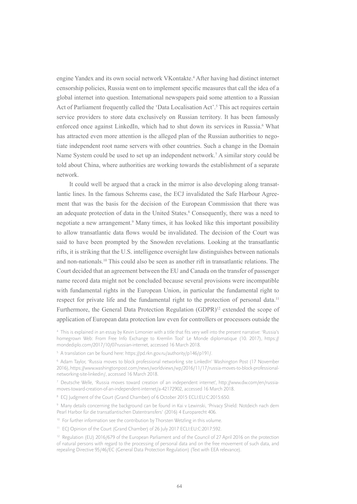engine Yandex and its own social network VKontakte.4 After having had distinct internet censorship policies, Russia went on to implement specific measures that call the idea of a global internet into question. International newspapers paid some attention to a Russian Act of Parliament frequently called the 'Data Localisation Act'.<sup>5</sup> This act requires certain service providers to store data exclusively on Russian territory. It has been famously enforced once against LinkedIn, which had to shut down its services in Russia.<sup>6</sup> What has attracted even more attention is the alleged plan of the Russian authorities to negotiate independent root name servers with other countries. Such a change in the Domain Name System could be used to set up an independent network.<sup>7</sup> A similar story could be told about China, where authorities are working towards the establishment of a separate network.

It could well be argued that a crack in the mirror is also developing along transatlantic lines. In the famous Schrems case, the ECJ invalidated the Safe Harbour Agreement that was the basis for the decision of the European Commission that there was an adequate protection of data in the United States.<sup>8</sup> Consequently, there was a need to negotiate a new arrangement.<sup>9</sup> Many times, it has looked like this important possibility to allow transatlantic data flows would be invalidated. The decision of the Court was said to have been prompted by the Snowden revelations. Looking at the transatlantic rifts, it is striking that the U.S. intelligence oversight law distinguishes between nationals and non-nationals.10 This could also be seen as another rift in transatlantic relations. The Court decided that an agreement between the EU and Canada on the transfer of passenger name record data might not be concluded because several provisions were incompatible with fundamental rights in the European Union, in particular the fundamental right to respect for private life and the fundamental right to the protection of personal data.<sup>11</sup> Furthermore, the General Data Protection Regulation (GDPR)<sup>12</sup> extended the scope of application of European data protection law even for controllers or processors outside the

<sup>4</sup> This is explained in an essay by Kevin Limonier with a title that fits very well into the present narrative: 'Russia's homegrown Web: From Free Info Exchange to Kremlin Tool' Le Monde diplomatique (10. 2017), [https://](http://mondediplo.com/2017/10/07russian-internet, accessed 16 March 2018) [mondediplo.com/2017/10/07russian-internet, accessed 16 March 2018.](http://mondediplo.com/2017/10/07russian-internet, accessed 16 March 2018)

<sup>5</sup> A translation can be found here: [https://pd.rkn.gov.ru/authority/p146/p191/.](http://pd.rkn.gov.ru/authority/p146/p191/)

<sup>6</sup> Adam Taylor, 'Russia moves to block professional networking site LinkedIn' Washington Post (17 November 2016), [https://www.washingtonpost.com/news/worldviews/wp/2016/11/17/russia-moves-to-block-professional](http://www.washingtonpost.com/news/worldviews/wp/2016/11/17/russia-moves-to-block-professional-networking-site-linkedin)[networking-site-linkedin/](http://www.washingtonpost.com/news/worldviews/wp/2016/11/17/russia-moves-to-block-professional-networking-site-linkedin), accessed 16 March 2018.

<sup>7</sup> Deutsche Welle, 'Russia moves toward creation of an independent internet', [http://www.dw.com/en/russia](http://www.dw.com/en/russia-moves-toward-creation-of-an-independent-internet/a-42172902)[moves-toward-creation-of-an-independent-internet/a-42172902,](http://www.dw.com/en/russia-moves-toward-creation-of-an-independent-internet/a-42172902) accessed 16 March 2018.

<sup>8</sup> ECJ Judgment of the Court (Grand Chamber) of 6 October 2015 ECLI:EU:C:2015:650.

<sup>&</sup>lt;sup>9</sup> Many details concerning the background can be found in Kai v Lewinski, 'Privacy Shield: Notdeich nach dem Pearl Harbor für die transatlantischen Datentransfers' (2016) 4 Europarecht 406.

<sup>&</sup>lt;sup>10</sup> For further information see the contribution by Thorsten Wetzling in this volume.

<sup>&</sup>lt;sup>11</sup> ECJ Opinion of the Court (Grand Chamber) of 26 July 2017 ECLI:EU:C:2017:592.

<sup>&</sup>lt;sup>12</sup> Regulation (EU) 2016/679 of the European Parliament and of the Council of 27 April 2016 on the protection of natural persons with regard to the processing of personal data and on the free movement of such data, and repealing Directive 95/46/EC (General Data Protection Regulation) (Text with EEA relevance).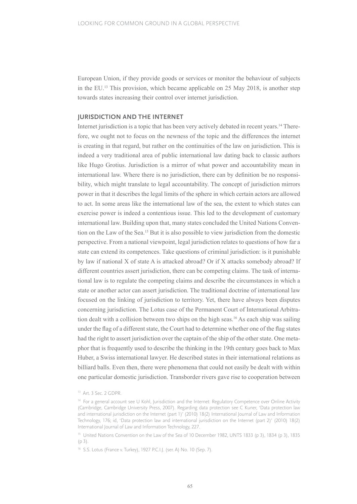European Union, if they provide goods or services or monitor the behaviour of subjects in the EU.13 This provision, which became applicable on 25 May 2018, is another step towards states increasing their control over internet jurisdiction.

#### **JURISDICTION AND THE INTERNET**

Internet jurisdiction is a topic that has been very actively debated in recent years.14 Therefore, we ought not to focus on the newness of the topic and the differences the internet is creating in that regard, but rather on the continuities of the law on jurisdiction. This is indeed a very traditional area of public international law dating back to classic authors like Hugo Grotius. Jurisdiction is a mirror of what power and accountability mean in international law. Where there is no jurisdiction, there can by definition be no responsibility, which might translate to legal accountability. The concept of jurisdiction mirrors power in that it describes the legal limits of the sphere in which certain actors are allowed to act. In some areas like the international law of the sea, the extent to which states can exercise power is indeed a contentious issue. This led to the development of customary international law. Building upon that, many states concluded the United Nations Convention on the Law of the Sea.15 But it is also possible to view jurisdiction from the domestic perspective. From a national viewpoint, legal jurisdiction relates to questions of how far a state can extend its competences. Take questions of criminal jurisdiction: is it punishable by law if national X of state A is attacked abroad? Or if X attacks somebody abroad? If different countries assert jurisdiction, there can be competing claims. The task of international law is to regulate the competing claims and describe the circumstances in which a state or another actor can assert jurisdiction. The traditional doctrine of international law focused on the linking of jurisdiction to territory. Yet, there have always been disputes concerning jurisdiction. The Lotus case of the Permanent Court of International Arbitration dealt with a collision between two ships on the high seas.16 As each ship was sailing under the flag of a different state, the Court had to determine whether one of the flag states had the right to assert jurisdiction over the captain of the ship of the other state. One metaphor that is frequently used to describe the thinking in the 19th century goes back to Max Huber, a Swiss international lawyer. He described states in their international relations as billiard balls. Even then, there were phenomena that could not easily be dealt with within one particular domestic jurisdiction. Transborder rivers gave rise to cooperation between

<sup>&</sup>lt;sup>13</sup> Art. 3 Sec. 2 GDPR.

<sup>&</sup>lt;sup>14</sup> For a general account see U Kohl, Jurisdiction and the Internet: Regulatory Competence over Online Activity (Cambridge, Cambridge University Press, 2007). Regarding data protection see C Kuner, 'Data protection law and international jurisdiction on the Internet (part 1)' (2010) 18(2) International Journal of Law and Information Technology, 176; id, 'Data protection law and international jurisdiction on the Internet (part 2)' (2010) 18(2) International Journal of Law and Information Technology, 227.

<sup>&</sup>lt;sup>15</sup> United Nations Convention on the Law of the Sea of 10 December 1982, UNTS 1833 (p 3), 1834 (p 3), 1835  $(p<sub>3</sub>)$ .

<sup>16</sup> S.S. Lotus (France v. Turkey), 1927 P.C.I.J. (ser. A) No. 10 (Sep. 7).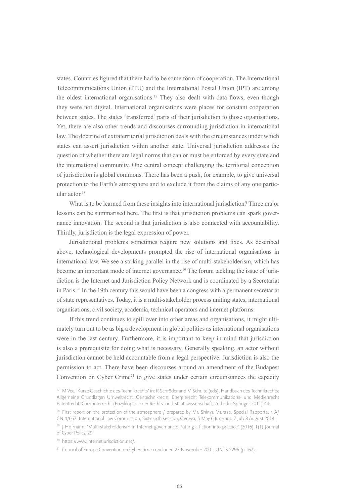states. Countries figured that there had to be some form of cooperation. The International Telecommunications Union (ITU) and the International Postal Union (IPT) are among the oldest international organisations.17 They also dealt with data flows, even though they were not digital. International organisations were places for constant cooperation between states. The states 'transferred' parts of their jurisdiction to those organisations. Yet, there are also other trends and discourses surrounding jurisdiction in international law. The doctrine of extraterritorial jurisdiction deals with the circumstances under which states can assert jurisdiction within another state. Universal jurisdiction addresses the question of whether there are legal norms that can or must be enforced by every state and the international community. One central concept challenging the territorial conception of jurisdiction is global commons. There has been a push, for example, to give universal protection to the Earth's atmosphere and to exclude it from the claims of any one particular actor.18

What is to be learned from these insights into international jurisdiction? Three major lessons can be summarised here. The first is that jurisdiction problems can spark governance innovation. The second is that jurisdiction is also connected with accountability. Thirdly, jurisdiction is the legal expression of power.

Jurisdictional problems sometimes require new solutions and fixes. As described above, technological developments prompted the rise of international organisations in international law. We see a striking parallel in the rise of multi-stakeholderism, which has become an important mode of internet governance.<sup>19</sup> The forum tackling the issue of jurisdiction is the Internet and Jurisdiction Policy Network and is coordinated by a Secretariat in Paris.<sup>20</sup> In the 19th century this would have been a congress with a permanent secretariat of state representatives. Today, it is a multi-stakeholder process uniting states, international organisations, civil society, academia, technical operators and internet platforms.

If this trend continues to spill over into other areas and organisations, it might ultimately turn out to be as big a development in global politics as international organisations were in the last century. Furthermore, it is important to keep in mind that jurisdiction is also a prerequisite for doing what is necessary. Generally speaking, an actor without jurisdiction cannot be held accountable from a legal perspective. Jurisdiction is also the permission to act. There have been discourses around an amendment of the Budapest Convention on Cyber Crime<sup>21</sup> to give states under certain circumstances the capacity

<sup>&</sup>lt;sup>17</sup> M Vec, 'Kurze Geschichte des Technikrechts' in: R Schröder and M Schulte (eds), Handbuch des Technikrechts: Allgemeine Grundlagen Umweltrecht, Gentechnikrecht, Energierecht Telekommunikations- und Medienrecht Patentrecht, Computerrecht (Enzyklopädie der Rechts- und Staatswissenschaft, 2nd edn. Springer 2011) 44.

<sup>&</sup>lt;sup>18</sup> First report on the protection of the atmosphere / prepared by Mr. Shinya Murase, Special Rapporteur, A/ CN.4/667, International Law Commission, Sixty-sixth session, Geneva, 5 May-6 June and 7 July-8 August 2014.

<sup>&</sup>lt;sup>19</sup> J Hofmann, 'Multi-stakeholderism in Internet governance: Putting a fiction into practice' (2016) 1(1) Journal of Cyber Policy, 29.

<sup>20</sup> [https://www.internetjurisdiction.net/.](http://www.internetjurisdiction.net/)

<sup>&</sup>lt;sup>21</sup> Council of Europe Convention on Cybercrime concluded 23 November 2001, UNTS 2296 (p 167).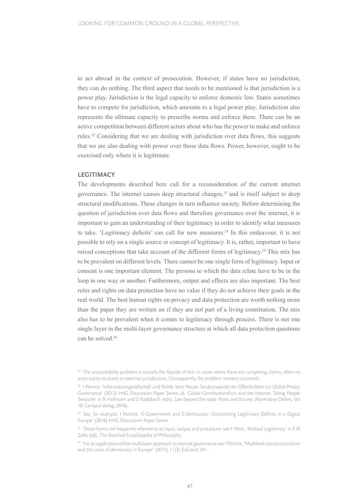to act abroad in the context of prosecution. However, if states have no jurisdiction, they can do nothing. The third aspect that needs to be mentioned is that jurisdiction is a power play. Jurisdiction is the legal capacity to enforce domestic law. States sometimes have to compete for jurisdiction, which amounts to a legal power play. Jurisdiction also represents the ultimate capacity to prescribe norms and enforce them. There can be an active competition between different actors about who has the power to make and enforce rules.22 Considering that we are dealing with jurisdiction over data flows, this suggests that we are also dealing with power over those data flows. Power, however, ought to be exercised only where it is legitimate.

#### **LEGITIMACY**

The developments described here call for a reconsideration of the current internet governance. The internet causes deep structural changes,23 and is itself subject to deep structural modifications. These changes in turn influence society. Before determining the question of jurisdiction over data flows and therefore governance over the internet, it is important to gain an understanding of their legitimacy in order to identify what measures to take. 'Legitimacy deficits' can call for new measures.<sup>24</sup> In this endeavour, it is not possible to rely on a single source or concept of legitimacy. It is, rather, important to have mixed conceptions that take account of the different forms of legitimacy.25 This mix has to be prevalent on different levels. There cannot be one single form of legitimacy. Input or consent is one important element. The persons to which the data relate have to be in the loop in one way or another. Furthermore, output and effects are also important. The best rules and rights on data protection have no value if they do not achieve their goals in the real world. The best human rights on privacy and data protection are worth nothing more than the paper they are written on if they are not part of a living constitution. The mix also has to be prevalent when it comes to legitimacy through process. There is not one single layer in the multi-layer governance structure at which all data protection questions can be solved.26

<sup>&</sup>lt;sup>22</sup> The accountability problem is actually the flipside of this: in cases where there are competing claims, often no actor wants to assert or exercise jurisdictions. Consequently, the problem remains unsolved.

<sup>23</sup> I Pernice, 'Informationsgesellschaft und Politik: Vom Neuen Strukturwandel der Öffentlichkeit zur Global Privacy Governance' (2013) HIIG Discussion Paper Series; id, 'Global Constitutionalism and the Internet: Taking People Seriously' in R Hofmann and S Kadelbach (eds), Law beyond the state: Pasts and futures (Normative Orders, Vol 18. Campus Verlag, 2016).

<sup>&</sup>lt;sup>24</sup> See, for example, I Pernice, 'E-Government and E-Democracy: Overcoming Legitimacy Deficits in a Digital Europe' (2016) HIIG Discussion Paper Series.

<sup>&</sup>lt;sup>25</sup> Those forms are frequently referred to as input, output and procedure: see F Peter, 'Political Legitimacy' in E N Zalta (ed), The Stanford Encyclopedia of Philosophy.

<sup>&</sup>lt;sup>26</sup> For an application of the multi-layer approach to internet governance see I Pernice, 'Multilevel constitutionalism and the crisis of democracy in Europe' (2015) 11(3) EuConst 541.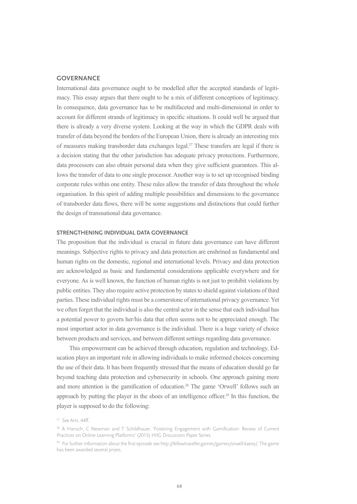#### **GOVERNANCE**

International data governance ought to be modelled after the accepted standards of legitimacy. This essay argues that there ought to be a mix of different conceptions of legitimacy. In consequence, data governance has to be multifaceted and multi-dimensional in order to account for different strands of legitimacy in specific situations. It could well be argued that there is already a very diverse system. Looking at the way in which the GDPR deals with transfer of data beyond the borders of the European Union, there is already an interesting mix of measures making transborder data exchanges legal.27 These transfers are legal if there is a decision stating that the other jurisdiction has adequate privacy protections. Furthermore, data processors can also obtain personal data when they give sufficient guarantees. This allows the transfer of data to one single processor. Another way is to set up recognised binding corporate rules within one entity. These rules allow the transfer of data throughout the whole organisation. In this spirit of adding multiple possibilities and dimensions to the governance of transborder data flows, there will be some suggestions and distinctions that could further the design of transnational data governance.

#### **STRENGTHENING INDIVIDUAL DATA GOVERNANCE**

The proposition that the individual is crucial in future data governance can have different meanings. Subjective rights to privacy and data protection are enshrined as fundamental and human rights on the domestic, regional and international levels. Privacy and data protection are acknowledged as basic and fundamental considerations applicable everywhere and for everyone. As is well known, the function of human rights is not just to prohibit violations by public entities. They also require active protection by states to shield against violations of third parties. These individual rights must be a cornerstone of international privacy governance. Yet we often forget that the individual is also the central actor in the sense that each individual has a potential power to govern her/his data that often seems not to be appreciated enough. The most important actor in data governance is the individual. There is a huge variety of choice between products and services, and between different settings regarding data governance.

This empowerment can be achieved through education, regulation and technology. Education plays an important role in allowing individuals to make informed choices concerning the use of their data. It has been frequently stressed that the means of education should go far beyond teaching data protection and cybersecurity in schools. One approach gaining more and more attention is the gamification of education.<sup>28</sup> The game 'Orwell' follows such an approach by putting the player in the shoes of an intelligence officer.29 In this function, the player is supposed to do the following:

<sup>27</sup> See Arts. 44ff.

<sup>28</sup> A Hansch, C Newman and T Schildhauer, 'Fostering Engagement with Gamification: Review of Current Practices on Online Learning Platforms' (2015) HIIG Discussion Paper Series.

<sup>29</sup> For further information about the first episode see http://fellowtraveller.games/games/orwell-kaeoy/. The game has been awarded several prizes.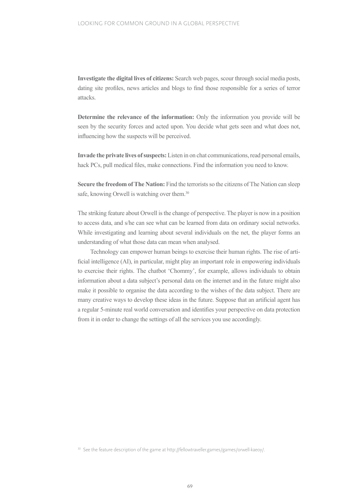**Investigate the digital lives of citizens:** Search web pages, scour through social media posts, dating site profiles, news articles and blogs to find those responsible for a series of terror attacks.

**Determine the relevance of the information:** Only the information you provide will be seen by the security forces and acted upon. You decide what gets seen and what does not, influencing how the suspects will be perceived.

**Invade the private lives of suspects:** Listen in on chat communications, read personal emails, hack PCs, pull medical files, make connections. Find the information you need to know.

**Secure the freedom of The Nation:** Find the terrorists so the citizens of The Nation can sleep safe, knowing Orwell is watching over them.<sup>30</sup>

The striking feature about Orwell is the change of perspective. The player is now in a position to access data, and s/he can see what can be learned from data on ordinary social networks. While investigating and learning about several individuals on the net, the player forms an understanding of what those data can mean when analysed.

Technology can empower human beings to exercise their human rights. The rise of artificial intelligence (AI), in particular, might play an important role in empowering individuals to exercise their rights. The chatbot 'Chommy', for example, allows individuals to obtain information about a data subject's personal data on the internet and in the future might also make it possible to organise the data according to the wishes of the data subject. There are many creative ways to develop these ideas in the future. Suppose that an artificial agent has a regular 5-minute real world conversation and identifies your perspective on data protection from it in order to change the settings of all the services you use accordingly.

<sup>&</sup>lt;sup>30</sup> See the feature description of the game at http://fellowtraveller.games/games/orwell-kaeoy/.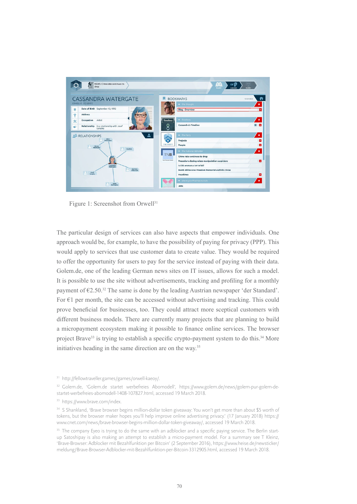

Figure 1: Screenshot from Orwell<sup>31</sup>

The particular design of services can also have aspects that empower individuals. One approach would be, for example, to have the possibility of paying for privacy (PPP). This would apply to services that use customer data to create value. They would be required to offer the opportunity for users to pay for the service instead of paying with their data. Golem.de, one of the leading German news sites on IT issues, allows for such a model. It is possible to use the site without advertisements, tracking and profiling for a monthly payment of €2.50.32 The same is done by the leading Austrian newspaper 'der Standard'. For  $E1$  per month, the site can be accessed without advertising and tracking. This could prove beneficial for businesses, too. They could attract more sceptical customers with different business models. There are currently many projects that are planning to build a micropayment ecosystem making it possible to finance online services. The browser project Brave<sup>33</sup> is trying to establish a specific crypto-payment system to do this.<sup>34</sup> More initiatives heading in the same direction are on the way.35

<sup>31</sup> http://fellowtraveller.games/games/orwell-kaeoy/.

<sup>&</sup>lt;sup>32</sup> Golem.de, 'Golem.de startet werbefreies Abomodell', [https://www.golem.de/news/golem-pur-golem-de](http://www.golem.de/news/golem-pur-golem-de-startet-werbefreies-abomodell-1408-107827.html)[startet-werbefreies-abomodell-1408-107827.html,](http://www.golem.de/news/golem-pur-golem-de-startet-werbefreies-abomodell-1408-107827.html) accessed 19 March 2018.

<sup>33</sup> https://www.brave.com/index.

<sup>34</sup> S Shankland, 'Brave browser begins million-dollar token giveaway: You won't get more than about \$5 worth of tokens, but the browser maker hopes you'll help improve online advertising privacy.' (17 January 2018) [https://](http://www.cnet.com/news/brave-browser-begins-million-dollar-token-giveaway/) [www.cnet.com/news/brave-browser-begins-million-dollar-token-giveaway/,](http://www.cnet.com/news/brave-browser-begins-million-dollar-token-giveaway/) accessed 19 March 2018.

<sup>&</sup>lt;sup>35</sup> The company Eyeo is trying to do the same with an adblocker and a specific paying service. The Berlin startup Satoshipay is also making an attempt to establish a micro-payment model. For a summary see T Kleinz, 'Brave-Browser: Adblocker mit Bezahlfunktion per Bitcoin' (2 September 2016), [https://www.heise.de/newsticker/](http://www.heise.de/newsticker/meldung/Brave-Browser-Adblocker-mit-Bezahlfunktion-per-Bitcoin-3312905.html) [meldung/Brave-Browser-Adblocker-mit-Bezahlfunktion-per-Bitcoin-3312905.html,](http://www.heise.de/newsticker/meldung/Brave-Browser-Adblocker-mit-Bezahlfunktion-per-Bitcoin-3312905.html) accessed 19 March 2018.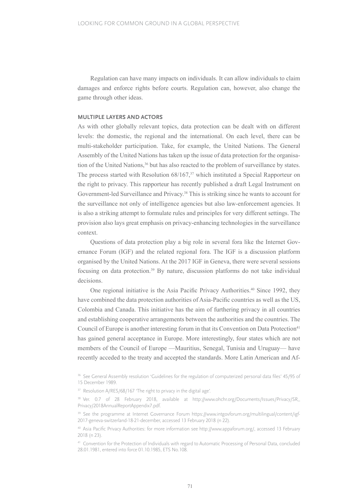Regulation can have many impacts on individuals. It can allow individuals to claim damages and enforce rights before courts. Regulation can, however, also change the game through other ideas.

#### **MULTIPLE LAYERS AND ACTORS**

As with other globally relevant topics, data protection can be dealt with on different levels: the domestic, the regional and the international. On each level, there can be multi-stakeholder participation. Take, for example, the United Nations. The General Assembly of the United Nations has taken up the issue of data protection for the organisation of the United Nations,<sup>36</sup> but has also reacted to the problem of surveillance by states. The process started with Resolution 68/167,<sup>37</sup> which instituted a Special Rapporteur on the right to privacy. This rapporteur has recently published a draft Legal Instrument on Government-led Surveillance and Privacy.38 This is striking since he wants to account for the surveillance not only of intelligence agencies but also law-enforcement agencies. It is also a striking attempt to formulate rules and principles for very different settings. The provision also lays great emphasis on privacy-enhancing technologies in the surveillance context.

Questions of data protection play a big role in several fora like the Internet Governance Forum (IGF) and the related regional fora. The IGF is a discussion platform organised by the United Nations. At the 2017 IGF in Geneva, there were several sessions focusing on data protection.<sup>39</sup> By nature, discussion platforms do not take individual decisions.

One regional initiative is the Asia Pacific Privacy Authorities.40 Since 1992, they have combined the data protection authorities of Asia-Pacific countries as well as the US, Colombia and Canada. This initiative has the aim of furthering privacy in all countries and establishing cooperative arrangements between the authorities and the countries. The Council of Europe is another interesting forum in that its Convention on Data Protection<sup>41</sup> has gained general acceptance in Europe. More interestingly, four states which are not members of the Council of Europe —Mauritius, Senegal, Tunisia and Uruguay— have recently acceded to the treaty and accepted the standards. More Latin American and Af-

<sup>&</sup>lt;sup>36</sup> See General Assembly resolution 'Guidelines for the regulation of computerized personal data files' 45/95 of 15 December 1989.

<sup>&</sup>lt;sup>37</sup> Resolution A/RES/68/167 'The right to privacy in the digital age'.

<sup>&</sup>lt;sup>38</sup> Ver. 0.7 of 28 February 2018, available at [http://www.ohchr.org/Documents/Issues/Privacy/SR\\_](http://www.ohchr.org/Documents/Issues/Privacy/SR_Privacy/2018AnnualReportAppendix7.pdf) [Privacy/2018AnnualReportAppendix7.pdf.](http://www.ohchr.org/Documents/Issues/Privacy/SR_Privacy/2018AnnualReportAppendix7.pdf)

<sup>&</sup>lt;sup>39</sup> See the programme at Internet Governance Forum [https://www.intgovforum.org/multilingual/content/igf-](http://www.intgovforum.org/multilingual/content/igf-2017-geneva-switzerland-18-21-december)[2017-geneva-switzerland-18-21-december,](http://www.intgovforum.org/multilingual/content/igf-2017-geneva-switzerland-18-21-december) accessed 13 February 2018 (n 22).

<sup>40</sup> Asia Pacific Privacy Authorities: for more information see <http://www.appaforum.org/>, accessed 13 February 2018 (n 23).

<sup>41</sup> Convention for the Protection of Individuals with regard to Automatic Processing of Personal Data, concluded 28.01.1981, entered into force 01.10.1985, ETS No.108.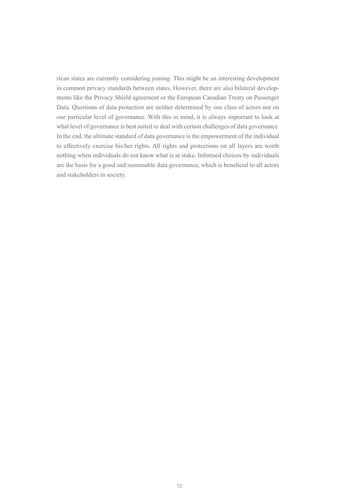rican states are currently considering joining. This might be an interesting development in common privacy standards between states. However, there are also bilateral developments like the Privacy Shield agreement or the European Canadian Treaty on Passenger Data. Questions of data protection are neither determined by one class of actors nor on one particular level of governance. With this in mind, it is always important to look at what level of governance is best suited to deal with certain challenges of data governance. In the end, the ultimate standard of data governance is the empowerment of the individual to effectively exercise his/her rights. All rights and protections on all layers are worth nothing when individuals do not know what is at stake. Informed choices by individuals are the basis for a good and sustainable data governance, which is beneficial to all actors and stakeholders in society.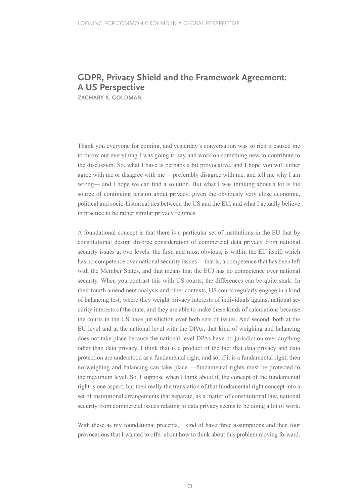### **GDPR, Privacy Shield and the Framework Agreement: A US Perspective**

**ZACHARY K. GOLDMAN**

Thank you everyone for coming, and yesterday's conversation was so rich it caused me to throw out everything I was going to say and work on something new to contribute to the discussion. So, what I have is perhaps a bit provocative, and I hope you will either agree with me or disagree with me —preferably disagree with me, and tell me why I am wrong— and I hope we can find a solution. But what I was thinking about a lot is the source of continuing tension about privacy, given the obviously very close economic, political and socio-historical ties between the US and the EU, and what I actually believe in practice to be rather similar privacy regimes.

A foundational concept is that there is a particular set of institutions in the EU that by constitutional design divorce consideration of commercial data privacy from national security issues at two levels: the first, and most obvious, is within the EU itself, which has no competence over national security issues —that is, a competence that has been left with the Member States, and that means that the ECJ has no competence over national security. When you contrast this with US courts, the differences can be quite stark. In their fourth amendment analysis and other contexts, US courts regularly engage in a kind of balancing test, where they weight privacy interests of individuals against national security interests of the state, and they are able to make these kinds of calculations because the courts in the US have jurisdiction over both sets of issues. And second, both at the EU level and at the national level with the DPAs, that kind of weighing and balancing does not take place because the national-level DPAs have no jurisdiction over anything other than data privacy. I think that is a product of the fact that data privacy and data protection are understood as a fundamental right, and so, if it is a fundamental right, then no weighing and balancing can take place —fundamental rights must be protected to the maximum level. So, I suppose when I think about it, the concept of the fundamental right is one aspect, but then really the translation of that fundamental right concept into a set of institutional arrangements that separate, as a matter of constitutional law, national security from commercial issues relating to data privacy seems to be doing a lot of work.

With these as my foundational precepts, I kind of have three assumptions and then four provocations that I wanted to offer about how to think about this problem moving forward.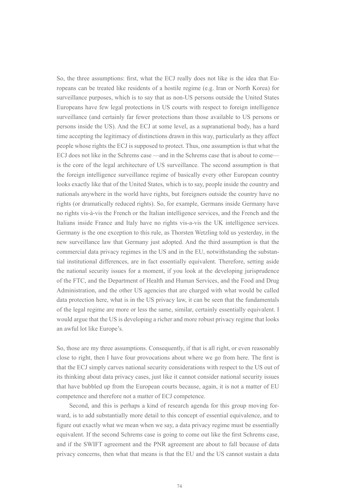So, the three assumptions: first, what the ECJ really does not like is the idea that Europeans can be treated like residents of a hostile regime (e.g. Iran or North Korea) for surveillance purposes, which is to say that as non-US persons outside the United States Europeans have few legal protections in US courts with respect to foreign intelligence surveillance (and certainly far fewer protections than those available to US persons or persons inside the US). And the ECJ at some level, as a supranational body, has a hard time accepting the legitimacy of distinctions drawn in this way, particularly as they affect people whose rights the ECJ is supposed to protect. Thus, one assumption is that what the ECJ does not like in the Schrems case —and in the Schrems case that is about to come is the core of the legal architecture of US surveillance. The second assumption is that the foreign intelligence surveillance regime of basically every other European country looks exactly like that of the United States, which is to say, people inside the country and nationals anywhere in the world have rights, but foreigners outside the country have no rights (or dramatically reduced rights). So, for example, Germans inside Germany have no rights vis-à-vis the French or the Italian intelligence services, and the French and the Italians inside France and Italy have no rights vis-a-vis the UK intelligence services. Germany is the one exception to this rule, as Thorsten Wetzling told us yesterday, in the new surveillance law that Germany just adopted. And the third assumption is that the commercial data privacy regimes in the US and in the EU, notwithstanding the substantial institutional differences, are in fact essentially equivalent. Therefore, setting aside the national security issues for a moment, if you look at the developing jurisprudence of the FTC, and the Department of Health and Human Services, and the Food and Drug Administration, and the other US agencies that are charged with what would be called data protection here, what is in the US privacy law, it can be seen that the fundamentals of the legal regime are more or less the same, similar, certainly essentially equivalent. I would argue that the US is developing a richer and more robust privacy regime that looks an awful lot like Europe's.

So, those are my three assumptions. Consequently, if that is all right, or even reasonably close to right, then I have four provocations about where we go from here. The first is that the ECJ simply carves national security considerations with respect to the US out of its thinking about data privacy cases, just like it cannot consider national security issues that have bubbled up from the European courts because, again, it is not a matter of EU competence and therefore not a matter of ECJ competence.

Second, and this is perhaps a kind of research agenda for this group moving forward, is to add substantially more detail to this concept of essential equivalence, and to figure out exactly what we mean when we say, a data privacy regime must be essentially equivalent. If the second Schrems case is going to come out like the first Schrems case, and if the SWIFT agreement and the PNR agreement are about to fall because of data privacy concerns, then what that means is that the EU and the US cannot sustain a data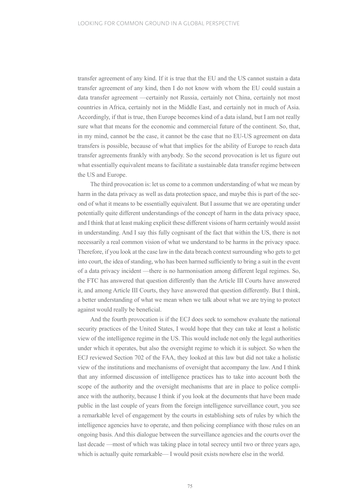transfer agreement of any kind. If it is true that the EU and the US cannot sustain a data transfer agreement of any kind, then I do not know with whom the EU could sustain a data transfer agreement —certainly not Russia, certainly not China, certainly not most countries in Africa, certainly not in the Middle East, and certainly not in much of Asia. Accordingly, if that is true, then Europe becomes kind of a data island, but I am not really sure what that means for the economic and commercial future of the continent. So, that, in my mind, cannot be the case, it cannot be the case that no EU-US agreement on data transfers is possible, because of what that implies for the ability of Europe to reach data transfer agreements frankly with anybody. So the second provocation is let us figure out what essentially equivalent means to facilitate a sustainable data transfer regime between the US and Europe.

The third provocation is: let us come to a common understanding of what we mean by harm in the data privacy as well as data protection space, and maybe this is part of the second of what it means to be essentially equivalent. But I assume that we are operating under potentially quite different understandings of the concept of harm in the data privacy space, and I think that at least making explicit these different visions of harm certainly would assist in understanding. And I say this fully cognisant of the fact that within the US, there is not necessarily a real common vision of what we understand to be harms in the privacy space. Therefore, if you look at the case law in the data breach context surrounding who gets to get into court, the idea of standing, who has been harmed sufficiently to bring a suit in the event of a data privacy incident —there is no harmonisation among different legal regimes. So, the FTC has answered that question differently than the Article III Courts have answered it, and among Article III Courts, they have answered that question differently. But I think, a better understanding of what we mean when we talk about what we are trying to protect against would really be beneficial.

And the fourth provocation is if the ECJ does seek to somehow evaluate the national security practices of the United States, I would hope that they can take at least a holistic view of the intelligence regime in the US. This would include not only the legal authorities under which it operates, but also the oversight regime to which it is subject. So when the ECJ reviewed Section 702 of the FAA, they looked at this law but did not take a holistic view of the institutions and mechanisms of oversight that accompany the law. And I think that any informed discussion of intelligence practices has to take into account both the scope of the authority and the oversight mechanisms that are in place to police compliance with the authority, because I think if you look at the documents that have been made public in the last couple of years from the foreign intelligence surveillance court, you see a remarkable level of engagement by the courts in establishing sets of rules by which the intelligence agencies have to operate, and then policing compliance with those rules on an ongoing basis. And this dialogue between the surveillance agencies and the courts over the last decade —most of which was taking place in total secrecy until two or three years ago, which is actually quite remarkable— I would posit exists nowhere else in the world.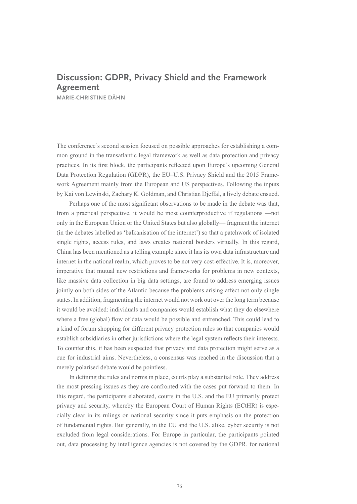## **Discussion: GDPR, Privacy Shield and the Framework Agreement**

**MARIE-CHRISTINE DÄHN**

The conference's second session focused on possible approaches for establishing a common ground in the transatlantic legal framework as well as data protection and privacy practices. In its first block, the participants reflected upon Europe's upcoming General Data Protection Regulation (GDPR), the EU–U.S. Privacy Shield and the 2015 Framework Agreement mainly from the European and US perspectives. Following the inputs by Kai von Lewinski, Zachary K. Goldman, and Christian Djeffal, a lively debate ensued.

Perhaps one of the most significant observations to be made in the debate was that, from a practical perspective, it would be most counterproductive if regulations —not only in the European Union or the United States but also globally— fragment the internet (in the debates labelled as 'balkanisation of the internet') so that a patchwork of isolated single rights, access rules, and laws creates national borders virtually. In this regard, China has been mentioned as a telling example since it has its own data infrastructure and internet in the national realm, which proves to be not very cost-effective. It is, moreover, imperative that mutual new restrictions and frameworks for problems in new contexts, like massive data collection in big data settings, are found to address emerging issues jointly on both sides of the Atlantic because the problems arising affect not only single states. In addition, fragmenting the internet would not work out over the long term because it would be avoided: individuals and companies would establish what they do elsewhere where a free (global) flow of data would be possible and entrenched. This could lead to a kind of forum shopping for different privacy protection rules so that companies would establish subsidiaries in other jurisdictions where the legal system reflects their interests. To counter this, it has been suspected that privacy and data protection might serve as a cue for industrial aims. Nevertheless, a consensus was reached in the discussion that a merely polarised debate would be pointless.

In defining the rules and norms in place, courts play a substantial role. They address the most pressing issues as they are confronted with the cases put forward to them. In this regard, the participants elaborated, courts in the U.S. and the EU primarily protect privacy and security, whereby the European Court of Human Rights (ECtHR) is especially clear in its rulings on national security since it puts emphasis on the protection of fundamental rights. But generally, in the EU and the U.S. alike, cyber security is not excluded from legal considerations. For Europe in particular, the participants pointed out, data processing by intelligence agencies is not covered by the GDPR, for national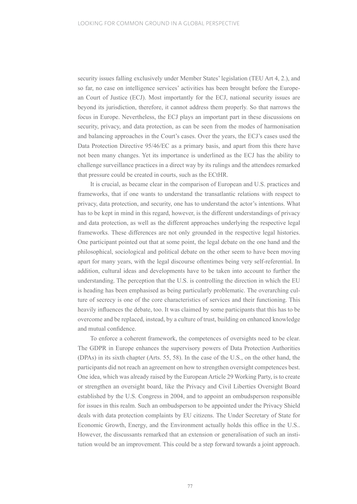security issues falling exclusively under Member States' legislation (TEU Art 4, 2.), and so far, no case on intelligence services' activities has been brought before the European Court of Justice (ECJ). Most importantly for the ECJ, national security issues are beyond its jurisdiction, therefore, it cannot address them properly. So that narrows the focus in Europe. Nevertheless, the ECJ plays an important part in these discussions on security, privacy, and data protection, as can be seen from the modes of harmonisation and balancing approaches in the Court's cases. Over the years, the ECJ's cases used the Data Protection Directive 95/46/EC as a primary basis, and apart from this there have not been many changes. Yet its importance is underlined as the ECJ has the ability to challenge surveillance practices in a direct way by its rulings and the attendees remarked that pressure could be created in courts, such as the ECtHR.

It is crucial, as became clear in the comparison of European and U.S. practices and frameworks, that if one wants to understand the transatlantic relations with respect to privacy, data protection, and security, one has to understand the actor's intentions. What has to be kept in mind in this regard, however, is the different understandings of privacy and data protection, as well as the different approaches underlying the respective legal frameworks. These differences are not only grounded in the respective legal histories. One participant pointed out that at some point, the legal debate on the one hand and the philosophical, sociological and political debate on the other seem to have been moving apart for many years, with the legal discourse oftentimes being very self-referential. In addition, cultural ideas and developments have to be taken into account to further the understanding. The perception that the U.S. is controlling the direction in which the EU is heading has been emphasised as being particularly problematic. The overarching culture of secrecy is one of the core characteristics of services and their functioning. This heavily influences the debate, too. It was claimed by some participants that this has to be overcome and be replaced, instead, by a culture of trust, building on enhanced knowledge and mutual confidence.

To enforce a coherent framework, the competences of oversights need to be clear. The GDPR in Europe enhances the supervisory powers of Data Protection Authorities (DPAs) in its sixth chapter (Arts. 55, 58). In the case of the U.S., on the other hand, the participants did not reach an agreement on how to strengthen oversight competences best. One idea, which was already raised by the European Article 29 Working Party, is to create or strengthen an oversight board, like the Privacy and Civil Liberties Oversight Board established by the U.S. Congress in 2004, and to appoint an ombudsperson responsible for issues in this realm. Such an ombudsperson to be appointed under the Privacy Shield deals with data protection complaints by EU citizens. The Under Secretary of State for Economic Growth, Energy, and the Environment actually holds this office in the U.S.. However, the discussants remarked that an extension or generalisation of such an institution would be an improvement. This could be a step forward towards a joint approach.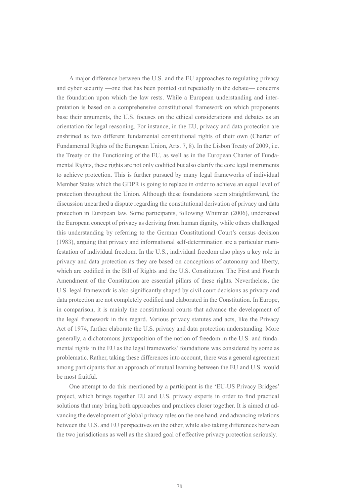A major difference between the U.S. and the EU approaches to regulating privacy and cyber security —one that has been pointed out repeatedly in the debate— concerns the foundation upon which the law rests. While a European understanding and interpretation is based on a comprehensive constitutional framework on which proponents base their arguments, the U.S. focuses on the ethical considerations and debates as an orientation for legal reasoning. For instance, in the EU, privacy and data protection are enshrined as two different fundamental constitutional rights of their own (Charter of Fundamental Rights of the European Union, Arts. 7, 8). In the Lisbon Treaty of 2009, i.e. the Treaty on the Functioning of the EU, as well as in the European Charter of Fundamental Rights, these rights are not only codified but also clarify the core legal instruments to achieve protection. This is further pursued by many legal frameworks of individual Member States which the GDPR is going to replace in order to achieve an equal level of protection throughout the Union. Although these foundations seem straightforward, the discussion unearthed a dispute regarding the constitutional derivation of privacy and data protection in European law. Some participants, following Whitman (2006), understood the European concept of privacy as deriving from human dignity, while others challenged this understanding by referring to the German Constitutional Court's census decision (1983), arguing that privacy and informational self-determination are a particular manifestation of individual freedom. In the U.S., individual freedom also plays a key role in privacy and data protection as they are based on conceptions of autonomy and liberty, which are codified in the Bill of Rights and the U.S. Constitution. The First and Fourth Amendment of the Constitution are essential pillars of these rights. Nevertheless, the U.S. legal framework is also significantly shaped by civil court decisions as privacy and data protection are not completely codified and elaborated in the Constitution. In Europe, in comparison, it is mainly the constitutional courts that advance the development of the legal framework in this regard. Various privacy statutes and acts, like the Privacy Act of 1974, further elaborate the U.S. privacy and data protection understanding. More generally, a dichotomous juxtaposition of the notion of freedom in the U.S. and fundamental rights in the EU as the legal frameworks' foundations was considered by some as problematic. Rather, taking these differences into account, there was a general agreement among participants that an approach of mutual learning between the EU and U.S. would be most fruitful.

One attempt to do this mentioned by a participant is the 'EU-US Privacy Bridges' project, which brings together EU and U.S. privacy experts in order to find practical solutions that may bring both approaches and practices closer together. It is aimed at advancing the development of global privacy rules on the one hand, and advancing relations between the U.S. and EU perspectives on the other, while also taking differences between the two jurisdictions as well as the shared goal of effective privacy protection seriously.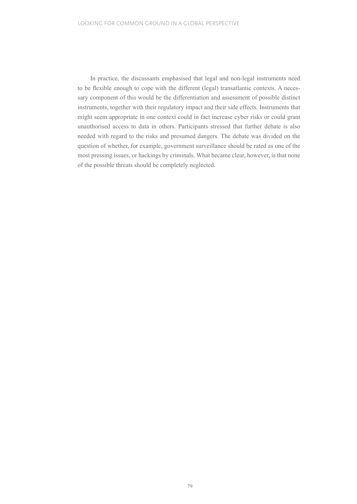In practice, the discussants emphasised that legal and non-legal instruments need to be flexible enough to cope with the different (legal) transatlantic contexts. A necessary component of this would be the differentiation and assessment of possible distinct instruments, together with their regulatory impact and their side effects. Instruments that might seem appropriate in one context could in fact increase cyber risks or could grant unauthorised access to data in others. Participants stressed that further debate is also needed with regard to the risks and presumed dangers. The debate was divided on the question of whether, for example, government surveillance should be rated as one of the most pressing issues, or hackings by criminals. What became clear, however, is that none of the possible threats should be completely neglected.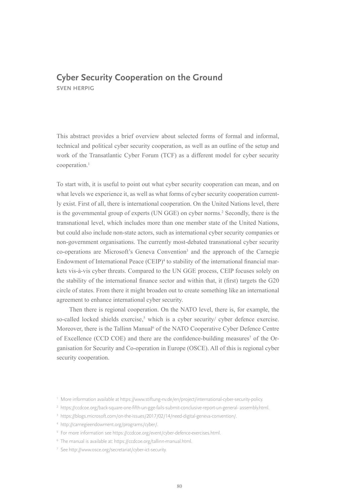### **Cyber Security Cooperation on the Ground SVEN HERPIG**

This abstract provides a brief overview about selected forms of formal and informal, technical and political cyber security cooperation, as well as an outline of the setup and work of the Transatlantic Cyber Forum (TCF) as a different model for cyber security cooperation.1

To start with, it is useful to point out what cyber security cooperation can mean, and on what levels we experience it, as well as what forms of cyber security cooperation currently exist. First of all, there is international cooperation. On the United Nations level, there is the governmental group of experts (UN GGE) on cyber norms.<sup>2</sup> Secondly, there is the transnational level, which includes more than one member state of the United Nations, but could also include non-state actors, such as international cyber security companies or non-government organisations. The currently most-debated transnational cyber security co-operations are Microsoft's Geneva Convention3 and the approach of the Carnegie Endowment of International Peace (CEIP)<sup>4</sup> to stability of the international financial markets vis-à-vis cyber threats. Compared to the UN GGE process, CEIP focuses solely on the stability of the international finance sector and within that, it (first) targets the G20 circle of states. From there it might broaden out to create something like an international agreement to enhance international cyber security.

Then there is regional cooperation. On the NATO level, there is, for example, the so-called locked shields exercise,<sup>5</sup> which is a cyber security/ cyber defence exercise. Moreover, there is the Tallinn Manual<sup>6</sup> of the NATO Cooperative Cyber Defence Centre of Excellence (CCD COE) and there are the confidence-building measures<sup>7</sup> of the Organisation for Security and Co-operation in Europe (OSCE). All of this is regional cyber security cooperation.

- <sup>2</sup> https://ccdcoe.org/back-square-one-fifth-un-gge-fails-submit-conclusive-report-un-general- assembly.html.
- <sup>3</sup> https://blogs.microsoft.com/on-the-issues/2017/02/14/need-digital-geneva-convention/.
- <sup>4</sup> http://carnegieendowment.org/programs/cyber/.
- <sup>5</sup> For more information see https://ccdcoe.org/event/cyber-defence-exercises.html.
- <sup>6</sup> The manual is available at: https://ccdcoe.org/tallinn-manual.html.
- <sup>7</sup> See http://www.osce.org/secretariat/cyber-ict-security.

<sup>1</sup> More information available at https://www.stiftung-nv.de/en/project/international-cyber-security-policy.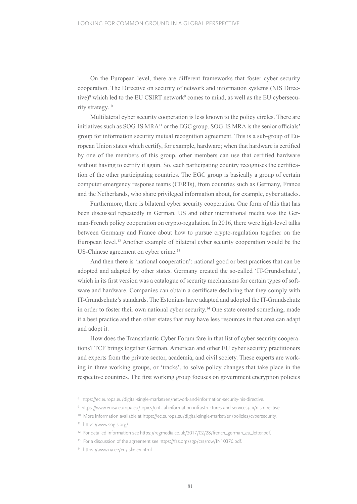On the European level, there are different frameworks that foster cyber security cooperation. The Directive on security of network and information systems (NIS Directive)<sup>8</sup> which led to the EU CSIRT network<sup>9</sup> comes to mind, as well as the EU cybersecurity strategy.10

Multilateral cyber security cooperation is less known to the policy circles. There are initiatives such as SOG-IS MRA11 or the EGC group. SOG-IS MRA is the senior officials' group for information security mutual recognition agreement. This is a sub-group of European Union states which certify, for example, hardware; when that hardware is certified by one of the members of this group, other members can use that certified hardware without having to certify it again. So, each participating country recognises the certification of the other participating countries. The EGC group is basically a group of certain computer emergency response teams (CERTs), from countries such as Germany, France and the Netherlands, who share privileged information about, for example, cyber attacks.

Furthermore, there is bilateral cyber security cooperation. One form of this that has been discussed repeatedly in German, US and other international media was the German-French policy cooperation on crypto-regulation. In 2016, there were high-level talks between Germany and France about how to pursue crypto-regulation together on the European level.12 Another example of bilateral cyber security cooperation would be the US-Chinese agreement on cyber crime.<sup>13</sup>

And then there is 'national cooperation': national good or best practices that can be adopted and adapted by other states. Germany created the so-called 'IT-Grundschutz', which in its first version was a catalogue of security mechanisms for certain types of software and hardware. Companies can obtain a certificate declaring that they comply with IT-Grundschutz's standards. The Estonians have adapted and adopted the IT-Grundschutz in order to foster their own national cyber security.14 One state created something, made it a best practice and then other states that may have less resources in that area can adapt and adopt it.

How does the Transatlantic Cyber Forum fare in that list of cyber security cooperations? TCF brings together German, American and other EU cyber security practitioners and experts from the private sector, academia, and civil society. These experts are working in three working groups, or 'tracks', to solve policy changes that take place in the respective countries. The first working group focuses on government encryption policies

<sup>8</sup> https://ec.europa.eu/digital-single-market/en/network-and-information-security-nis-directive.

<sup>9</sup> https://www.enisa.europa.eu/topics/critical-information-infrastructures-and-services/cii/nis-directive.

<sup>10</sup> More information available at https://ec.europa.eu/digital-single-market/en/policies/cybersecurity.

<sup>11</sup> https://www.sogis.org/.

<sup>&</sup>lt;sup>12</sup> For detailed information see https://regmedia.co.uk/2017/02/28/french\_german\_eu\_letter.pdf.

<sup>&</sup>lt;sup>13</sup> For a discussion of the agreement see https://fas.org/sgp/crs/row/IN10376.pdf.

<sup>14</sup> https://www.ria.ee/en/iske-en.html.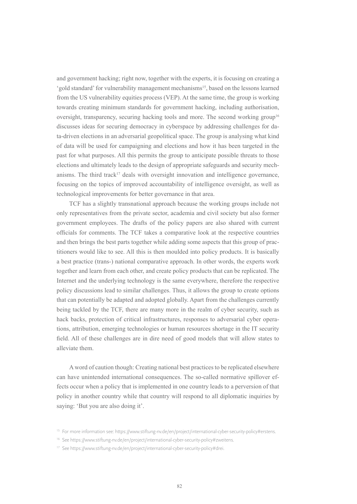and government hacking; right now, together with the experts, it is focusing on creating a 'gold standard' for vulnerability management mechanisms15, based on the lessons learned from the US vulnerability equities process (VEP). At the same time, the group is working towards creating minimum standards for government hacking, including authorisation, oversight, transparency, securing hacking tools and more. The second working group<sup>16</sup> discusses ideas for securing democracy in cyberspace by addressing challenges for data-driven elections in an adversarial geopolitical space. The group is analysing what kind of data will be used for campaigning and elections and how it has been targeted in the past for what purposes. All this permits the group to anticipate possible threats to those elections and ultimately leads to the design of appropriate safeguards and security mechanisms. The third track<sup>17</sup> deals with oversight innovation and intelligence governance, focusing on the topics of improved accountability of intelligence oversight, as well as technological improvements for better governance in that area.

TCF has a slightly transnational approach because the working groups include not only representatives from the private sector, academia and civil society but also former government employees. The drafts of the policy papers are also shared with current officials for comments. The TCF takes a comparative look at the respective countries and then brings the best parts together while adding some aspects that this group of practitioners would like to see. All this is then moulded into policy products. It is basically a best practice (trans-) national comparative approach. In other words, the experts work together and learn from each other, and create policy products that can be replicated. The Internet and the underlying technology is the same everywhere, therefore the respective policy discussions lead to similar challenges. Thus, it allows the group to create options that can potentially be adapted and adopted globally. Apart from the challenges currently being tackled by the TCF, there are many more in the realm of cyber security, such as hack backs, protection of critical infrastructures, responses to adversarial cyber operations, attribution, emerging technologies or human resources shortage in the IT security field. All of these challenges are in dire need of good models that will allow states to alleviate them.

A word of caution though: Creating national best practices to be replicated elsewhere can have unintended international consequences. The so-called normative spillover effects occur when a policy that is implemented in one country leads to a perversion of that policy in another country while that country will respond to all diplomatic inquiries by saying: 'But you are also doing it'.

<sup>&</sup>lt;sup>15</sup> For more information see: https://www.stiftung-nv.de/en/project/international-cyber-security-policy#erstens.

<sup>16</sup> See https://www.stiftung-nv.de/en/project/international-cyber-security-policy#zweitens.

<sup>17</sup> See https://www.stiftung-nv.de/en/project/international-cyber-security-policy#drei.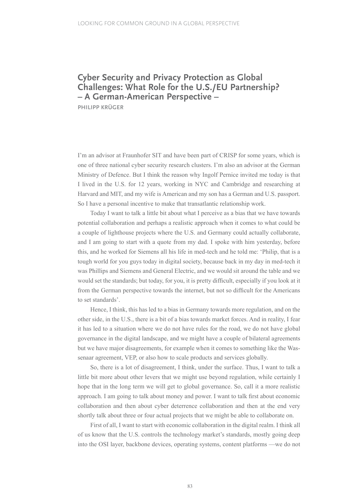### **Cyber Security and Privacy Protection as Global Challenges: What Role for the U.S./EU Partnership? – A German-American Perspective –**

**PHILIPP KRÜGER**

I'm an advisor at Fraunhofer SIT and have been part of CRISP for some years, which is one of three national cyber security research clusters. I'm also an advisor at the German Ministry of Defence. But I think the reason why Ingolf Pernice invited me today is that I lived in the U.S. for 12 years, working in NYC and Cambridge and researching at Harvard and MIT, and my wife is American and my son has a German and U.S. passport. So I have a personal incentive to make that transatlantic relationship work.

Today I want to talk a little bit about what I perceive as a bias that we have towards potential collaboration and perhaps a realistic approach when it comes to what could be a couple of lighthouse projects where the U.S. and Germany could actually collaborate, and I am going to start with a quote from my dad. I spoke with him yesterday, before this, and he worked for Siemens all his life in med-tech and he told me: 'Philip, that is a tough world for you guys today in digital society, because back in my day in med-tech it was Phillips and Siemens and General Electric, and we would sit around the table and we would set the standards; but today, for you, it is pretty difficult, especially if you look at it from the German perspective towards the internet, but not so difficult for the Americans to set standards'.

Hence, I think, this has led to a bias in Germany towards more regulation, and on the other side, in the U.S., there is a bit of a bias towards market forces. And in reality, I fear it has led to a situation where we do not have rules for the road, we do not have global governance in the digital landscape, and we might have a couple of bilateral agreements but we have major disagreements, for example when it comes to something like the Wassenaar agreement, VEP, or also how to scale products and services globally.

So, there is a lot of disagreement, I think, under the surface. Thus, I want to talk a little bit more about other levers that we might use beyond regulation, while certainly I hope that in the long term we will get to global governance. So, call it a more realistic approach. I am going to talk about money and power. I want to talk first about economic collaboration and then about cyber deterrence collaboration and then at the end very shortly talk about three or four actual projects that we might be able to collaborate on.

First of all, I want to start with economic collaboration in the digital realm. I think all of us know that the U.S. controls the technology market's standards, mostly going deep into the OSI layer, backbone devices, operating systems, content platforms —we do not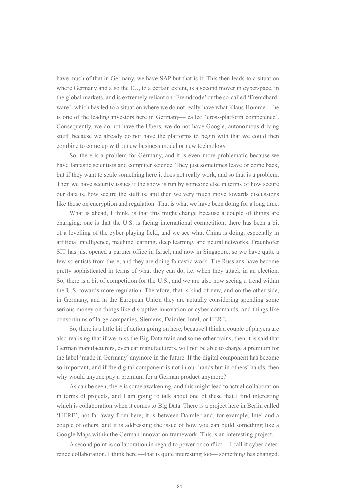have much of that in Germany, we have SAP but that is it. This then leads to a situation where Germany and also the EU, to a certain extent, is a second mover in cyberspace, in the global markets, and is extremely reliant on 'Fremdcode' or the so-called 'Fremdhardware', which has led to a situation where we do not really have what Klaus Homme —he is one of the leading investors here in Germany— called 'cross-platform competence'. Consequently, we do not have the Ubers, we do not have Google, autonomous driving stuff, because we already do not have the platforms to begin with that we could then combine to come up with a new business model or new technology.

So, there is a problem for Germany, and it is even more problematic because we have fantastic scientists and computer science. They just sometimes leave or come back, but if they want to scale something here it does not really work, and so that is a problem. Then we have security issues if the show is run by someone else in terms of how secure our data is, how secure the stuff is, and then we very much move towards discussions like those on encryption and regulation. That is what we have been doing for a long time.

What is ahead, I think, is that this might change because a couple of things are changing: one is that the U.S. is facing international competition; there has been a bit of a levelling of the cyber playing field, and we see what China is doing, especially in artificial intelligence, machine learning, deep learning, and neural networks. Fraunhofer SIT has just opened a partner office in Israel, and now in Singapore, so we have quite a few scientists from there, and they are doing fantastic work. The Russians have become pretty sophisticated in terms of what they can do, i.e. when they attack in an election. So, there is a bit of competition for the U.S., and we are also now seeing a trend within the U.S. towards more regulation. Therefore, that is kind of new, and on the other side, in Germany, and in the European Union they are actually considering spending some serious money on things like disruptive innovation or cyber commands, and things like consortiums of large companies, Siemens, Daimler, Intel, or HERE.

So, there is a little bit of action going on here, because I think a couple of players are also realising that if we miss the Big Data train and some other trains, then it is said that German manufacturers, even car manufacturers, will not be able to charge a premium for the label 'made in Germany' anymore in the future. If the digital component has become so important, and if the digital component is not in our hands but in others' hands, then why would anyone pay a premium for a German product anymore?

As can be seen, there is some awakening, and this might lead to actual collaboration in terms of projects, and I am going to talk about one of these that I find interesting which is collaboration when it comes to Big Data. There is a project here in Berlin called 'HERE', not far away from here; it is between Daimler and, for example, Intel and a couple of others, and it is addressing the issue of how you can build something like a Google Maps within the German innovation framework. This is an interesting project.

A second point is collaboration in regard to power or conflict —I call it cyber deterrence collaboration. I think here —that is quite interesting too— something has changed.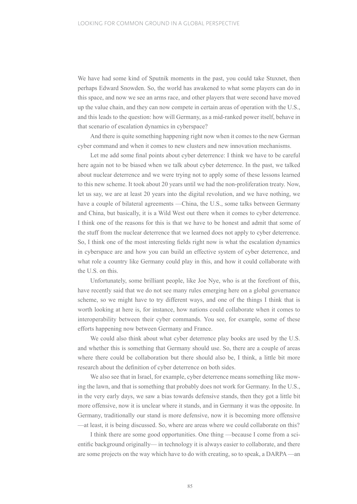We have had some kind of Sputnik moments in the past, you could take Stuxnet, then perhaps Edward Snowden. So, the world has awakened to what some players can do in this space, and now we see an arms race, and other players that were second have moved up the value chain, and they can now compete in certain areas of operation with the U.S., and this leads to the question: how will Germany, as a mid-ranked power itself, behave in that scenario of escalation dynamics in cyberspace?

And there is quite something happening right now when it comes to the new German cyber command and when it comes to new clusters and new innovation mechanisms.

Let me add some final points about cyber deterrence: I think we have to be careful here again not to be biased when we talk about cyber deterrence. In the past, we talked about nuclear deterrence and we were trying not to apply some of these lessons learned to this new scheme. It took about 20 years until we had the non-proliferation treaty. Now, let us say, we are at least 20 years into the digital revolution, and we have nothing, we have a couple of bilateral agreements —China, the U.S., some talks between Germany and China, but basically, it is a Wild West out there when it comes to cyber deterrence. I think one of the reasons for this is that we have to be honest and admit that some of the stuff from the nuclear deterrence that we learned does not apply to cyber deterrence. So, I think one of the most interesting fields right now is what the escalation dynamics in cyberspace are and how you can build an effective system of cyber deterrence, and what role a country like Germany could play in this, and how it could collaborate with the U.S. on this.

Unfortunately, some brilliant people, like Joe Nye, who is at the forefront of this, have recently said that we do not see many rules emerging here on a global governance scheme, so we might have to try different ways, and one of the things I think that is worth looking at here is, for instance, how nations could collaborate when it comes to interoperability between their cyber commands. You see, for example, some of these efforts happening now between Germany and France.

We could also think about what cyber deterrence play books are used by the U.S. and whether this is something that Germany should use. So, there are a couple of areas where there could be collaboration but there should also be, I think, a little bit more research about the definition of cyber deterrence on both sides.

We also see that in Israel, for example, cyber deterrence means something like mowing the lawn, and that is something that probably does not work for Germany. In the U.S., in the very early days, we saw a bias towards defensive stands, then they got a little bit more offensive, now it is unclear where it stands, and in Germany it was the opposite. In Germany, traditionally our stand is more defensive, now it is becoming more offensive —at least, it is being discussed. So, where are areas where we could collaborate on this?

I think there are some good opportunities. One thing —because I come from a scientific background originally— in technology it is always easier to collaborate, and there are some projects on the way which have to do with creating, so to speak, a DARPA —an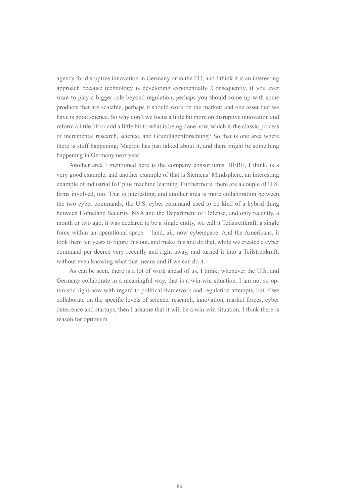agency for disruptive innovation in Germany or in the EU, and I think it is an interesting approach because technology is developing exponentially. Consequently, if you ever want to play a bigger role beyond regulation, perhaps you should come up with some products that are scalable, perhaps it should work on the market; and one asset that we have is good science. So why don't we focus a little bit more on disruptive innovation and reform a little bit or add a little bit to what is being done now, which is the classic process of incremental research, science, and Grundlagenforschung? So that is one area where there is stuff happening, Macron has just talked about it, and there might be something happening in Germany next year.

Another area I mentioned here is the company consortiums. HERE, I think, is a very good example, and another example of that is Siemens' Mindsphere, an interesting example of industrial IoT plus machine learning. Furthermore, there are a couple of U.S. firms involved, too. That is interesting, and another area is more collaboration between the two cyber commands; the U.S. cyber command used to be kind of a hybrid thing between Homeland Security, NSA and the Department of Defense, and only recently, a month or two ago, it was declared to be a single entity, we call it Teilstreitkraft, a single force within an operational space— land, air, now cyberspace. And the Americans, it took them ten years to figure this out, and make this and do that, while we created a cyber command per decree very recently and right away, and turned it into a Teilstreitkraft, without even knowing what that means and if we can do it.

As can be seen, there is a lot of work ahead of us, I think, whenever the U.S. and Germany collaborate in a meaningful way, that is a win-win situation. I am not so optimistic right now with regard to political framework and regulation attempts, but if we collaborate on the specific levels of science, research, innovation, market forces, cyber deterrence and startups, then I assume that it will be a win-win situation. I think there is reason for optimism.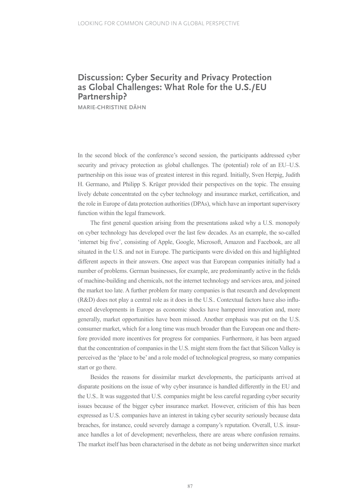### **Discussion: Cyber Security and Privacy Protection as Global Challenges: What Role for the U.S./EU Partnership?**

**MARIE-CHRISTINE DÄHN**

In the second block of the conference's second session, the participants addressed cyber security and privacy protection as global challenges. The (potential) role of an EU–U.S. partnership on this issue was of greatest interest in this regard. Initially, Sven Herpig, Judith H. Germano, and Philipp S. Krüger provided their perspectives on the topic. The ensuing lively debate concentrated on the cyber technology and insurance market, certification, and the role in Europe of data protection authorities (DPAs), which have an important supervisory function within the legal framework.

The first general question arising from the presentations asked why a U.S. monopoly on cyber technology has developed over the last few decades. As an example, the so-called 'internet big five', consisting of Apple, Google, Microsoft, Amazon and Facebook, are all situated in the U.S. and not in Europe. The participants were divided on this and highlighted different aspects in their answers. One aspect was that European companies initially had a number of problems. German businesses, for example, are predominantly active in the fields of machine-building and chemicals, not the internet technology and services area, and joined the market too late. A further problem for many companies is that research and development (R&D) does not play a central role as it does in the U.S.. Contextual factors have also influenced developments in Europe as economic shocks have hampered innovation and, more generally, market opportunities have been missed. Another emphasis was put on the U.S. consumer market, which for a long time was much broader than the European one and therefore provided more incentives for progress for companies. Furthermore, it has been argued that the concentration of companies in the U.S. might stem from the fact that Silicon Valley is perceived as the 'place to be' and a role model of technological progress, so many companies start or go there.

Besides the reasons for dissimilar market developments, the participants arrived at disparate positions on the issue of why cyber insurance is handled differently in the EU and the U.S.. It was suggested that U.S. companies might be less careful regarding cyber security issues because of the bigger cyber insurance market. However, criticism of this has been expressed as U.S. companies have an interest in taking cyber security seriously because data breaches, for instance, could severely damage a company's reputation. Overall, U.S. insurance handles a lot of development; nevertheless, there are areas where confusion remains. The market itself has been characterised in the debate as not being underwritten since market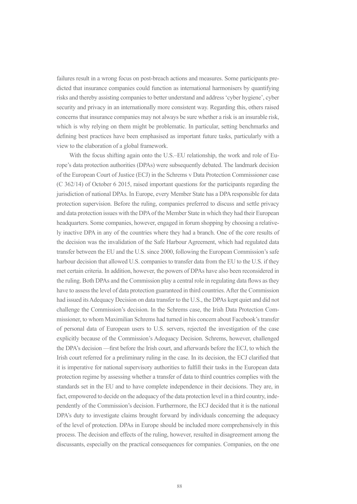failures result in a wrong focus on post-breach actions and measures. Some participants predicted that insurance companies could function as international harmonisers by quantifying risks and thereby assisting companies to better understand and address 'cyber hygiene', cyber security and privacy in an internationally more consistent way. Regarding this, others raised concerns that insurance companies may not always be sure whether a risk is an insurable risk, which is why relying on them might be problematic. In particular, setting benchmarks and defining best practices have been emphasised as important future tasks, particularly with a view to the elaboration of a global framework.

With the focus shifting again onto the U.S.–EU relationship, the work and role of Europe's data protection authorities (DPAs) were subsequently debated. The landmark decision of the European Court of Justice (ECJ) in the Schrems v Data Protection Commissioner case (C 362/14) of October 6 2015, raised important questions for the participants regarding the jurisdiction of national DPAs. In Europe, every Member State has a DPA responsible for data protection supervision. Before the ruling, companies preferred to discuss and settle privacy and data protection issues with the DPA of the Member State in which they had their European headquarters. Some companies, however, engaged in forum shopping by choosing a relatively inactive DPA in any of the countries where they had a branch. One of the core results of the decision was the invalidation of the Safe Harbour Agreement, which had regulated data transfer between the EU and the U.S. since 2000, following the European Commission's safe harbour decision that allowed U.S. companies to transfer data from the EU to the U.S. if they met certain criteria. In addition, however, the powers of DPAs have also been reconsidered in the ruling. Both DPAs and the Commission play a central role in regulating data flows as they have to assess the level of data protection guaranteed in third countries. After the Commission had issued its Adequacy Decision on data transfer to the U.S., the DPAs kept quiet and did not challenge the Commission's decision. In the Schrems case, the Irish Data Protection Commissioner, to whom Maximilian Schrems had turned in his concern about Facebook's transfer of personal data of European users to U.S. servers, rejected the investigation of the case explicitly because of the Commission's Adequacy Decision. Schrems, however, challenged the DPA's decision —first before the Irish court, and afterwards before the ECJ, to which the Irish court referred for a preliminary ruling in the case. In its decision, the ECJ clarified that it is imperative for national supervisory authorities to fulfill their tasks in the European data protection regime by assessing whether a transfer of data to third countries complies with the standards set in the EU and to have complete independence in their decisions. They are, in fact, empowered to decide on the adequacy of the data protection level in a third country, independently of the Commission's decision. Furthermore, the ECJ decided that it is the national DPA's duty to investigate claims brought forward by individuals concerning the adequacy of the level of protection. DPAs in Europe should be included more comprehensively in this process. The decision and effects of the ruling, however, resulted in disagreement among the discussants, especially on the practical consequences for companies. Companies, on the one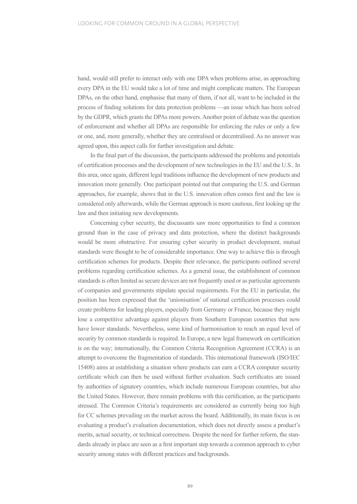hand, would still prefer to interact only with one DPA when problems arise, as approaching every DPA in the EU would take a lot of time and might complicate matters. The European DPAs, on the other hand, emphasise that many of them, if not all, want to be included in the process of finding solutions for data protection problems —an issue which has been solved by the GDPR, which grants the DPAs more powers. Another point of debate was the question of enforcement and whether all DPAs are responsible for enforcing the rules or only a few or one, and, more generally, whether they are centralised or decentralised. As no answer was agreed upon, this aspect calls for further investigation and debate.

In the final part of the discussion, the participants addressed the problems and potentials of certification processes and the development of new technologies in the EU and the U.S.. In this area, once again, different legal traditions influence the development of new products and innovation more generally. One participant pointed out that comparing the U.S. and German approaches, for example, shows that in the U.S. innovation often comes first and the law is considered only afterwards, while the German approach is more cautious, first looking up the law and then initiating new developments.

Concerning cyber security, the discussants saw more opportunities to find a common ground than in the case of privacy and data protection, where the distinct backgrounds would be more obstructive. For ensuring cyber security in product development, mutual standards were thought to be of considerable importance. One way to achieve this is through certification schemes for products. Despite their relevance, the participants outlined several problems regarding certification schemes. As a general issue, the establishment of common standards is often limited as secure devices are not frequently used or as particular agreements of companies and governments stipulate special requirements. For the EU in particular, the position has been expressed that the 'unionisation' of national certification processes could create problems for leading players, especially from Germany or France, because they might lose a competitive advantage against players from Southern European countries that now have lower standards. Nevertheless, some kind of harmonisation to reach an equal level of security by common standards is required. In Europe, a new legal framework on certification is on the way; internationally, the Common Criteria Recognition Agreement (CCRA) is an attempt to overcome the fragmentation of standards. This international framework (ISO/IEC 15408) aims at establishing a situation where products can earn a CCRA computer security certificate which can then be used without further evaluation. Such certificates are issued by authorities of signatory countries, which include numerous European countries, but also the United States. However, there remain problems with this certification, as the participants stressed. The Common Criteria's requirements are considered as currently being too high for CC schemes prevailing on the market across the board. Additionally, its main focus is on evaluating a product's evaluation documentation, which does not directly assess a product's merits, actual security, or technical correctness. Despite the need for further reform, the standards already in place are seen as a first important step towards a common approach to cyber security among states with different practices and backgrounds.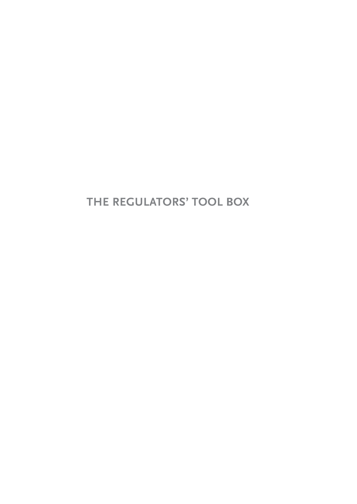**THE REGULATORS' TOOL BOX**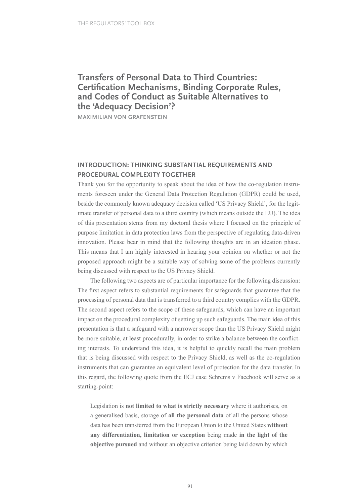## **Transfers of Personal Data to Third Countries: Certification Mechanisms, Binding Corporate Rules, and Codes of Conduct as Suitable Alternatives to the 'Adequacy Decision'?**

**MAXIMILIAN VON GRAFENSTEIN**

### **INTRODUCTION: THINKING SUBSTANTIAL REQUIREMENTS AND PROCEDURAL COMPLEXITY TOGETHER**

Thank you for the opportunity to speak about the idea of how the co-regulation instruments foreseen under the General Data Protection Regulation (GDPR) could be used, beside the commonly known adequacy decision called 'US Privacy Shield', for the legitimate transfer of personal data to a third country (which means outside the EU). The idea of this presentation stems from my doctoral thesis where I focused on the principle of purpose limitation in data protection laws from the perspective of regulating data-driven innovation. Please bear in mind that the following thoughts are in an ideation phase. This means that I am highly interested in hearing your opinion on whether or not the proposed approach might be a suitable way of solving some of the problems currently being discussed with respect to the US Privacy Shield.

The following two aspects are of particular importance for the following discussion: The first aspect refers to substantial requirements for safeguards that guarantee that the processing of personal data that is transferred to a third country complies with the GDPR. The second aspect refers to the scope of these safeguards, which can have an important impact on the procedural complexity of setting up such safeguards. The main idea of this presentation is that a safeguard with a narrower scope than the US Privacy Shield might be more suitable, at least procedurally, in order to strike a balance between the conflicting interests. To understand this idea, it is helpful to quickly recall the main problem that is being discussed with respect to the Privacy Shield, as well as the co-regulation instruments that can guarantee an equivalent level of protection for the data transfer. In this regard, the following quote from the ECJ case Schrems v Facebook will serve as a starting-point:

Legislation is **not limited to what is strictly necessary** where it authorises, on a generalised basis, storage of **all the personal data** of all the persons whose data has been transferred from the European Union to the United States **without any differentiation, limitation or exception** being made **in the light of the objective pursued** and without an objective criterion being laid down by which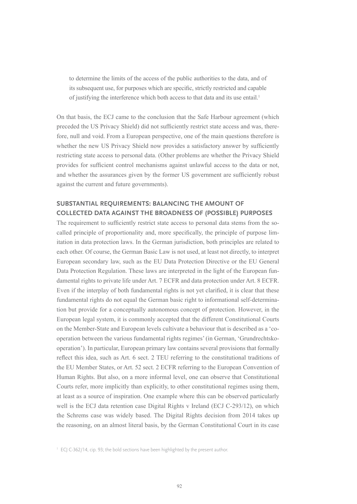to determine the limits of the access of the public authorities to the data, and of its subsequent use, for purposes which are specific, strictly restricted and capable of justifying the interference which both access to that data and its use entail.1

On that basis, the ECJ came to the conclusion that the Safe Harbour agreement (which preceded the US Privacy Shield) did not sufficiently restrict state access and was, therefore, null and void. From a European perspective, one of the main questions therefore is whether the new US Privacy Shield now provides a satisfactory answer by sufficiently restricting state access to personal data. (Other problems are whether the Privacy Shield provides for sufficient control mechanisms against unlawful access to the data or not, and whether the assurances given by the former US government are sufficiently robust against the current and future governments).

### **SUBSTANTIAL REQUIREMENTS: BALANCING THE AMOUNT OF COLLECTED DATA AGAINST THE BROADNESS OF (POSSIBLE) PURPOSES**

The requirement to sufficiently restrict state access to personal data stems from the socalled principle of proportionality and, more specifically, the principle of purpose limitation in data protection laws. In the German jurisdiction, both principles are related to each other. Of course, the German Basic Law is not used, at least not directly, to interpret European secondary law, such as the EU Data Protection Directive or the EU General Data Protection Regulation. These laws are interpreted in the light of the European fundamental rights to private life under Art. 7 ECFR and data protection under Art. 8 ECFR. Even if the interplay of both fundamental rights is not yet clarified, it is clear that these fundamental rights do not equal the German basic right to informational self-determination but provide for a conceptually autonomous concept of protection. However, in the European legal system, it is commonly accepted that the different Constitutional Courts on the Member-State and European levels cultivate a behaviour that is described as a 'cooperation between the various fundamental rights regimes' (in German, 'Grundrechtskooperation'). In particular, European primary law contains several provisions that formally reflect this idea, such as Art. 6 sect. 2 TEU referring to the constitutional traditions of the EU Member States, or Art. 52 sect. 2 ECFR referring to the European Convention of Human Rights. But also, on a more informal level, one can observe that Constitutional Courts refer, more implicitly than explicitly, to other constitutional regimes using them, at least as a source of inspiration. One example where this can be observed particularly well is the ECJ data retention case Digital Rights v Ireland (ECJ C-293/12), on which the Schrems case was widely based. The Digital Rights decision from 2014 takes up the reasoning, on an almost literal basis, by the German Constitutional Court in its case

<sup>1</sup> ECJ C-362/14, cip. 93; the bold sections have been highlighted by the present author.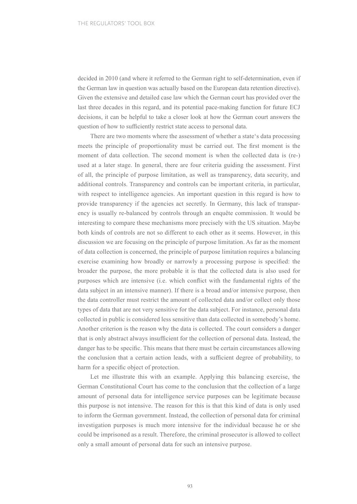decided in 2010 (and where it referred to the German right to self-determination, even if the German law in question was actually based on the European data retention directive). Given the extensive and detailed case law which the German court has provided over the last three decades in this regard, and its potential pace-making function for future ECJ decisions, it can be helpful to take a closer look at how the German court answers the question of how to sufficiently restrict state access to personal data.

There are two moments where the assessment of whether a state's data processing meets the principle of proportionality must be carried out. The first moment is the moment of data collection. The second moment is when the collected data is (re-) used at a later stage. In general, there are four criteria guiding the assessment. First of all, the principle of purpose limitation, as well as transparency, data security, and additional controls. Transparency and controls can be important criteria, in particular, with respect to intelligence agencies. An important question in this regard is how to provide transparency if the agencies act secretly. In Germany, this lack of transparency is usually re-balanced by controls through an enquête commission. It would be interesting to compare these mechanisms more precisely with the US situation. Maybe both kinds of controls are not so different to each other as it seems. However, in this discussion we are focusing on the principle of purpose limitation. As far as the moment of data collection is concerned, the principle of purpose limitation requires a balancing exercise examining how broadly or narrowly a processing purpose is specified: the broader the purpose, the more probable it is that the collected data is also used for purposes which are intensive (i.e. which conflict with the fundamental rights of the data subject in an intensive manner). If there is a broad and/or intensive purpose, then the data controller must restrict the amount of collected data and/or collect only those types of data that are not very sensitive for the data subject. For instance, personal data collected in public is considered less sensitive than data collected in somebody's home. Another criterion is the reason why the data is collected. The court considers a danger that is only abstract always insufficient for the collection of personal data. Instead, the danger has to be specific. This means that there must be certain circumstances allowing the conclusion that a certain action leads, with a sufficient degree of probability, to harm for a specific object of protection.

Let me illustrate this with an example. Applying this balancing exercise, the German Constitutional Court has come to the conclusion that the collection of a large amount of personal data for intelligence service purposes can be legitimate because this purpose is not intensive. The reason for this is that this kind of data is only used to inform the German government. Instead, the collection of personal data for criminal investigation purposes is much more intensive for the individual because he or she could be imprisoned as a result. Therefore, the criminal prosecutor is allowed to collect only a small amount of personal data for such an intensive purpose.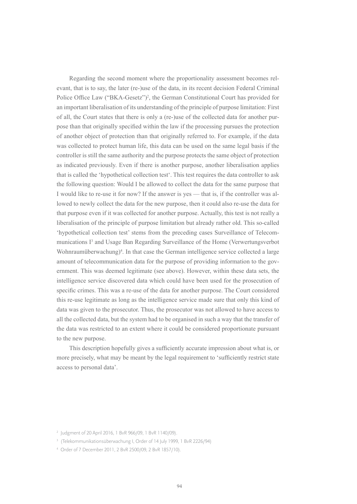Regarding the second moment where the proportionality assessment becomes relevant, that is to say, the later (re-)use of the data, in its recent decision Federal Criminal Police Office Law ("BKA-Gesetz")<sup>2</sup>, the German Constitutional Court has provided for an important liberalisation of its understanding of the principle of purpose limitation: First of all, the Court states that there is only a (re-)use of the collected data for another purpose than that originally specified within the law if the processing pursues the protection of another object of protection than that originally referred to. For example, if the data was collected to protect human life, this data can be used on the same legal basis if the controller is still the same authority and the purpose protects the same object of protection as indicated previously. Even if there is another purpose, another liberalisation applies that is called the 'hypothetical collection test'. This test requires the data controller to ask the following question: Would I be allowed to collect the data for the same purpose that I would like to re-use it for now? If the answer is yes — that is, if the controller was allowed to newly collect the data for the new purpose, then it could also re-use the data for that purpose even if it was collected for another purpose. Actually, this test is not really a liberalisation of the principle of purpose limitation but already rather old. This so-called 'hypothetical collection test' stems from the preceding cases Surveillance of Telecommunications I<sup>3</sup> and Usage Ban Regarding Surveillance of the Home (Verwertungsverbot Wohnraumüberwachung)<sup>4</sup>. In that case the German intelligence service collected a large amount of telecommunication data for the purpose of providing information to the government. This was deemed legitimate (see above). However, within these data sets, the intelligence service discovered data which could have been used for the prosecution of specific crimes. This was a re-use of the data for another purpose. The Court considered this re-use legitimate as long as the intelligence service made sure that only this kind of data was given to the prosecutor. Thus, the prosecutor was not allowed to have access to all the collected data, but the system had to be organised in such a way that the transfer of the data was restricted to an extent where it could be considered proportionate pursuant to the new purpose.

This description hopefully gives a sufficiently accurate impression about what is, or more precisely, what may be meant by the legal requirement to 'sufficiently restrict state access to personal data'.

<sup>2</sup> Judgment of 20 April 2016, 1 BvR 966/09, 1 BvR 1140/09).

<sup>&</sup>lt;sup>3</sup> (Telekommunikationsüberwachung I, Order of 14 July 1999, 1 BvR 2226/94)

<sup>4</sup> Order of 7 December 2011, 2 BvR 2500/09, 2 BvR 1857/10).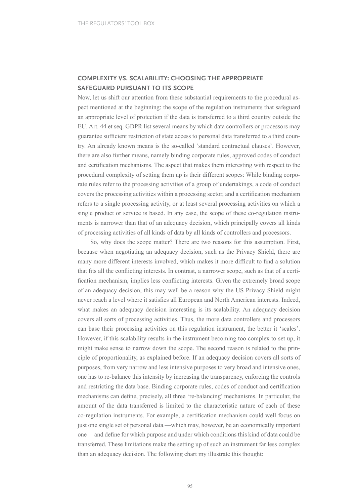#### **COMPLEXITY VS. SCALABILITY: CHOOSING THE APPROPRIATE SAFEGUARD PURSUANT TO ITS SCOPE**

Now, let us shift our attention from these substantial requirements to the procedural aspect mentioned at the beginning: the scope of the regulation instruments that safeguard an appropriate level of protection if the data is transferred to a third country outside the EU. Art. 44 et seq. GDPR list several means by which data controllers or processors may guarantee sufficient restriction of state access to personal data transferred to a third country. An already known means is the so-called 'standard contractual clauses'. However, there are also further means, namely binding corporate rules, approved codes of conduct and certification mechanisms. The aspect that makes them interesting with respect to the procedural complexity of setting them up is their different scopes: While binding corporate rules refer to the processing activities of a group of undertakings, a code of conduct covers the processing activities within a processing sector, and a certification mechanism refers to a single processing activity, or at least several processing activities on which a single product or service is based. In any case, the scope of these co-regulation instruments is narrower than that of an adequacy decision, which principally covers all kinds of processing activities of all kinds of data by all kinds of controllers and processors.

So, why does the scope matter? There are two reasons for this assumption. First, because when negotiating an adequacy decision, such as the Privacy Shield, there are many more different interests involved, which makes it more difficult to find a solution that fits all the conflicting interests. In contrast, a narrower scope, such as that of a certification mechanism, implies less conflicting interests. Given the extremely broad scope of an adequacy decision, this may well be a reason why the US Privacy Shield might never reach a level where it satisfies all European and North American interests. Indeed, what makes an adequacy decision interesting is its scalability. An adequacy decision covers all sorts of processing activities. Thus, the more data controllers and processors can base their processing activities on this regulation instrument, the better it 'scales'. However, if this scalability results in the instrument becoming too complex to set up, it might make sense to narrow down the scope. The second reason is related to the principle of proportionality, as explained before. If an adequacy decision covers all sorts of purposes, from very narrow and less intensive purposes to very broad and intensive ones, one has to re-balance this intensity by increasing the transparency, enforcing the controls and restricting the data base. Binding corporate rules, codes of conduct and certification mechanisms can define, precisely, all three 're-balancing' mechanisms. In particular, the amount of the data transferred is limited to the characteristic nature of each of these co-regulation instruments. For example, a certification mechanism could well focus on just one single set of personal data —which may, however, be an economically important one— and define for which purpose and under which conditions this kind of data could be transferred. These limitations make the setting up of such an instrument far less complex than an adequacy decision. The following chart my illustrate this thought: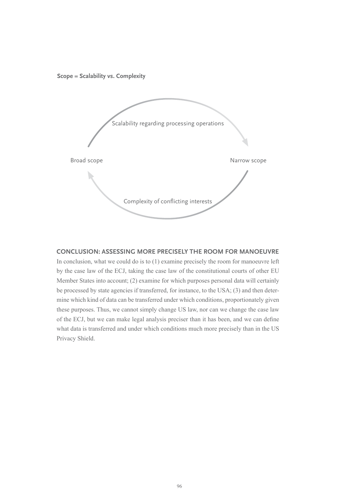**Scope = Scalability vs. Complexity**



#### **CONCLUSION: ASSESSING MORE PRECISELY THE ROOM FOR MANOEUVRE**

In conclusion, what we could do is to (1) examine precisely the room for manoeuvre left by the case law of the ECJ, taking the case law of the constitutional courts of other EU Member States into account; (2) examine for which purposes personal data will certainly be processed by state agencies if transferred, for instance, to the USA; (3) and then determine which kind of data can be transferred under which conditions, proportionately given these purposes. Thus, we cannot simply change US law, nor can we change the case law of the ECJ, but we can make legal analysis preciser than it has been, and we can define what data is transferred and under which conditions much more precisely than in the US Privacy Shield.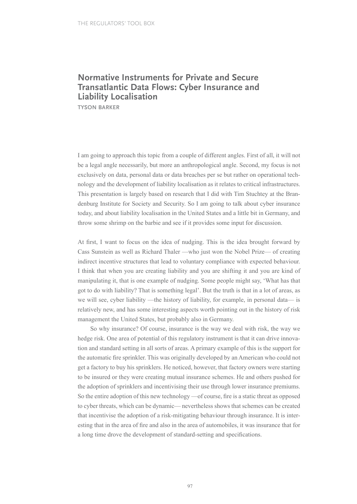## **Normative Instruments for Private and Secure Transatlantic Data Flows: Cyber Insurance and Liability Localisation**

**TYSON BARKER**

I am going to approach this topic from a couple of different angles. First of all, it will not be a legal angle necessarily, but more an anthropological angle. Second, my focus is not exclusively on data, personal data or data breaches per se but rather on operational technology and the development of liability localisation as it relates to critical infrastructures. This presentation is largely based on research that I did with Tim Stuchtey at the Brandenburg Institute for Society and Security. So I am going to talk about cyber insurance today, and about liability localisation in the United States and a little bit in Germany, and throw some shrimp on the barbie and see if it provides some input for discussion.

At first, I want to focus on the idea of nudging. This is the idea brought forward by Cass Sunstein as well as Richard Thaler —who just won the Nobel Prize— of creating indirect incentive structures that lead to voluntary compliance with expected behaviour. I think that when you are creating liability and you are shifting it and you are kind of manipulating it, that is one example of nudging. Some people might say, 'What has that got to do with liability? That is something legal'. But the truth is that in a lot of areas, as we will see, cyber liability —the history of liability, for example, in personal data— is relatively new, and has some interesting aspects worth pointing out in the history of risk management the United States, but probably also in Germany.

So why insurance? Of course, insurance is the way we deal with risk, the way we hedge risk. One area of potential of this regulatory instrument is that it can drive innovation and standard setting in all sorts of areas. A primary example of this is the support for the automatic fire sprinkler. This was originally developed by an American who could not get a factory to buy his sprinklers. He noticed, however, that factory owners were starting to be insured or they were creating mutual insurance schemes. He and others pushed for the adoption of sprinklers and incentivising their use through lower insurance premiums. So the entire adoption of this new technology —of course, fire is a static threat as opposed to cyber threats, which can be dynamic— nevertheless shows that schemes can be created that incentivise the adoption of a risk-mitigating behaviour through insurance. It is interesting that in the area of fire and also in the area of automobiles, it was insurance that for a long time drove the development of standard-setting and specifications.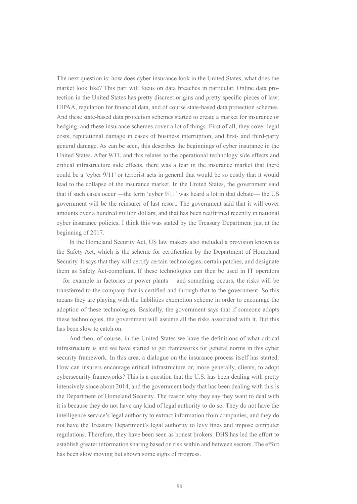The next question is: how does cyber insurance look in the United States, what does the market look like? This part will focus on data breaches in particular. Online data protection in the United States has pretty discreet origins and pretty specific pieces of law: HIPAA, regulation for financial data, and of course state-based data protection schemes. And these state-based data protection schemes started to create a market for insurance or hedging, and these insurance schemes cover a lot of things. First of all, they cover legal costs, reputational damage in cases of business interruption, and first- and third-party general damage. As can be seen, this describes the beginnings of cyber insurance in the United States. After 9/11, and this relates to the operational technology side effects and critical infrastructure side effects, there was a fear in the insurance market that there could be a 'cyber 9/11' or terrorist acts in general that would be so costly that it would lead to the collapse of the insurance market. In the United States, the government said that if such cases occur —the term 'cyber 9/11' was heard a lot in that debate— the US government will be the reinsurer of last resort. The government said that it will cover amounts over a hundred million dollars, and that has been reaffirmed recently in national cyber insurance policies, I think this was stated by the Treasury Department just at the beginning of 2017.

In the Homeland Security Act, US law makers also included a provision known as the Safety Act, which is the scheme for certification by the Department of Homeland Security. It says that they will certify certain technologies, certain patches, and designate them as Safety Act-compliant. If these technologies can then be used in IT operators —for example in factories or power plants— and something occurs, the risks will be transferred to the company that is certified and through that to the government. So this means they are playing with the liabilities exemption scheme in order to encourage the adoption of these technologies. Basically, the government says that if someone adopts these technologies, the government will assume all the risks associated with it. But this has been slow to catch on.

And then, of course, in the United States we have the definitions of what critical infrastructure is and we have started to get frameworks for general norms in this cyber security framework. In this area, a dialogue on the insurance process itself has started: How can insurers encourage critical infrastructure or, more generally, clients, to adopt cybersecurity frameworks? This is a question that the U.S. has been dealing with pretty intensively since about 2014, and the government body that has been dealing with this is the Department of Homeland Security. The reason why they say they want to deal with it is because they do not have any kind of legal authority to do so. They do not have the intelligence service's legal authority to extract information from companies, and they do not have the Treasury Department's legal authority to levy fines and impose computer regulations. Therefore, they have been seen as honest brokers. DHS has led the effort to establish greater information sharing based on risk within and between sectors. The effort has been slow moving but shown some signs of progress.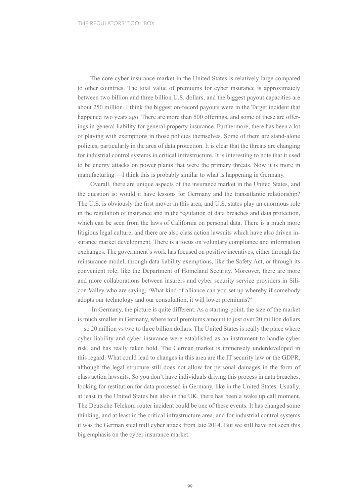The core cyber insurance market in the United States is relatively large compared to other countries. The total value of premiums for cyber insurance is approximately between two billion and three billion U.S. dollars, and the biggest payout capacities are about 250 million. I think the biggest on-record payouts were in the Target incident that happened two years ago. There are more than 500 offerings, and some of these are offerings in general liability for general property insurance. Furthermore, there has been a lot of playing with exemptions in those policies themselves. Some of them are stand-alone policies, particularly in the area of data protection. It is clear that the threats are changing for industrial control systems in critical infrastructure. It is interesting to note that it used to be energy attacks on power plants that were the primary threats. Now it is more in manufacturing —I think this is probably similar to what is happening in Germany.

Overall, there are unique aspects of the insurance market in the United States, and the question is: would it have lessons for Germany and the transatlantic relationship? The U.S. is obviously the first mover in this area, and U.S. states play an enormous role in the regulation of insurance and in the regulation of data breaches and data protection, which can be seen from the laws of California on personal data. There is a much more litigious legal culture, and there are also class action lawsuits which have also driven insurance market development. There is a focus on voluntary compliance and information exchanges. The government's work has focused on positive incentives, either through the reinsurance model, through data liability exemptions, like the Safety Act, or through its convenient role, like the Department of Homeland Security. Moreover, there are more and more collaborations between insurers and cyber security service providers in Silicon Valley who are saying, 'What kind of alliance can you set up whereby if somebody adopts our technology and our consultation, it will lower premiums?'

 In Germany, the picture is quite different. As a starting-point, the size of the market is much smaller in Germany, where total premiums amount to just over 20 million dollars —so 20 million vs two to three billion dollars. The United States is really the place where cyber liability and cyber insurance were established as an instrument to handle cyber risk, and has really taken hold. The German market is immensely underdeveloped in this regard. What could lead to changes in this area are the IT security law or the GDPR, although the legal structure still does not allow for personal damages in the form of class action lawsuits. So you don't have individuals driving this process in data breaches, looking for restitution for data processed in Germany, like in the United States. Usually, at least in the United States but also in the UK, there has been a wake up call moment. The Deutsche Telekom router incident could be one of these events. It has changed some thinking, and at least in the critical infrastructure area, and for industrial control systems it was the German steel mill cyber attack from late 2014. But we still have not seen this big emphasis on the cyber insurance market.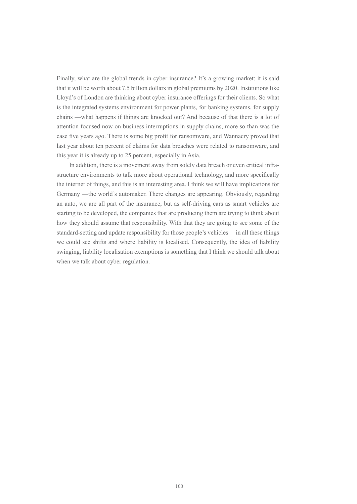Finally, what are the global trends in cyber insurance? It's a growing market: it is said that it will be worth about 7.5 billion dollars in global premiums by 2020. Institutions like Lloyd's of London are thinking about cyber insurance offerings for their clients. So what is the integrated systems environment for power plants, for banking systems, for supply chains —what happens if things are knocked out? And because of that there is a lot of attention focused now on business interruptions in supply chains, more so than was the case five years ago. There is some big profit for ransomware, and Wannacry proved that last year about ten percent of claims for data breaches were related to ransomware, and this year it is already up to 25 percent, especially in Asia.

In addition, there is a movement away from solely data breach or even critical infrastructure environments to talk more about operational technology, and more specifically the internet of things, and this is an interesting area. I think we will have implications for Germany —the world's automaker. There changes are appearing. Obviously, regarding an auto, we are all part of the insurance, but as self-driving cars as smart vehicles are starting to be developed, the companies that are producing them are trying to think about how they should assume that responsibility. With that they are going to see some of the standard-setting and update responsibility for those people's vehicles— in all these things we could see shifts and where liability is localised. Consequently, the idea of liability swinging, liability localisation exemptions is something that I think we should talk about when we talk about cyber regulation.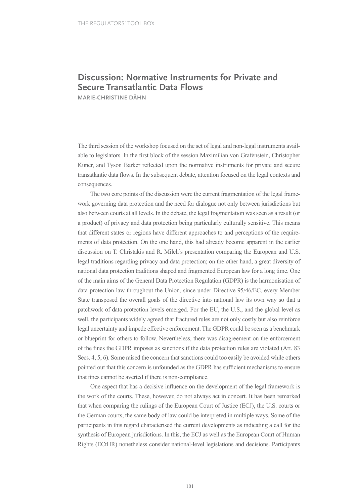## **Discussion: Normative Instruments for Private and Secure Transatlantic Data Flows**

**MARIE-CHRISTINE DÄHN**

The third session of the workshop focused on the set of legal and non-legal instruments available to legislators. In the first block of the session Maximilian von Grafenstein, Christopher Kuner, and Tyson Barker reflected upon the normative instruments for private and secure transatlantic data flows. In the subsequent debate, attention focused on the legal contexts and consequences.

The two core points of the discussion were the current fragmentation of the legal framework governing data protection and the need for dialogue not only between jurisdictions but also between courts at all levels. In the debate, the legal fragmentation was seen as a result (or a product) of privacy and data protection being particularly culturally sensitive. This means that different states or regions have different approaches to and perceptions of the requirements of data protection. On the one hand, this had already become apparent in the earlier discussion on T. Christakis and R. Milch's presentation comparing the European and U.S. legal traditions regarding privacy and data protection; on the other hand, a great diversity of national data protection traditions shaped and fragmented European law for a long time. One of the main aims of the General Data Protection Regulation (GDPR) is the harmonisation of data protection law throughout the Union, since under Directive 95/46/EC, every Member State transposed the overall goals of the directive into national law its own way so that a patchwork of data protection levels emerged. For the EU, the U.S., and the global level as well, the participants widely agreed that fractured rules are not only costly but also reinforce legal uncertainty and impede effective enforcement. The GDPR could be seen as a benchmark or blueprint for others to follow. Nevertheless, there was disagreement on the enforcement of the fines the GDPR imposes as sanctions if the data protection rules are violated (Art. 83 Secs. 4, 5, 6). Some raised the concern that sanctions could too easily be avoided while others pointed out that this concern is unfounded as the GDPR has sufficient mechanisms to ensure that fines cannot be averted if there is non-compliance.

One aspect that has a decisive influence on the development of the legal framework is the work of the courts. These, however, do not always act in concert. It has been remarked that when comparing the rulings of the European Court of Justice (ECJ), the U.S. courts or the German courts, the same body of law could be interpreted in multiple ways. Some of the participants in this regard characterised the current developments as indicating a call for the synthesis of European jurisdictions. In this, the ECJ as well as the European Court of Human Rights (ECtHR) nonetheless consider national-level legislations and decisions. Participants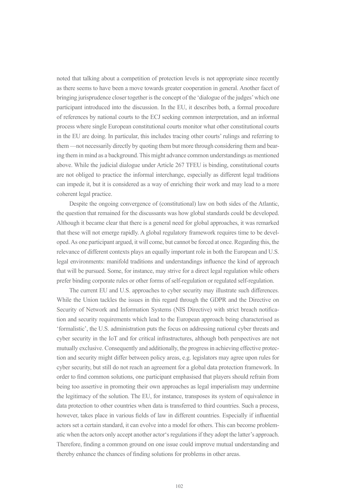noted that talking about a competition of protection levels is not appropriate since recently as there seems to have been a move towards greater cooperation in general. Another facet of bringing jurisprudence closer together is the concept of the 'dialogue of the judges' which one participant introduced into the discussion. In the EU, it describes both, a formal procedure of references by national courts to the ECJ seeking common interpretation, and an informal process where single European constitutional courts monitor what other constitutional courts in the EU are doing. In particular, this includes tracing other courts' rulings and referring to them —not necessarily directly by quoting them but more through considering them and bearing them in mind as a background. This might advance common understandings as mentioned above. While the judicial dialogue under Article 267 TFEU is binding, constitutional courts are not obliged to practice the informal interchange, especially as different legal traditions can impede it, but it is considered as a way of enriching their work and may lead to a more coherent legal practice.

Despite the ongoing convergence of (constitutional) law on both sides of the Atlantic, the question that remained for the discussants was how global standards could be developed. Although it became clear that there is a general need for global approaches, it was remarked that these will not emerge rapidly. A global regulatory framework requires time to be developed. As one participant argued, it will come, but cannot be forced at once. Regarding this, the relevance of different contexts plays an equally important role in both the European and U.S. legal environments: manifold traditions and understandings influence the kind of approach that will be pursued. Some, for instance, may strive for a direct legal regulation while others prefer binding corporate rules or other forms of self-regulation or regulated self-regulation.

The current EU and U.S. approaches to cyber security may illustrate such differences. While the Union tackles the issues in this regard through the GDPR and the Directive on Security of Network and Information Systems (NIS Directive) with strict breach notification and security requirements which lead to the European approach being characterised as 'formalistic', the U.S. administration puts the focus on addressing national cyber threats and cyber security in the IoT and for critical infrastructures, although both perspectives are not mutually exclusive. Consequently and additionally, the progress in achieving effective protection and security might differ between policy areas, e.g. legislators may agree upon rules for cyber security, but still do not reach an agreement for a global data protection framework. In order to find common solutions, one participant emphasised that players should refrain from being too assertive in promoting their own approaches as legal imperialism may undermine the legitimacy of the solution. The EU, for instance, transposes its system of equivalence in data protection to other countries when data is transferred to third countries. Such a process, however, takes place in various fields of law in different countries. Especially if influential actors set a certain standard, it can evolve into a model for others. This can become problematic when the actors only accept another actor's regulations if they adopt the latter's approach. Therefore, finding a common ground on one issue could improve mutual understanding and thereby enhance the chances of finding solutions for problems in other areas.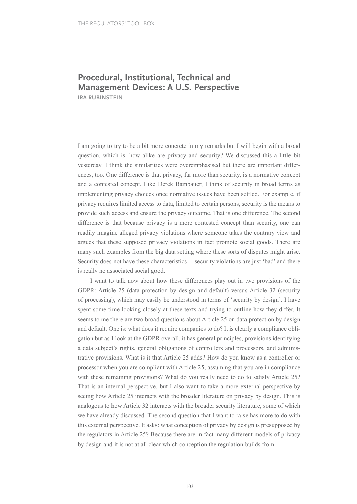# **Procedural, Institutional, Technical and Management Devices: A U.S. Perspective**

**IRA RUBINSTEIN**

I am going to try to be a bit more concrete in my remarks but I will begin with a broad question, which is: how alike are privacy and security? We discussed this a little bit yesterday. I think the similarities were overemphasised but there are important differences, too. One difference is that privacy, far more than security, is a normative concept and a contested concept. Like Derek Bambauer, I think of security in broad terms as implementing privacy choices once normative issues have been settled. For example, if privacy requires limited access to data, limited to certain persons, security is the means to provide such access and ensure the privacy outcome. That is one difference. The second difference is that because privacy is a more contested concept than security, one can readily imagine alleged privacy violations where someone takes the contrary view and argues that these supposed privacy violations in fact promote social goods. There are many such examples from the big data setting where these sorts of disputes might arise. Security does not have these characteristics —security violations are just 'bad' and there is really no associated social good.

I want to talk now about how these differences play out in two provisions of the GDPR: Article 25 (data protection by design and default) versus Article 32 (security of processing), which may easily be understood in terms of 'security by design'. I have spent some time looking closely at these texts and trying to outline how they differ. It seems to me there are two broad questions about Article 25 on data protection by design and default. One is: what does it require companies to do? It is clearly a compliance obligation but as I look at the GDPR overall, it has general principles, provisions identifying a data subject's rights, general obligations of controllers and processors, and administrative provisions. What is it that Article 25 adds? How do you know as a controller or processor when you are compliant with Article 25, assuming that you are in compliance with these remaining provisions? What do you really need to do to satisfy Article 25? That is an internal perspective, but I also want to take a more external perspective by seeing how Article 25 interacts with the broader literature on privacy by design. This is analogous to how Article 32 interacts with the broader security literature, some of which we have already discussed. The second question that I want to raise has more to do with this external perspective. It asks: what conception of privacy by design is presupposed by the regulators in Article 25? Because there are in fact many different models of privacy by design and it is not at all clear which conception the regulation builds from.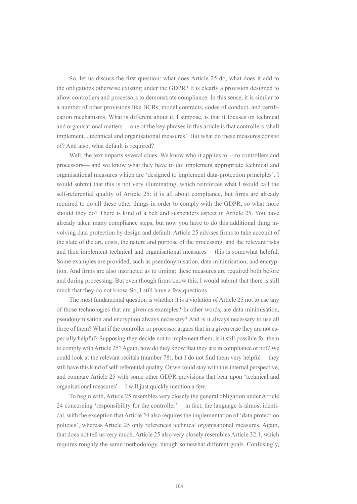So, let us discuss the first question: what does Article 25 do, what does it add to the obligations otherwise existing under the GDPR? It is clearly a provision designed to allow controllers and processors to demonstrate compliance. In this sense, it is similar to a number of other provisions like BCRs, model contracts, codes of conduct, and certification mechanisms. What is different about it, I suppose, is that it focuses on technical and organisational matters —one of the key phrases in this article is that controllers 'shall implement... technical and organisational measures'. But what do these measures consist of? And also, what default is required?

Well, the text imparts several clues. We know who it applies to —to controllers and processors— and we know what they have to do: implement appropriate technical and organisational measures which are 'designed to implement data-protection principles'. I would submit that this is not very illuminating, which reinforces what I would call the self-referential quality of Article 25: it is all about compliance, but firms are already required to do all these other things in order to comply with the GDPR, so what more should they do? There is kind of a belt and suspenders aspect in Article 25. You have already taken many compliance steps, but now you have to do this additional thing involving data protection by design and default. Article 25 advises firms to take account of the state of the art, costs, the nature and purpose of the processing, and the relevant risks and then implement technical and organisational measures —this is somewhat helpful. Some examples are provided, such as pseudonymisation, data minimisation, and encryption. And firms are also instructed as to timing: these measures are required both before and during processing. But even though firms know this, I would submit that there is still much that they do not know. So, I still have a few questions.

The most fundamental question is whether it is a violation of Article 25 not to use any of those technologies that are given as examples? In other words, are data minimisation, pseudonymisation and encryption always necessary? And is it always necessary to use all three of them? What if the controller or processor argues that in a given case they are not especially helpful? Supposing they decide not to implement them, is it still possible for them to comply with Article 25? Again, how do they know that they are in compliance or not? We could look at the relevant recitals (number 78), but I do not find them very helpful —they still have this kind of self-referential quality. Or we could stay with this internal perspective, and compare Article 25 with some other GDPR provisions that bear upon 'technical and organisational measures' —I will just quickly mention a few.

To begin with, Article 25 resembles very closely the general obligation under Article 24 concerning 'responsibility for the controller' —in fact, the language is almost identical, with the exception that Article 24 also requires the implementation of 'data protection policies', whereas Article 25 only references technical organisational measures. Again, that does not tell us very much. Article 25 also very closely resembles Article 32.1, which requires roughly the same methodology, though somewhat different goals. Confusingly,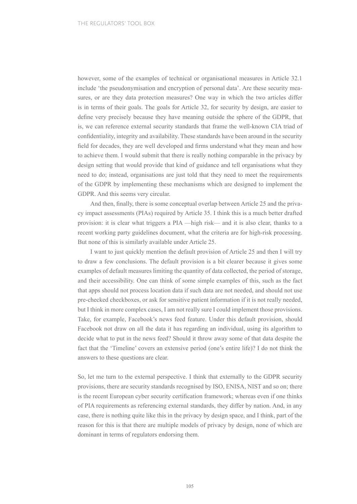however, some of the examples of technical or organisational measures in Article 32.1 include 'the pseudonymisation and encryption of personal data'. Are these security measures, or are they data protection measures? One way in which the two articles differ is in terms of their goals. The goals for Article 32, for security by design, are easier to define very precisely because they have meaning outside the sphere of the GDPR, that is, we can reference external security standards that frame the well-known CIA triad of confidentiality, integrity and availability. These standards have been around in the security field for decades, they are well developed and firms understand what they mean and how to achieve them. I would submit that there is really nothing comparable in the privacy by design setting that would provide that kind of guidance and tell organisations what they need to do; instead, organisations are just told that they need to meet the requirements of the GDPR by implementing these mechanisms which are designed to implement the GDPR. And this seems very circular.

And then, finally, there is some conceptual overlap between Article 25 and the privacy impact assessments (PIAs) required by Article 35. I think this is a much better drafted provision: it is clear what triggers a PIA —high risk— and it is also clear, thanks to a recent working party guidelines document, what the criteria are for high-risk processing. But none of this is similarly available under Article 25.

I want to just quickly mention the default provision of Article 25 and then I will try to draw a few conclusions. The default provision is a bit clearer because it gives some examples of default measures limiting the quantity of data collected, the period of storage, and their accessibility. One can think of some simple examples of this, such as the fact that apps should not process location data if such data are not needed, and should not use pre-checked checkboxes, or ask for sensitive patient information if it is not really needed, but I think in more complex cases, I am not really sure I could implement those provisions. Take, for example, Facebook's news feed feature. Under this default provision, should Facebook not draw on all the data it has regarding an individual, using its algorithm to decide what to put in the news feed? Should it throw away some of that data despite the fact that the 'Timeline' covers an extensive period (one's entire life)? I do not think the answers to these questions are clear.

So, let me turn to the external perspective. I think that externally to the GDPR security provisions, there are security standards recognised by ISO, ENISA, NIST and so on; there is the recent European cyber security certification framework; whereas even if one thinks of PIA requirements as referencing external standards, they differ by nation. And, in any case, there is nothing quite like this in the privacy by design space, and I think, part of the reason for this is that there are multiple models of privacy by design, none of which are dominant in terms of regulators endorsing them.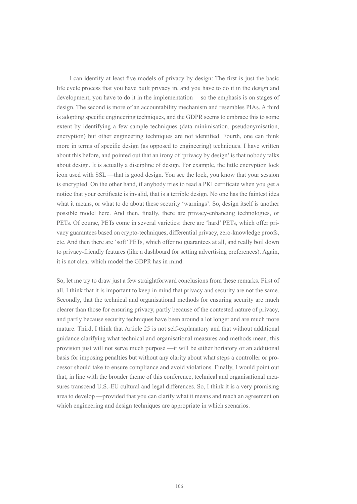I can identify at least five models of privacy by design: The first is just the basic life cycle process that you have built privacy in, and you have to do it in the design and development, you have to do it in the implementation —so the emphasis is on stages of design. The second is more of an accountability mechanism and resembles PIAs. A third is adopting specific engineering techniques, and the GDPR seems to embrace this to some extent by identifying a few sample techniques (data minimisation, pseudonymisation, encryption) but other engineering techniques are not identified. Fourth, one can think more in terms of specific design (as opposed to engineering) techniques. I have written about this before, and pointed out that an irony of 'privacy by design' is that nobody talks about design. It is actually a discipline of design. For example, the little encryption lock icon used with SSL —that is good design. You see the lock, you know that your session is encrypted. On the other hand, if anybody tries to read a PKI certificate when you get a notice that your certificate is invalid, that is a terrible design. No one has the faintest idea what it means, or what to do about these security 'warnings'. So, design itself is another possible model here. And then, finally, there are privacy-enhancing technologies, or PETs. Of course, PETs come in several varieties: there are 'hard' PETs, which offer privacy guarantees based on crypto-techniques, differential privacy, zero-knowledge proofs, etc. And then there are 'soft' PETs, which offer no guarantees at all, and really boil down to privacy-friendly features (like a dashboard for setting advertising preferences). Again, it is not clear which model the GDPR has in mind.

So, let me try to draw just a few straightforward conclusions from these remarks. First of all, I think that it is important to keep in mind that privacy and security are not the same. Secondly, that the technical and organisational methods for ensuring security are much clearer than those for ensuring privacy, partly because of the contested nature of privacy, and partly because security techniques have been around a lot longer and are much more mature. Third, I think that Article 25 is not self-explanatory and that without additional guidance clarifying what technical and organisational measures and methods mean, this provision just will not serve much purpose —it will be either hortatory or an additional basis for imposing penalties but without any clarity about what steps a controller or processor should take to ensure compliance and avoid violations. Finally, I would point out that, in line with the broader theme of this conference, technical and organisational measures transcend U.S.-EU cultural and legal differences. So, I think it is a very promising area to develop —provided that you can clarify what it means and reach an agreement on which engineering and design techniques are appropriate in which scenarios.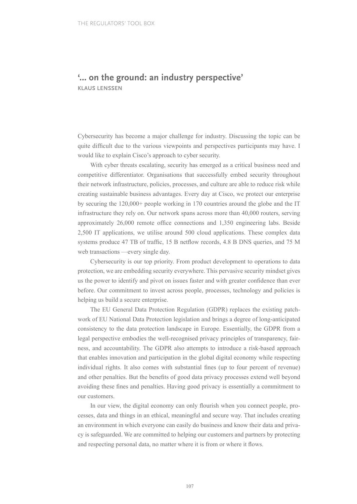### **'… on the ground: an industry perspective' KLAUS LENSSEN**

Cybersecurity has become a major challenge for industry. Discussing the topic can be quite difficult due to the various viewpoints and perspectives participants may have. I would like to explain Cisco's approach to cyber security.

With cyber threats escalating, security has emerged as a critical business need and competitive differentiator. Organisations that successfully embed security throughout their network infrastructure, policies, processes, and culture are able to reduce risk while creating sustainable business advantages. Every day at Cisco, we protect our enterprise by securing the 120,000+ people working in 170 countries around the globe and the IT infrastructure they rely on. Our network spans across more than 40,000 routers, serving approximately 26,000 remote office connections and 1,350 engineering labs. Beside 2,500 IT applications, we utilise around 500 cloud applications. These complex data systems produce 47 TB of traffic, 15 B netflow records, 4.8 B DNS queries, and 75 M web transactions —every single day.

Cybersecurity is our top priority. From product development to operations to data protection, we are embedding security everywhere. This pervasive security mindset gives us the power to identify and pivot on issues faster and with greater confidence than ever before. Our commitment to invest across people, processes, technology and policies is helping us build a secure enterprise.

The EU General Data Protection Regulation (GDPR) replaces the existing patchwork of EU National Data Protection legislation and brings a degree of long-anticipated consistency to the data protection landscape in Europe. Essentially, the GDPR from a legal perspective embodies the well-recognised privacy principles of transparency, fairness, and accountability. The GDPR also attempts to introduce a risk-based approach that enables innovation and participation in the global digital economy while respecting individual rights. It also comes with substantial fines (up to four percent of revenue) and other penalties. But the benefits of good data privacy processes extend well beyond avoiding these fines and penalties. Having good privacy is essentially a commitment to our customers.

In our view, the digital economy can only flourish when you connect people, processes, data and things in an ethical, meaningful and secure way. That includes creating an environment in which everyone can easily do business and know their data and privacy is safeguarded. We are committed to helping our customers and partners by protecting and respecting personal data, no matter where it is from or where it flows.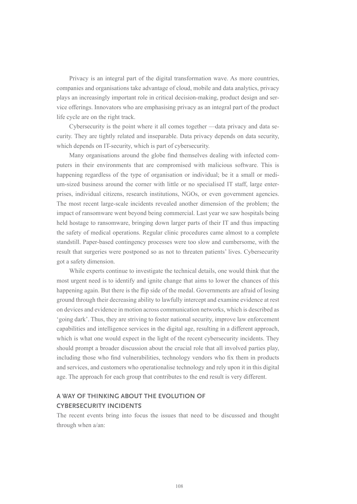Privacy is an integral part of the digital transformation wave. As more countries, companies and organisations take advantage of cloud, mobile and data analytics, privacy plays an increasingly important role in critical decision-making, product design and service offerings. Innovators who are emphasising privacy as an integral part of the product life cycle are on the right track.

Cybersecurity is the point where it all comes together —data privacy and data security. They are tightly related and inseparable. Data privacy depends on data security, which depends on IT-security, which is part of cybersecurity.

Many organisations around the globe find themselves dealing with infected computers in their environments that are compromised with malicious software. This is happening regardless of the type of organisation or individual; be it a small or medium-sized business around the corner with little or no specialised IT staff, large enterprises, individual citizens, research institutions, NGOs, or even government agencies. The most recent large-scale incidents revealed another dimension of the problem; the impact of ransomware went beyond being commercial. Last year we saw hospitals being held hostage to ransomware, bringing down larger parts of their IT and thus impacting the safety of medical operations. Regular clinic procedures came almost to a complete standstill. Paper-based contingency processes were too slow and cumbersome, with the result that surgeries were postponed so as not to threaten patients' lives. Cybersecurity got a safety dimension.

While experts continue to investigate the technical details, one would think that the most urgent need is to identify and ignite change that aims to lower the chances of this happening again. But there is the flip side of the medal. Governments are afraid of losing ground through their decreasing ability to lawfully intercept and examine evidence at rest on devices and evidence in motion across communication networks, which is described as 'going dark'. Thus, they are striving to foster national security, improve law enforcement capabilities and intelligence services in the digital age, resulting in a different approach, which is what one would expect in the light of the recent cybersecurity incidents. They should prompt a broader discussion about the crucial role that all involved parties play, including those who find vulnerabilities, technology vendors who fix them in products and services, and customers who operationalise technology and rely upon it in this digital age. The approach for each group that contributes to the end result is very different.

### **A WAY OF THINKING ABOUT THE EVOLUTION OF CYBERSECURITY INCIDENTS**

The recent events bring into focus the issues that need to be discussed and thought through when a/an: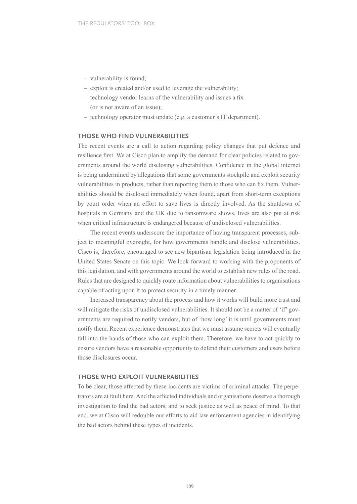- vulnerability is found;
- exploit is created and/or used to leverage the vulnerability;
- technology vendor learns of the vulnerability and issues a fix (or is not aware of an issue);
- technology operator must update (e.g. a customer's IT department).

### **THOSE WHO FIND VULNERABILITIES**

The recent events are a call to action regarding policy changes that put defence and resilience first. We at Cisco plan to amplify the demand for clear policies related to governments around the world disclosing vulnerabilities. Confidence in the global internet is being undermined by allegations that some governments stockpile and exploit security vulnerabilities in products, rather than reporting them to those who can fix them. Vulnerabilities should be disclosed immediately when found, apart from short-term exceptions by court order when an effort to save lives is directly involved. As the shutdown of hospitals in Germany and the UK due to ransomware shows, lives are also put at risk when critical infrastructure is endangered because of undisclosed vulnerabilities.

The recent events underscore the importance of having transparent processes, subject to meaningful oversight, for how governments handle and disclose vulnerabilities. Cisco is, therefore, encouraged to see new bipartisan legislation being introduced in the United States Senate on this topic. We look forward to working with the proponents of this legislation, and with governments around the world to establish new rules of the road. Rules that are designed to quickly route information about vulnerabilities to organisations capable of acting upon it to protect security in a timely manner.

Increased transparency about the process and how it works will build more trust and will mitigate the risks of undisclosed vulnerabilities. It should not be a matter of 'if' governments are required to notify vendors, but of 'how long' it is until governments must notify them. Recent experience demonstrates that we must assume secrets will eventually fall into the hands of those who can exploit them. Therefore, we have to act quickly to ensure vendors have a reasonable opportunity to defend their customers and users before those disclosures occur.

#### **THOSE WHO EXPLOIT VULNERABILITIES**

To be clear, those affected by these incidents are victims of criminal attacks. The perpetrators are at fault here. And the affected individuals and organisations deserve a thorough investigation to find the bad actors, and to seek justice as well as peace of mind. To that end, we at Cisco will redouble our efforts to aid law enforcement agencies in identifying the bad actors behind these types of incidents.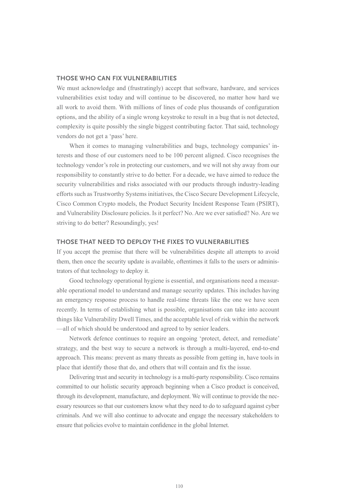### **THOSE WHO CAN FIX VULNERABILITIES**

We must acknowledge and (frustratingly) accept that software, hardware, and services vulnerabilities exist today and will continue to be discovered, no matter how hard we all work to avoid them. With millions of lines of code plus thousands of configuration options, and the ability of a single wrong keystroke to result in a bug that is not detected, complexity is quite possibly the single biggest contributing factor. That said, technology vendors do not get a 'pass' here.

When it comes to managing vulnerabilities and bugs, technology companies' interests and those of our customers need to be 100 percent aligned. Cisco recognises the technology vendor's role in protecting our customers, and we will not shy away from our responsibility to constantly strive to do better. For a decade, we have aimed to reduce the security vulnerabilities and risks associated with our products through industry-leading efforts such as Trustworthy Systems initiatives, the Cisco Secure Development Lifecycle, Cisco Common Crypto models, the Product Security Incident Response Team (PSIRT), and Vulnerability Disclosure policies. Is it perfect? No. Are we ever satisfied? No. Are we striving to do better? Resoundingly, yes!

#### **THOSE THAT NEED TO DEPLOY THE FIXES TO VULNERABILITIES**

If you accept the premise that there will be vulnerabilities despite all attempts to avoid them, then once the security update is available, oftentimes it falls to the users or administrators of that technology to deploy it.

Good technology operational hygiene is essential, and organisations need a measurable operational model to understand and manage security updates. This includes having an emergency response process to handle real-time threats like the one we have seen recently. In terms of establishing what is possible, organisations can take into account things like Vulnerability Dwell Times, and the acceptable level of risk within the network —all of which should be understood and agreed to by senior leaders.

Network defence continues to require an ongoing 'protect, detect, and remediate' strategy, and the best way to secure a network is through a multi-layered, end-to-end approach. This means: prevent as many threats as possible from getting in, have tools in place that identify those that do, and others that will contain and fix the issue.

Delivering trust and security in technology is a multi-party responsibility. Cisco remains committed to our holistic security approach beginning when a Cisco product is conceived, through its development, manufacture, and deployment. We will continue to provide the necessary resources so that our customers know what they need to do to safeguard against cyber criminals. And we will also continue to advocate and engage the necessary stakeholders to ensure that policies evolve to maintain confidence in the global Internet.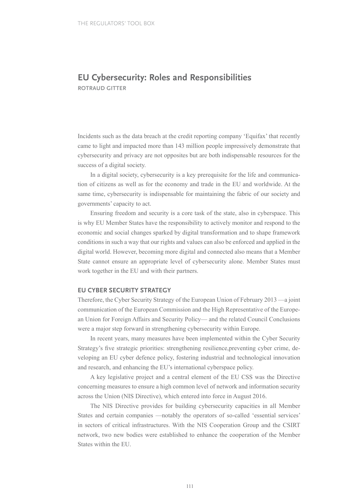# **EU Cybersecurity: Roles and Responsibilities ROTRAUD GITTER**

Incidents such as the data breach at the credit reporting company 'Equifax' that recently came to light and impacted more than 143 million people impressively demonstrate that cybersecurity and privacy are not opposites but are both indispensable resources for the success of a digital society.

In a digital society, cybersecurity is a key prerequisite for the life and communication of citizens as well as for the economy and trade in the EU and worldwide. At the same time, cybersecurity is indispensable for maintaining the fabric of our society and governments' capacity to act.

Ensuring freedom and security is a core task of the state, also in cyberspace. This is why EU Member States have the responsibility to actively monitor and respond to the economic and social changes sparked by digital transformation and to shape framework conditions in such a way that our rights and values can also be enforced and applied in the digital world. However, becoming more digital and connected also means that a Member State cannot ensure an appropriate level of cybersecurity alone. Member States must work together in the EU and with their partners.

### **EU CYBER SECURITY STRATEGY**

Therefore, the Cyber Security Strategy of the European Union of February 2013 —a joint communication of the European Commission and the High Representative of the European Union for Foreign Affairs and Security Policy— and the related Council Conclusions were a major step forward in strengthening cybersecurity within Europe.

In recent years, many measures have been implemented within the Cyber Security Strategy's five strategic priorities: strengthening resilience,preventing cyber crime, developing an EU cyber defence policy, fostering industrial and technological innovation and research, and enhancing the EU's international cyberspace policy.

A key legislative project and a central element of the EU CSS was the Directive concerning measures to ensure a high common level of network and information security across the Union (NIS Directive), which entered into force in August 2016.

The NIS Directive provides for building cybersecurity capacities in all Member States and certain companies —notably the operators of so-called 'essential services' in sectors of critical infrastructures. With the NIS Cooperation Group and the CSIRT network, two new bodies were established to enhance the cooperation of the Member States within the EU.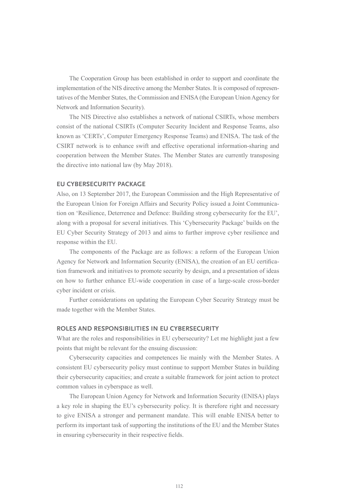The Cooperation Group has been established in order to support and coordinate the implementation of the NIS directive among the Member States. It is composed of representatives of the Member States, the Commission and ENISA (the European Union Agency for Network and Information Security).

The NIS Directive also establishes a network of national CSIRTs, whose members consist of the national CSIRTs (Computer Security Incident and Response Teams, also known as 'CERTs', Computer Emergency Response Teams) and ENISA. The task of the CSIRT network is to enhance swift and effective operational information-sharing and cooperation between the Member States. The Member States are currently transposing the directive into national law (by May 2018).

### **EU CYBERSECURITY PACKAGE**

Also, on 13 September 2017, the European Commission and the High Representative of the European Union for Foreign Affairs and Security Policy issued a Joint Communication on 'Resilience, Deterrence and Defence: Building strong cybersecurity for the EU', along with a proposal for several initiatives. This 'Cybersecurity Package' builds on the EU Cyber Security Strategy of 2013 and aims to further improve cyber resilience and response within the EU.

The components of the Package are as follows: a reform of the European Union Agency for Network and Information Security (ENISA), the creation of an EU certification framework and initiatives to promote security by design, and a presentation of ideas on how to further enhance EU-wide cooperation in case of a large-scale cross-border cyber incident or crisis.

Further considerations on updating the European Cyber Security Strategy must be made together with the Member States.

### **ROLES AND RESPONSIBILITIES IN EU CYBERSECURITY**

What are the roles and responsibilities in EU cybersecurity? Let me highlight just a few points that might be relevant for the ensuing discussion:

Cybersecurity capacities and competences lie mainly with the Member States. A consistent EU cybersecurity policy must continue to support Member States in building their cybersecurity capacities; and create a suitable framework for joint action to protect common values in cyberspace as well.

The European Union Agency for Network and Information Security (ENISA) plays a key role in shaping the EU's cybersecurity policy. It is therefore right and necessary to give ENISA a stronger and permanent mandate. This will enable ENISA better to perform its important task of supporting the institutions of the EU and the Member States in ensuring cybersecurity in their respective fields.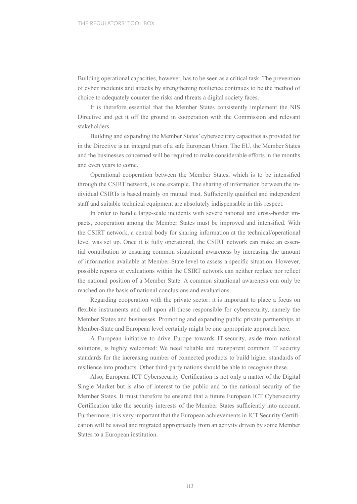Building operational capacities, however, has to be seen as a critical task. The prevention of cyber incidents and attacks by strengthening resilience continues to be the method of choice to adequately counter the risks and threats a digital society faces.

It is therefore essential that the Member States consistently implement the NIS Directive and get it off the ground in cooperation with the Commission and relevant stakeholders.

Building and expanding the Member States' cybersecurity capacities as provided for in the Directive is an integral part of a safe European Union. The EU, the Member States and the businesses concerned will be required to make considerable efforts in the months and even years to come.

Operational cooperation between the Member States, which is to be intensified through the CSIRT network, is one example. The sharing of information between the individual CSIRTs is based mainly on mutual trust. Sufficiently qualified and independent staff and suitable technical equipment are absolutely indispensable in this respect.

In order to handle large-scale incidents with severe national and cross-border impacts, cooperation among the Member States must be improved and intensified. With the CSIRT network, a central body for sharing information at the technical/operational level was set up. Once it is fully operational, the CSIRT network can make an essential contribution to ensuring common situational awareness by increasing the amount of information available at Member-State level to assess a specific situation. However, possible reports or evaluations within the CSIRT network can neither replace nor reflect the national position of a Member State. A common situational awareness can only be reached on the basis of national conclusions and evaluations.

Regarding cooperation with the private sector: it is important to place a focus on flexible instruments and call upon all those responsible for cybersecurity, namely the Member States and businesses. Promoting and expanding public private partnerships at Member-State and European level certainly might be one appropriate approach here.

A European initiative to drive Europe towards IT-security, aside from national solutions, is highly welcomed: We need reliable and transparent common IT security standards for the increasing number of connected products to build higher standards of resilience into products. Other third-party nations should be able to recognise these.

Also, European ICT Cybersecurity Certification is not only a matter of the Digital Single Market but is also of interest to the public and to the national security of the Member States. It must therefore be ensured that a future European ICT Cybersecurity Certification take the security interests of the Member States sufficiently into account. Furthermore, it is very important that the European achievements in ICT Security Certification will be saved and migrated appropriately from an activity driven by some Member States to a European institution.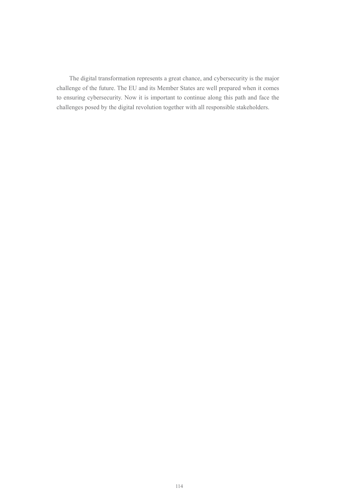The digital transformation represents a great chance, and cybersecurity is the major challenge of the future. The EU and its Member States are well prepared when it comes to ensuring cybersecurity. Now it is important to continue along this path and face the challenges posed by the digital revolution together with all responsible stakeholders.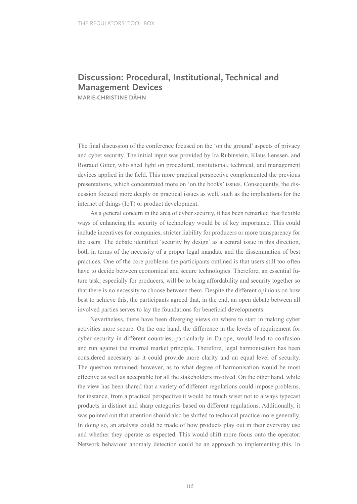# **Discussion: Procedural, Institutional, Technical and Management Devices**

**MARIE-CHRISTINE DÄHN**

The final discussion of the conference focused on the 'on the ground' aspects of privacy and cyber security. The initial input was provided by Ira Rubinstein, Klaus Lenssen, and Rotraud Gitter, who shed light on procedural, institutional, technical, and management devices applied in the field. This more practical perspective complemented the previous presentations, which concentrated more on 'on the books' issues. Consequently, the discussion focused more deeply on practical issues as well, such as the implications for the internet of things (IoT) or product development.

As a general concern in the area of cyber security, it has been remarked that flexible ways of enhancing the security of technology would be of key importance. This could include incentives for companies, stricter liability for producers or more transparency for the users. The debate identified 'security by design' as a central issue in this direction, both in terms of the necessity of a proper legal mandate and the dissemination of best practices. One of the core problems the participants outlined is that users still too often have to decide between economical and secure technologies. Therefore, an essential future task, especially for producers, will be to bring affordability and security together so that there is no necessity to choose between them. Despite the different opinions on how best to achieve this, the participants agreed that, in the end, an open debate between all involved parties serves to lay the foundations for beneficial developments.

Nevertheless, there have been diverging views on where to start in making cyber activities more secure. On the one hand, the difference in the levels of requirement for cyber security in different countries, particularly in Europe, would lead to confusion and run against the internal market principle. Therefore, legal harmonisation has been considered necessary as it could provide more clarity and an equal level of security. The question remained, however, as to what degree of harmonisation would be most effective as well as acceptable for all the stakeholders involved. On the other hand, while the view has been shared that a variety of different regulations could impose problems, for instance, from a practical perspective it would be much wiser not to always typecast products in distinct and sharp categories based on different regulations. Additionally, it was pointed out that attention should also be shifted to technical practice more generally. In doing so, an analysis could be made of how products play out in their everyday use and whether they operate as expected. This would shift more focus onto the operator. Network behaviour anomaly detection could be an approach to implementing this. In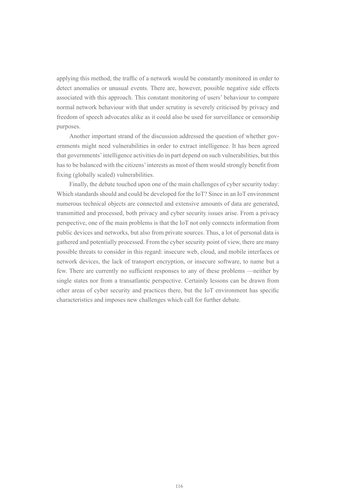applying this method, the traffic of a network would be constantly monitored in order to detect anomalies or unusual events. There are, however, possible negative side effects associated with this approach. This constant monitoring of users' behaviour to compare normal network behaviour with that under scrutiny is severely criticised by privacy and freedom of speech advocates alike as it could also be used for surveillance or censorship purposes.

Another important strand of the discussion addressed the question of whether governments might need vulnerabilities in order to extract intelligence. It has been agreed that governments' intelligence activities do in part depend on such vulnerabilities, but this has to be balanced with the citizens' interests as most of them would strongly benefit from fixing (globally scaled) vulnerabilities.

Finally, the debate touched upon one of the main challenges of cyber security today: Which standards should and could be developed for the IoT? Since in an IoT environment numerous technical objects are connected and extensive amounts of data are generated, transmitted and processed, both privacy and cyber security issues arise. From a privacy perspective, one of the main problems is that the IoT not only connects information from public devices and networks, but also from private sources. Thus, a lot of personal data is gathered and potentially processed. From the cyber security point of view, there are many possible threats to consider in this regard: insecure web, cloud, and mobile interfaces or network devices, the lack of transport encryption, or insecure software, to name but a few. There are currently no sufficient responses to any of these problems —neither by single states nor from a transatlantic perspective. Certainly lessons can be drawn from other areas of cyber security and practices there, but the IoT environment has specific characteristics and imposes new challenges which call for further debate.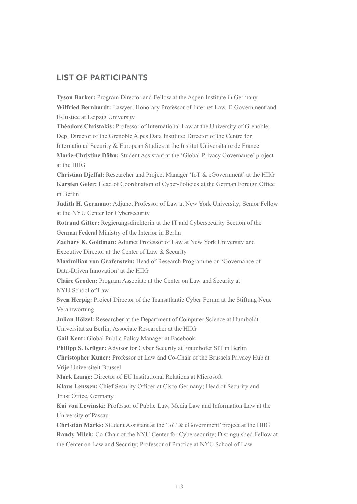# **LIST OF PARTICIPANTS**

**Tyson Barker:** Program Director and Fellow at the Aspen Institute in Germany **Wilfried Bernhardt:** Lawyer; Honorary Professor of Internet Law, E-Government and E-Justice at Leipzig University

**Théodore Christakis:** Professor of International Law at the University of Grenoble; Dep. Director of the Grenoble Alpes Data Institute; Director of the Centre for International Security & European Studies at the Institut Universitaire de France **Marie-Christine Dähn:** Student Assistant at the 'Global Privacy Governance' project

**Christian Djeffal:** Researcher and Project Manager 'IoT & eGovernment' at the HIIG **Karsten Geier:** Head of Coordination of Cyber-Policies at the German Foreign Office in Berlin

**Judith H. Germano:** Adjunct Professor of Law at New York University; Senior Fellow at the NYU Center for Cybersecurity

**Rotraud Gitter:** Regierungsdirektorin at the IT and Cybersecurity Section of the German Federal Ministry of the Interior in Berlin

**Zachary K. Goldman:** Adjunct Professor of Law at New York University and Executive Director at the Center of Law & Security

**Maximilian von Grafenstein:** Head of Research Programme on 'Governance of Data-Driven Innovation' at the HIIG

**Claire Groden:** Program Associate at the Center on Law and Security at

NYU School of Law

at the HIIG

**Sven Herpig:** Project Director of the Transatlantic Cyber Forum at the Stiftung Neue Verantwortung

**Julian Hölzel:** Researcher at the Department of Computer Science at Humboldt-

Universität zu Berlin; Associate Researcher at the HIIG

**Gail Kent:** Global Public Policy Manager at Facebook

**Philipp S. Krüger:** Advisor for Cyber Security at Fraunhofer SIT in Berlin

**Christopher Kuner:** Professor of Law and Co-Chair of the Brussels Privacy Hub at Vrije Universiteit Brussel

**Mark Lange:** Director of EU Institutional Relations at Microsoft

**Klaus Lenssen:** Chief Security Officer at Cisco Germany; Head of Security and Trust Office, Germany

**Kai von Lewinski:** Professor of Public Law, Media Law and Information Law at the University of Passau

**Christian Marks:** Student Assistant at the 'IoT & eGovernment' project at the HIIG **Randy Milch:** Co-Chair of the NYU Center for Cybersecurity; Distinguished Fellow at the Center on Law and Security; Professor of Practice at NYU School of Law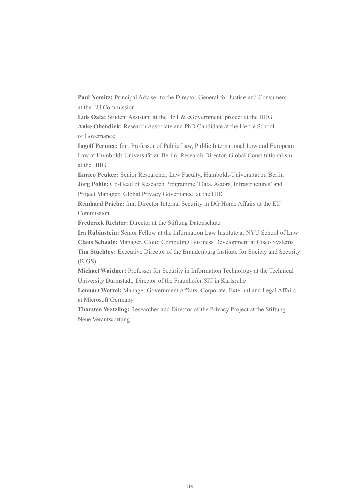**Paul Nemitz:** Principal Adviser to the Director-General for Justice and Consumers at the EU Commission

**Luis Oala:** Student Assistant at the 'IoT & eGovernment' project at the HIIG **Anke Obendiek:** Research Associate and PhD Candidate at the Hertie School of Governance

**Ingolf Pernice:** fmr. Professor of Public Law, Public International Law and European Law at Humboldt-Universität zu Berlin; Research Director, Global Constitutionalism at the HIIG

**Enrico Peuker:** Senior Researcher, Law Faculty, Humboldt-Universität zu Berlin **Jörg Pohle:** Co-Head of Research Programme 'Data, Actors, Infrastructures' and Project Manager 'Global Privacy Governance' at the HIIG

**Reinhard Priebe:** fmr. Director Internal Security in DG Home Affairs at the EU Commission

**Frederick Richter:** Director at the Stiftung Datenschutz

**Ira Rubinstein:** Senior Fellow at the Information Law Institute at NYU School of Law **Claus Schaale:** Manager, Cloud Computing Business Development at Cisco Systems **Tim Stuchtey:** Executive Director of the Brandenburg Institute for Society and Security (BIGS)

**Michael Waidner:** Professor for Security in Information Technology at the Technical University Darmstadt; Director of the Fraunhofer SIT in Karlsruhe

**Lennart Wetzel:** Manager Government Affairs, Corporate, External and Legal Affairs at Microsoft Germany

**Thorsten Wetzling:** Researcher and Director of the Privacy Project at the Stiftung Neue Verantwortung